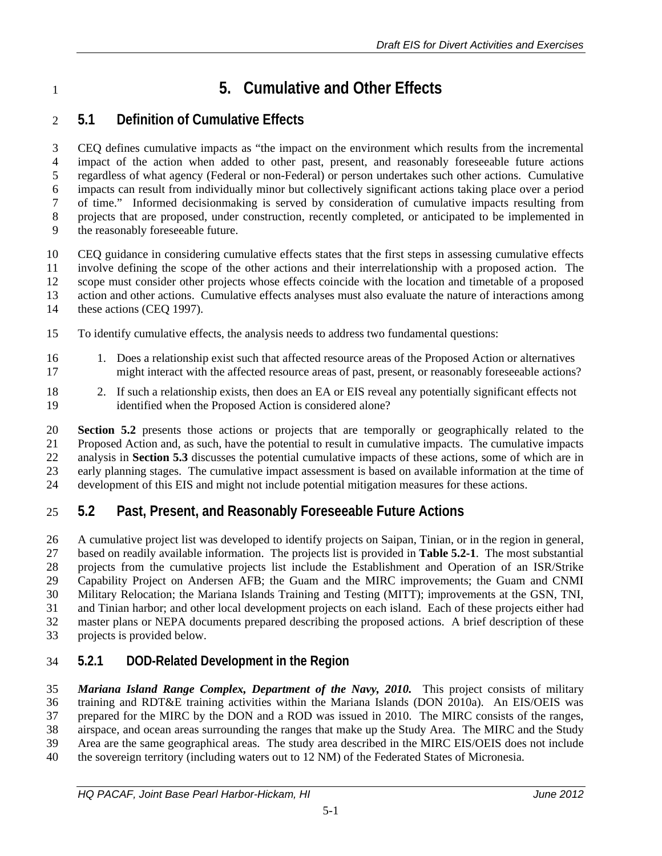# **5. Cumulative and Other Effects**

## **5.1 Definition of Cumulative Effects**

3 CEQ defines cumulative impacts as "the impact on the environment which results from the incremental 4 impact of the action when added to other past, present, and reasonably foreseeable future actions 5 regardless of what agency (Federal or non-Federal) or person undertakes such other actions. Cumulative 6 impacts can result from individually minor but collectively significant actions taking place over a period 7 of time." Informed decisionmaking is served by consideration of cumulative impacts resulting from 8 projects that are proposed, under construction, recently completed, or anticipated to be implemented in 9 the reasonably foreseeable future.

 CEQ guidance in considering cumulative effects states that the first steps in assessing cumulative effects involve defining the scope of the other actions and their interrelationship with a proposed action. The scope must consider other projects whose effects coincide with the location and timetable of a proposed action and other actions. Cumulative effects analyses must also evaluate the nature of interactions among 14 these actions (CEO 1997).

- To identify cumulative effects, the analysis needs to address two fundamental questions:
- 1. Does a relationship exist such that affected resource areas of the Proposed Action or alternatives might interact with the affected resource areas of past, present, or reasonably foreseeable actions?
- 2. If such a relationship exists, then does an EA or EIS reveal any potentially significant effects not identified when the Proposed Action is considered alone?

 **Section 5.2** presents those actions or projects that are temporally or geographically related to the Proposed Action and, as such, have the potential to result in cumulative impacts. The cumulative impacts analysis in **Section 5.3** discusses the potential cumulative impacts of these actions, some of which are in early planning stages. The cumulative impact assessment is based on available information at the time of development of this EIS and might not include potential mitigation measures for these actions.

## **5.2 Past, Present, and Reasonably Foreseeable Future Actions**

 A cumulative project list was developed to identify projects on Saipan, Tinian, or in the region in general, based on readily available information. The projects list is provided in **Table 5.2-1**. The most substantial projects from the cumulative projects list include the Establishment and Operation of an ISR/Strike Capability Project on Andersen AFB; the Guam and the MIRC improvements; the Guam and CNMI Military Relocation; the Mariana Islands Training and Testing (MITT); improvements at the GSN, TNI, and Tinian harbor; and other local development projects on each island. Each of these projects either had master plans or NEPA documents prepared describing the proposed actions. A brief description of these projects is provided below.

## **5.2.1 DOD-Related Development in the Region**

35 Mariana Island Range Complex, Department of the Navy, 2010. This project consists of military training and RDT&E training activities within the Mariana Islands (DON 2010a). An EIS/OEIS was prepared for the MIRC by the DON and a ROD was issued in 2010. The MIRC consists of the ranges, airspace, and ocean areas surrounding the ranges that make up the Study Area. The MIRC and the Study Area are the same geographical areas. The study area described in the MIRC EIS/OEIS does not include the sovereign territory (including waters out to 12 NM) of the Federated States of Micronesia.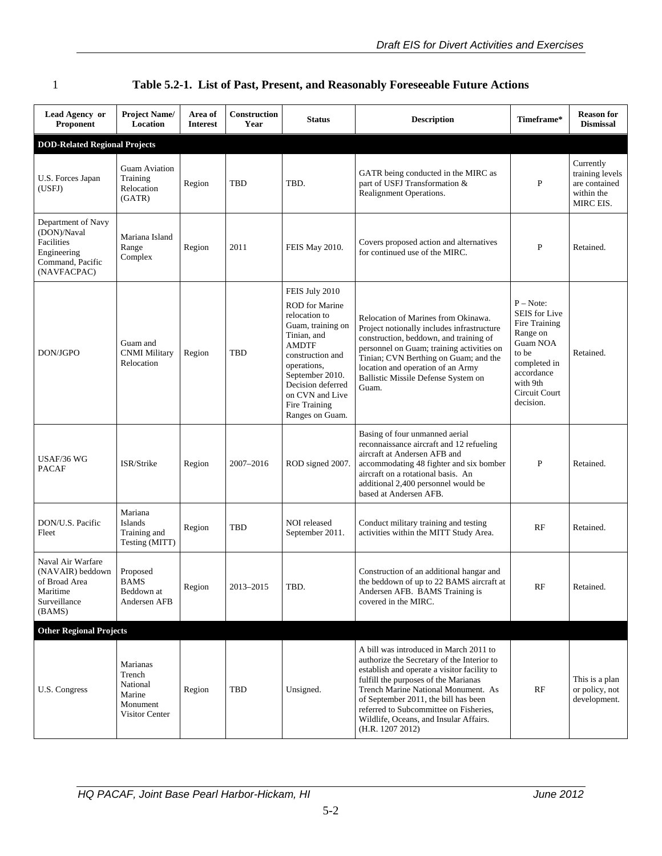|  |  |  |  | Table 5.2-1. List of Past, Present, and Reasonably Foreseeable Future Actions |
|--|--|--|--|-------------------------------------------------------------------------------|
|--|--|--|--|-------------------------------------------------------------------------------|

| Lead Agency or<br>Proponent                                                                       | <b>Project Name/</b><br>Location                                       | Area of<br><b>Interest</b> | Construction<br>Year | <b>Status</b>                                                                                                                                                                                                                                         | <b>Description</b>                                                                                                                                                                                                                                                                                                                                                 | Timeframe*                                                                                                                                                    | <b>Reason</b> for<br><b>Dismissal</b>                                    |
|---------------------------------------------------------------------------------------------------|------------------------------------------------------------------------|----------------------------|----------------------|-------------------------------------------------------------------------------------------------------------------------------------------------------------------------------------------------------------------------------------------------------|--------------------------------------------------------------------------------------------------------------------------------------------------------------------------------------------------------------------------------------------------------------------------------------------------------------------------------------------------------------------|---------------------------------------------------------------------------------------------------------------------------------------------------------------|--------------------------------------------------------------------------|
| <b>DOD-Related Regional Projects</b>                                                              |                                                                        |                            |                      |                                                                                                                                                                                                                                                       |                                                                                                                                                                                                                                                                                                                                                                    |                                                                                                                                                               |                                                                          |
| U.S. Forces Japan<br>(USFJ)                                                                       | <b>Guam Aviation</b><br>Training<br>Relocation<br>(GATR)               | Region                     | <b>TBD</b>           | TBD.                                                                                                                                                                                                                                                  | GATR being conducted in the MIRC as<br>part of USFJ Transformation &<br>Realignment Operations.                                                                                                                                                                                                                                                                    | P                                                                                                                                                             | Currently<br>training levels<br>are contained<br>within the<br>MIRC EIS. |
| Department of Navy<br>(DON)/Naval<br>Facilities<br>Engineering<br>Command, Pacific<br>(NAVFACPAC) | Mariana Island<br>Range<br>Complex                                     | Region                     | 2011                 | FEIS May 2010.                                                                                                                                                                                                                                        | Covers proposed action and alternatives<br>for continued use of the MIRC.                                                                                                                                                                                                                                                                                          | P                                                                                                                                                             | Retained.                                                                |
| DON/JGPO                                                                                          | Guam and<br><b>CNMI</b> Military<br>Relocation                         | Region                     | TBD                  | FEIS July 2010<br><b>ROD</b> for Marine<br>relocation to<br>Guam, training on<br>Tinian, and<br><b>AMDTF</b><br>construction and<br>operations,<br>September 2010.<br>Decision deferred<br>on CVN and Live<br><b>Fire Training</b><br>Ranges on Guam. | Relocation of Marines from Okinawa.<br>Project notionally includes infrastructure<br>construction, beddown, and training of<br>personnel on Guam; training activities on<br>Tinian; CVN Berthing on Guam; and the<br>location and operation of an Army<br>Ballistic Missile Defense System on<br>Guam.                                                             | $P - Note:$<br><b>SEIS</b> for Live<br>Fire Training<br>Range on<br>Guam NOA<br>to be<br>completed in<br>accordance<br>with 9th<br>Circuit Court<br>decision. | Retained.                                                                |
| USAF/36 WG<br><b>PACAF</b>                                                                        | ISR/Strike                                                             | Region                     | 2007-2016            | ROD signed 2007.                                                                                                                                                                                                                                      | Basing of four unmanned aerial<br>reconnaissance aircraft and 12 refueling<br>aircraft at Andersen AFB and<br>accommodating 48 fighter and six bomber<br>aircraft on a rotational basis. An<br>additional 2,400 personnel would be<br>based at Andersen AFB.                                                                                                       | P                                                                                                                                                             | Retained.                                                                |
| DON/U.S. Pacific<br>Fleet                                                                         | Mariana<br>Islands<br>Training and<br>Testing (MITT)                   | Region                     | TBD                  | NOI released<br>September 2011.                                                                                                                                                                                                                       | Conduct military training and testing<br>activities within the MITT Study Area.                                                                                                                                                                                                                                                                                    | RF                                                                                                                                                            | Retained.                                                                |
| Naval Air Warfare<br>(NAVAIR) beddown<br>of Broad Area<br>Maritime<br>Surveillance<br>(BAMS)      | Proposed<br><b>BAMS</b><br>Beddown at<br>Andersen AFB                  | Region                     | 2013-2015            | TBD.                                                                                                                                                                                                                                                  | Construction of an additional hangar and<br>the beddown of up to 22 BAMS aircraft at<br>Andersen AFB. BAMS Training is<br>covered in the MIRC.                                                                                                                                                                                                                     | RF                                                                                                                                                            | Retained.                                                                |
| <b>Other Regional Projects</b>                                                                    |                                                                        |                            |                      |                                                                                                                                                                                                                                                       |                                                                                                                                                                                                                                                                                                                                                                    |                                                                                                                                                               |                                                                          |
| U.S. Congress                                                                                     | Marianas<br>Trench<br>National<br>Marine<br>Monument<br>Visitor Center | Region                     | TBD                  | Unsigned.                                                                                                                                                                                                                                             | A bill was introduced in March 2011 to<br>authorize the Secretary of the Interior to<br>establish and operate a visitor facility to<br>fulfill the purposes of the Marianas<br>Trench Marine National Monument. As<br>of September 2011, the bill has been<br>referred to Subcommittee on Fisheries,<br>Wildlife, Oceans, and Insular Affairs.<br>(H.R. 1207 2012) | RF                                                                                                                                                            | This is a plan<br>or policy, not<br>development.                         |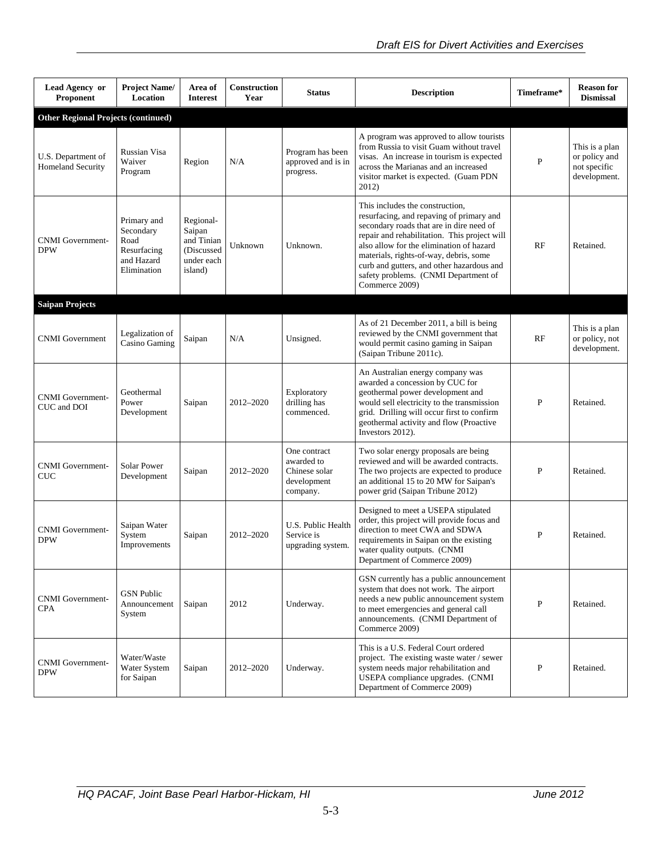| Lead Agency or<br>Proponent                            | <b>Project Name/</b><br>Location                                             | Area of<br><b>Interest</b>                                               | Construction<br>Year | <b>Status</b>                                                          | <b>Description</b>                                                                                                                                                                                                                                                                                                                                                   | Timeframe*   | <b>Reason</b> for<br><b>Dismissal</b>                           |
|--------------------------------------------------------|------------------------------------------------------------------------------|--------------------------------------------------------------------------|----------------------|------------------------------------------------------------------------|----------------------------------------------------------------------------------------------------------------------------------------------------------------------------------------------------------------------------------------------------------------------------------------------------------------------------------------------------------------------|--------------|-----------------------------------------------------------------|
| <b>Other Regional Projects (continued)</b>             |                                                                              |                                                                          |                      |                                                                        |                                                                                                                                                                                                                                                                                                                                                                      |              |                                                                 |
| U.S. Department of<br>Homeland Security                | Russian Visa<br>Waiver<br>Program                                            | Region                                                                   | N/A                  | Program has been<br>approved and is in<br>progress.                    | A program was approved to allow tourists<br>from Russia to visit Guam without travel<br>visas. An increase in tourism is expected<br>across the Marianas and an increased<br>visitor market is expected. (Guam PDN<br>2012)                                                                                                                                          | $\mathbf{P}$ | This is a plan<br>or policy and<br>not specific<br>development. |
| <b>CNMI</b> Government-<br><b>DPW</b>                  | Primary and<br>Secondary<br>Road<br>Resurfacing<br>and Hazard<br>Elimination | Regional-<br>Saipan<br>and Tinian<br>(Discussed<br>under each<br>island) | Unknown              | Unknown.                                                               | This includes the construction,<br>resurfacing, and repaving of primary and<br>secondary roads that are in dire need of<br>repair and rehabilitation. This project will<br>also allow for the elimination of hazard<br>materials, rights-of-way, debris, some<br>curb and gutters, and other hazardous and<br>safety problems. (CNMI Department of<br>Commerce 2009) | RF           | Retained.                                                       |
| <b>Saipan Projects</b>                                 |                                                                              |                                                                          |                      |                                                                        |                                                                                                                                                                                                                                                                                                                                                                      |              |                                                                 |
| <b>CNMI</b> Government                                 | Legalization of<br>Casino Gaming                                             | Saipan                                                                   | N/A                  | Unsigned.                                                              | As of 21 December 2011, a bill is being<br>reviewed by the CNMI government that<br>would permit casino gaming in Saipan<br>(Saipan Tribune 2011c).                                                                                                                                                                                                                   | RF           | This is a plan<br>or policy, not<br>development.                |
| <b>CNMI</b> Government-<br>CUC and DOI                 | Geothermal<br>Power<br>Development                                           | Saipan                                                                   | 2012-2020            | Exploratory<br>drilling has<br>commenced.                              | An Australian energy company was<br>awarded a concession by CUC for<br>geothermal power development and<br>would sell electricity to the transmission<br>grid. Drilling will occur first to confirm<br>geothermal activity and flow (Proactive<br>Investors 2012).                                                                                                   | P            | Retained.                                                       |
| <b>CNMI</b> Government-<br><b>CUC</b>                  | Solar Power<br>Development                                                   | Saipan                                                                   | 2012-2020            | One contract<br>awarded to<br>Chinese solar<br>development<br>company. | Two solar energy proposals are being<br>reviewed and will be awarded contracts.<br>The two projects are expected to produce<br>an additional 15 to 20 MW for Saipan's<br>power grid (Saipan Tribune 2012)                                                                                                                                                            | $\mathbf P$  | Retained.                                                       |
| <b>CNMI</b> Government-<br><b>DPW</b>                  | Saipan Water<br>System<br>Improvements                                       | Saipan                                                                   | 2012-2020            | U.S. Public Health<br>Service is<br>upgrading system.                  | Designed to meet a USEPA stipulated<br>order, this project will provide focus and<br>direction to meet CWA and SDWA<br>requirements in Saipan on the existing<br>water quality outputs. (CNMI<br>Department of Commerce 2009)                                                                                                                                        | $\mathbf P$  | Retained.                                                       |
| <b>CNMI</b> Government-<br><b>CPA</b>                  | <b>GSN Public</b><br>Announcement<br>System                                  | Saipan                                                                   | 2012                 | Underway.                                                              | GSN currently has a public announcement<br>system that does not work. The airport<br>needs a new public announcement system<br>to meet emergencies and general call<br>announcements. (CNMI Department of<br>Commerce 2009)                                                                                                                                          | $\mathbf{P}$ | Retained.                                                       |
| <b>CNMI</b> Government-<br>$\ensuremath{\mathsf{DPW}}$ | Water/Waste<br>Water System<br>for Saipan                                    | Saipan                                                                   | 2012-2020            | Underway.                                                              | This is a U.S. Federal Court ordered<br>project. The existing waste water / sewer<br>system needs major rehabilitation and<br>USEPA compliance upgrades. (CNMI<br>Department of Commerce 2009)                                                                                                                                                                       | P            | Retained.                                                       |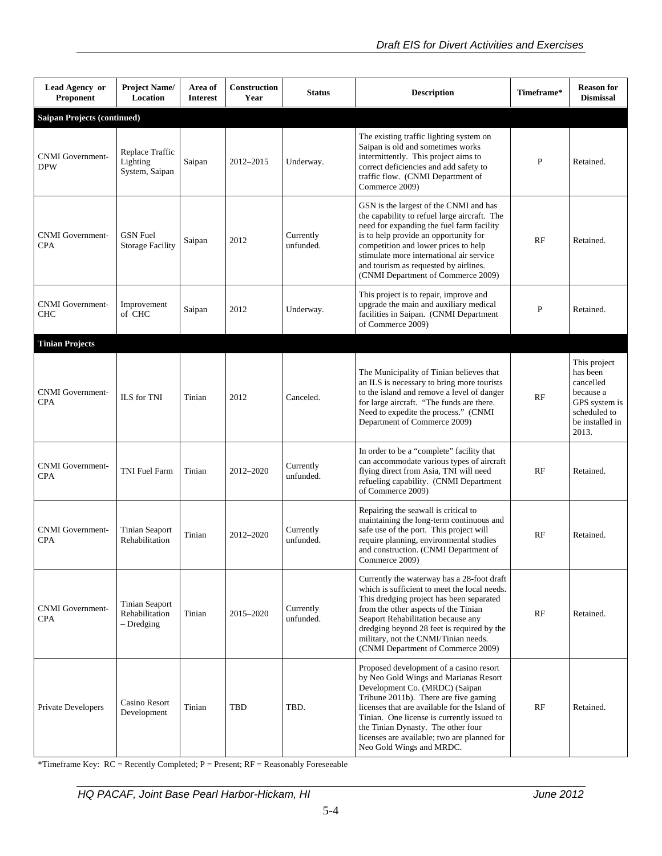| Lead Agency or<br>Proponent           | <b>Project Name/</b><br>Location                      | Area of<br><b>Interest</b> | Construction<br>Year | <b>Status</b>          | <b>Description</b>                                                                                                                                                                                                                                                                                                                                                          | Timeframe*   | <b>Reason for</b><br><b>Dismissal</b>                                                                           |
|---------------------------------------|-------------------------------------------------------|----------------------------|----------------------|------------------------|-----------------------------------------------------------------------------------------------------------------------------------------------------------------------------------------------------------------------------------------------------------------------------------------------------------------------------------------------------------------------------|--------------|-----------------------------------------------------------------------------------------------------------------|
| <b>Saipan Projects (continued)</b>    |                                                       |                            |                      |                        |                                                                                                                                                                                                                                                                                                                                                                             |              |                                                                                                                 |
| <b>CNMI</b> Government-<br><b>DPW</b> | Replace Traffic<br>Lighting<br>System, Saipan         | Saipan                     | 2012-2015            | Underway.              | The existing traffic lighting system on<br>Saipan is old and sometimes works<br>intermittently. This project aims to<br>correct deficiencies and add safety to<br>traffic flow. (CNMI Department of<br>Commerce 2009)                                                                                                                                                       | $\mathbf{P}$ | Retained.                                                                                                       |
| <b>CNMI</b> Government-<br>CPA        | <b>GSN</b> Fuel<br><b>Storage Facility</b>            | Saipan                     | 2012                 | Currently<br>unfunded. | GSN is the largest of the CNMI and has<br>the capability to refuel large aircraft. The<br>need for expanding the fuel farm facility<br>is to help provide an opportunity for<br>competition and lower prices to help<br>stimulate more international air service<br>and tourism as requested by airlines.<br>(CNMI Department of Commerce 2009)                             | RF           | Retained.                                                                                                       |
| <b>CNMI</b> Government-<br>СНС        | Improvement<br>of CHC                                 | Saipan                     | 2012                 | Underway.              | This project is to repair, improve and<br>upgrade the main and auxiliary medical<br>facilities in Saipan. (CNMI Department<br>of Commerce 2009)                                                                                                                                                                                                                             | P            | Retained.                                                                                                       |
| <b>Tinian Projects</b>                |                                                       |                            |                      |                        |                                                                                                                                                                                                                                                                                                                                                                             |              |                                                                                                                 |
| <b>CNMI</b> Government-<br><b>CPA</b> | ILS for TNI                                           | Tinian                     | 2012                 | Canceled.              | The Municipality of Tinian believes that<br>an ILS is necessary to bring more tourists<br>to the island and remove a level of danger<br>for large aircraft. "The funds are there.<br>Need to expedite the process." (CNMI<br>Department of Commerce 2009)                                                                                                                   | RF           | This project<br>has been<br>cancelled<br>because a<br>GPS system is<br>scheduled to<br>be installed in<br>2013. |
| <b>CNMI</b> Government-<br>CPA        | TNI Fuel Farm                                         | Tinian                     | 2012-2020            | Currently<br>unfunded. | In order to be a "complete" facility that<br>can accommodate various types of aircraft<br>flying direct from Asia, TNI will need<br>refueling capability. (CNMI Department<br>of Commerce 2009)                                                                                                                                                                             | RF           | Retained.                                                                                                       |
| <b>CNMI</b> Government-<br>CPA        | <b>Tinian Seaport</b><br>Rehabilitation               | Tinian                     | 2012-2020            | Currently<br>unfunded. | Repairing the seawall is critical to<br>maintaining the long-term continuous and<br>safe use of the port. This project will<br>require planning, environmental studies<br>and construction. (CNMI Department of<br>Commerce 2009)                                                                                                                                           | RF           | Retained.                                                                                                       |
| <b>CNMI</b> Government-<br><b>CPA</b> | <b>Tinian Seaport</b><br>Rehabilitation<br>- Dredging | Tinian                     | 2015-2020            | Currently<br>unfunded. | Currently the waterway has a 28-foot draft<br>which is sufficient to meet the local needs.<br>This dredging project has been separated<br>from the other aspects of the Tinian<br>Seaport Rehabilitation because any<br>dredging beyond 28 feet is required by the<br>military, not the CNMI/Tinian needs.<br>(CNMI Department of Commerce 2009)                            | RF           | Retained.                                                                                                       |
| Private Developers                    | <b>Casino Resort</b><br>Development                   | Tinian                     | <b>TBD</b>           | TBD.                   | Proposed development of a casino resort<br>by Neo Gold Wings and Marianas Resort<br>Development Co. (MRDC) (Saipan<br>Tribune 2011b). There are five gaming<br>licenses that are available for the Island of<br>Tinian. One license is currently issued to<br>the Tinian Dynasty. The other four<br>licenses are available; two are planned for<br>Neo Gold Wings and MRDC. | RF           | Retained.                                                                                                       |

\*Timeframe Key: RC = Recently Completed; P = Present; RF = Reasonably Foreseeable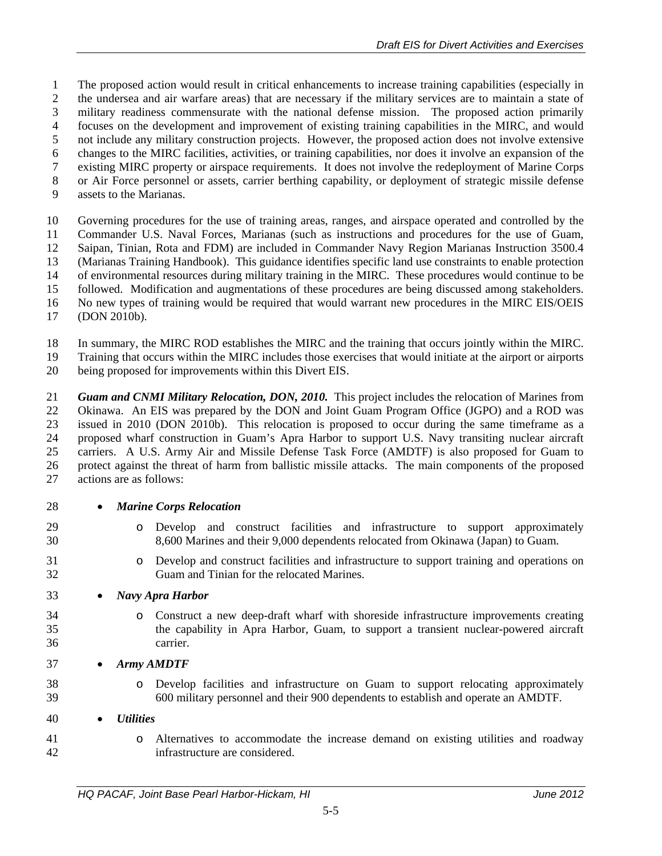1 The proposed action would result in critical enhancements to increase training capabilities (especially in 2 the undersea and air warfare areas) that are necessary if the military services are to maintain a state of 3 military readiness commensurate with the national defense mission. The proposed action primarily 4 focuses on the development and improvement of existing training capabilities in the MIRC, and would 5 not include any military construction projects. However, the proposed action does not involve extensive 6 changes to the MIRC facilities, activities, or training capabilities, nor does it involve an expansion of the 7 existing MIRC property or airspace requirements. It does not involve the redeployment of Marine Corps 8 or Air Force personnel or assets, carrier berthing capability, or deployment of strategic missile defense 9 assets to the Marianas.

 Governing procedures for the use of training areas, ranges, and airspace operated and controlled by the Commander U.S. Naval Forces, Marianas (such as instructions and procedures for the use of Guam, Saipan, Tinian, Rota and FDM) are included in Commander Navy Region Marianas Instruction 3500.4 (Marianas Training Handbook). This guidance identifies specific land use constraints to enable protection of environmental resources during military training in the MIRC. These procedures would continue to be followed. Modification and augmentations of these procedures are being discussed among stakeholders. No new types of training would be required that would warrant new procedures in the MIRC EIS/OEIS

(DON 2010b).

In summary, the MIRC ROD establishes the MIRC and the training that occurs jointly within the MIRC.

Training that occurs within the MIRC includes those exercises that would initiate at the airport or airports

being proposed for improvements within this Divert EIS.

 *Guam and CNMI Military Relocation, DON, 2010.* This project includes the relocation of Marines from Okinawa. An EIS was prepared by the DON and Joint Guam Program Office (JGPO) and a ROD was issued in 2010 (DON 2010b). This relocation is proposed to occur during the same timeframe as a proposed wharf construction in Guam's Apra Harbor to support U.S. Navy transiting nuclear aircraft carriers. A U.S. Army Air and Missile Defense Task Force (AMDTF) is also proposed for Guam to protect against the threat of harm from ballistic missile attacks. The main components of the proposed actions are as follows:

• *Marine Corps Relocation*

| 29<br>30       |           | Develop and construct facilities and infrastructure to support approximately<br>$\circ$<br>8,600 Marines and their 9,000 dependents relocated from Okinawa (Japan) to Guam.                         |
|----------------|-----------|-----------------------------------------------------------------------------------------------------------------------------------------------------------------------------------------------------|
| 31<br>32       |           | Develop and construct facilities and infrastructure to support training and operations on<br>$\circ$<br>Guam and Tinian for the relocated Marines.                                                  |
| 33             |           | Navy Apra Harbor                                                                                                                                                                                    |
| 34<br>35<br>36 |           | Construct a new deep-draft wharf with shoreside infrastructure improvements creating<br>$\circ$<br>the capability in Apra Harbor, Guam, to support a transient nuclear-powered aircraft<br>carrier. |
| 37             | $\bullet$ | Army AMDTF                                                                                                                                                                                          |
| 38<br>39       |           | Develop facilities and infrastructure on Guam to support relocating approximately<br>$\circ$<br>600 military personnel and their 900 dependents to establish and operate an AMDTF.                  |
| 40             | $\bullet$ | <i><b>Utilities</b></i>                                                                                                                                                                             |
| 41<br>42       |           | Alternatives to accommodate the increase demand on existing utilities and roadway<br>$\circ$<br>infrastructure are considered.                                                                      |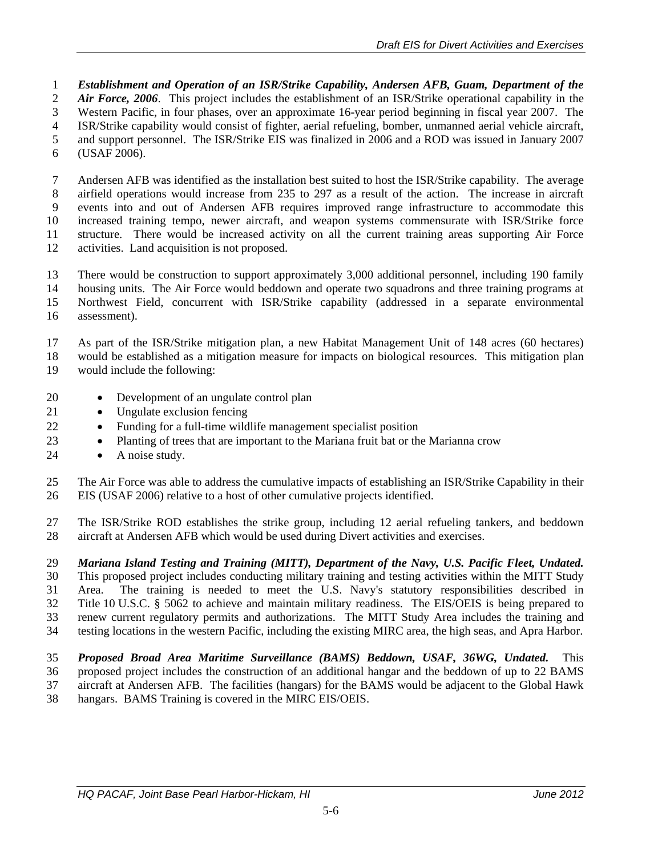*Establishment and Operation of an ISR/Strike Capability, Andersen AFB, Guam, Department of the*  2 Air Force, 2006. This project includes the establishment of an ISR/Strike operational capability in the 3 Western Pacific, in four phases, over an approximate 16-year period beginning in fiscal year 2007. The 4 ISR/Strike capability would consist of fighter, aerial refueling, bomber, unmanned aerial vehicle aircraft, 5 and support personnel. The ISR/Strike EIS was finalized in 2006 and a ROD was issued in January 2007 6 (USAF 2006).

7 Andersen AFB was identified as the installation best suited to host the ISR/Strike capability. The average 8 airfield operations would increase from 235 to 297 as a result of the action. The increase in aircraft 9 events into and out of Andersen AFB requires improved range infrastructure to accommodate this increased training tempo, newer aircraft, and weapon systems commensurate with ISR/Strike force structure. There would be increased activity on all the current training areas supporting Air Force activities. Land acquisition is not proposed.

 There would be construction to support approximately 3,000 additional personnel, including 190 family housing units. The Air Force would beddown and operate two squadrons and three training programs at Northwest Field, concurrent with ISR/Strike capability (addressed in a separate environmental

assessment).

As part of the ISR/Strike mitigation plan, a new Habitat Management Unit of 148 acres (60 hectares)

would be established as a mitigation measure for impacts on biological resources. This mitigation plan

- would include the following:
- 20 Development of an ungulate control plan
- Ungulate exclusion fencing
- Funding for a full-time wildlife management specialist position
- Planting of trees that are important to the Mariana fruit bat or the Marianna crow
- 24 A noise study.

 The Air Force was able to address the cumulative impacts of establishing an ISR/Strike Capability in their EIS (USAF 2006) relative to a host of other cumulative projects identified.

 The ISR/Strike ROD establishes the strike group, including 12 aerial refueling tankers, and beddown aircraft at Andersen AFB which would be used during Divert activities and exercises.

 *Mariana Island Testing and Training (MITT), Department of the Navy, U.S. Pacific Fleet, Undated.*  This proposed project includes conducting military training and testing activities within the MITT Study Area. The training is needed to meet the U.S. Navy's statutory responsibilities described in Title 10 U.S.C. § 5062 to achieve and maintain military readiness. The EIS/OEIS is being prepared to renew current regulatory permits and authorizations. The MITT Study Area includes the training and testing locations in the western Pacific, including the existing MIRC area, the high seas, and Apra Harbor.

 *Proposed Broad Area Maritime Surveillance (BAMS) Beddown, USAF, 36WG, Undated.* This proposed project includes the construction of an additional hangar and the beddown of up to 22 BAMS aircraft at Andersen AFB. The facilities (hangars) for the BAMS would be adjacent to the Global Hawk

hangars. BAMS Training is covered in the MIRC EIS/OEIS.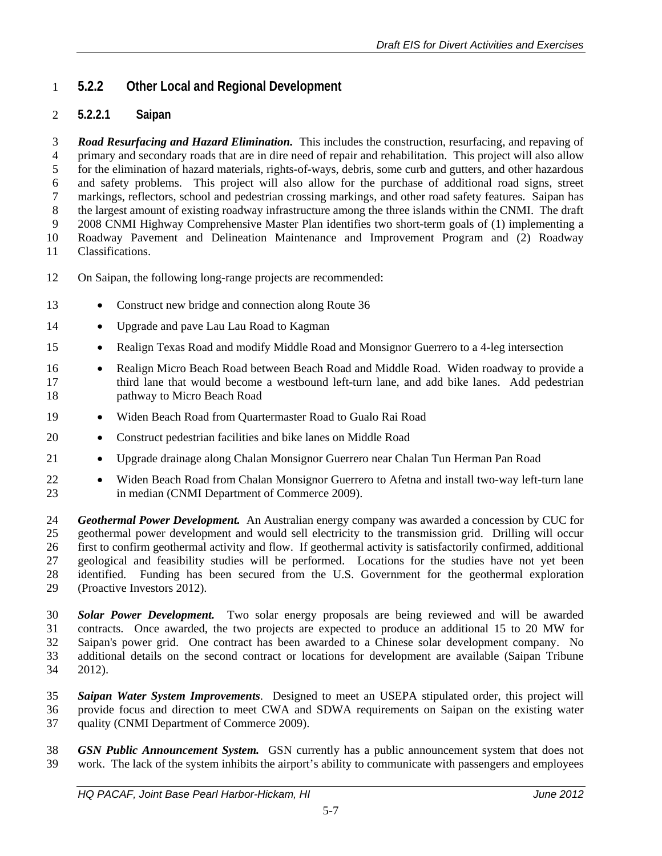## **5.2.2 Other Local and Regional Development**

## **5.2.2.1 Saipan**

*Road Resurfacing and Hazard Elimination.* This includes the construction, resurfacing, and repaving of 4 primary and secondary roads that are in dire need of repair and rehabilitation. This project will also allow 5 for the elimination of hazard materials, rights-of-ways, debris, some curb and gutters, and other hazardous 6 and safety problems. This project will also allow for the purchase of additional road signs, street 7 markings, reflectors, school and pedestrian crossing markings, and other road safety features. Saipan has 8 the largest amount of existing roadway infrastructure among the three islands within the CNMI. The draft 9 2008 CNMI Highway Comprehensive Master Plan identifies two short-term goals of (1) implementing a Roadway Pavement and Delineation Maintenance and Improvement Program and (2) Roadway Classifications.

- On Saipan, the following long-range projects are recommended:
- Construct new bridge and connection along Route 36
- Upgrade and pave Lau Lau Road to Kagman
- Realign Texas Road and modify Middle Road and Monsignor Guerrero to a 4-leg intersection
- 16 Realign Micro Beach Road between Beach Road and Middle Road. Widen roadway to provide a third lane that would become a westbound left-turn lane, and add bike lanes. Add pedestrian pathway to Micro Beach Road
- Widen Beach Road from Quartermaster Road to Gualo Rai Road
- Construct pedestrian facilities and bike lanes on Middle Road
- Upgrade drainage along Chalan Monsignor Guerrero near Chalan Tun Herman Pan Road
- <sup>22</sup> Widen Beach Road from Chalan Monsignor Guerrero to Afetna and install two-way left-turn lane<br><sup>23</sup> in median (CNMI Department of Commerce 2009). in median (CNMI Department of Commerce 2009).

 *Geothermal Power Development.* An Australian energy company was awarded a concession by CUC for geothermal power development and would sell electricity to the transmission grid. Drilling will occur first to confirm geothermal activity and flow. If geothermal activity is satisfactorily confirmed, additional geological and feasibility studies will be performed. Locations for the studies have not yet been identified. Funding has been secured from the U.S. Government for the geothermal exploration (Proactive Investors 2012).

 *Solar Power Development.* Two solar energy proposals are being reviewed and will be awarded contracts. Once awarded, the two projects are expected to produce an additional 15 to 20 MW for Saipan's power grid. One contract has been awarded to a Chinese solar development company. No additional details on the second contract or locations for development are available (Saipan Tribune 2012).

 *Saipan Water System Improvements*. Designed to meet an USEPA stipulated order, this project will provide focus and direction to meet CWA and SDWA requirements on Saipan on the existing water quality (CNMI Department of Commerce 2009).

 *GSN Public Announcement System.* GSN currently has a public announcement system that does not work. The lack of the system inhibits the airport's ability to communicate with passengers and employees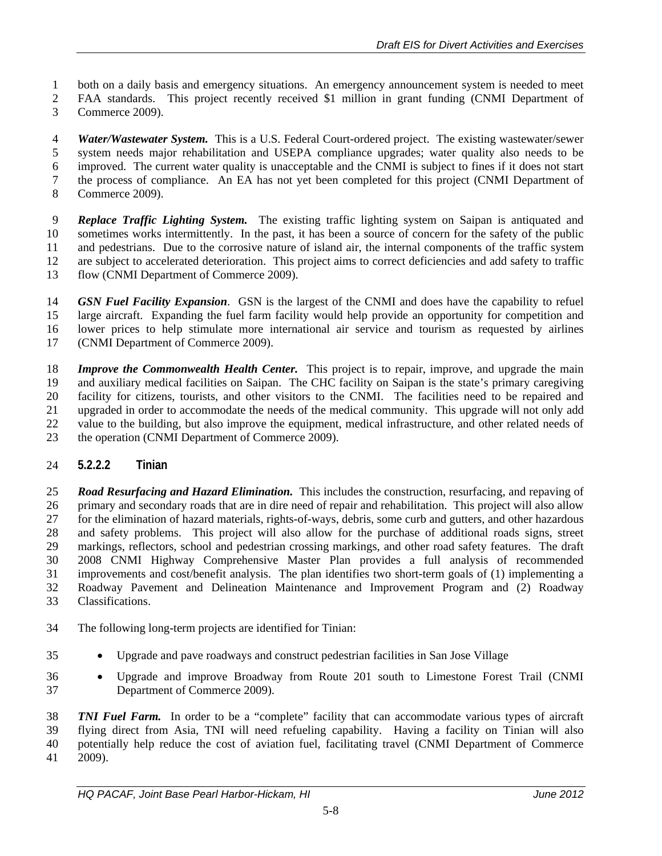1 both on a daily basis and emergency situations. An emergency announcement system is needed to meet

- 2 FAA standards. This project recently received \$1 million in grant funding (CNMI Department of
- 3 Commerce 2009).

*Water/Wastewater System.* This is a U.S. Federal Court-ordered project. The existing wastewater/sewer 5 system needs major rehabilitation and USEPA compliance upgrades; water quality also needs to be 6 improved. The current water quality is unacceptable and the CNMI is subject to fines if it does not start 7 the process of compliance. An EA has not yet been completed for this project (CNMI Department of 8 Commerce 2009).

*Replace Traffic Lighting System.* The existing traffic lighting system on Saipan is antiquated and sometimes works intermittently. In the past, it has been a source of concern for the safety of the public and pedestrians. Due to the corrosive nature of island air, the internal components of the traffic system are subject to accelerated deterioration. This project aims to correct deficiencies and add safety to traffic flow (CNMI Department of Commerce 2009).

 *GSN Fuel Facility Expansion*. GSN is the largest of the CNMI and does have the capability to refuel large aircraft. Expanding the fuel farm facility would help provide an opportunity for competition and lower prices to help stimulate more international air service and tourism as requested by airlines (CNMI Department of Commerce 2009).

 *Improve the Commonwealth Health Center.* This project is to repair, improve, and upgrade the main and auxiliary medical facilities on Saipan. The CHC facility on Saipan is the state's primary caregiving facility for citizens, tourists, and other visitors to the CNMI. The facilities need to be repaired and upgraded in order to accommodate the needs of the medical community. This upgrade will not only add value to the building, but also improve the equipment, medical infrastructure, and other related needs of 23 the operation (CNMI Department of Commerce 2009).

**5.2.2.2 Tinian**

 *Road Resurfacing and Hazard Elimination.* This includes the construction, resurfacing, and repaving of primary and secondary roads that are in dire need of repair and rehabilitation. This project will also allow for the elimination of hazard materials, rights-of-ways, debris, some curb and gutters, and other hazardous and safety problems. This project will also allow for the purchase of additional roads signs, street markings, reflectors, school and pedestrian crossing markings, and other road safety features. The draft 2008 CNMI Highway Comprehensive Master Plan provides a full analysis of recommended improvements and cost/benefit analysis. The plan identifies two short-term goals of (1) implementing a Roadway Pavement and Delineation Maintenance and Improvement Program and (2) Roadway Classifications.

- The following long-term projects are identified for Tinian:
- Upgrade and pave roadways and construct pedestrian facilities in San Jose Village
- Upgrade and improve Broadway from Route 201 south to Limestone Forest Trail (CNMI Department of Commerce 2009).

 *TNI Fuel Farm.* In order to be a "complete" facility that can accommodate various types of aircraft flying direct from Asia, TNI will need refueling capability. Having a facility on Tinian will also potentially help reduce the cost of aviation fuel, facilitating travel (CNMI Department of Commerce 2009).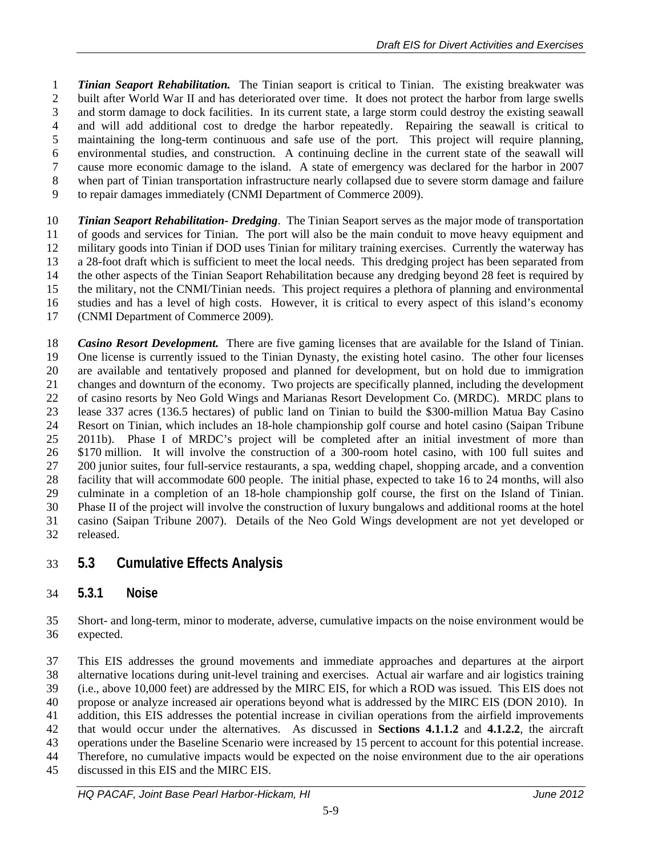*Tinian Seaport Rehabilitation.* The Tinian seaport is critical to Tinian. The existing breakwater was 2 built after World War II and has deteriorated over time. It does not protect the harbor from large swells 3 and storm damage to dock facilities. In its current state, a large storm could destroy the existing seawall 4 and will add additional cost to dredge the harbor repeatedly. Repairing the seawall is critical to 5 maintaining the long-term continuous and safe use of the port. This project will require planning, 6 environmental studies, and construction. A continuing decline in the current state of the seawall will 7 cause more economic damage to the island. A state of emergency was declared for the harbor in 2007 8 when part of Tinian transportation infrastructure nearly collapsed due to severe storm damage and failure 9 to repair damages immediately (CNMI Department of Commerce 2009).

 *Tinian Seaport Rehabilitation- Dredging*. The Tinian Seaport serves as the major mode of transportation of goods and services for Tinian. The port will also be the main conduit to move heavy equipment and military goods into Tinian if DOD uses Tinian for military training exercises. Currently the waterway has a 28-foot draft which is sufficient to meet the local needs. This dredging project has been separated from the other aspects of the Tinian Seaport Rehabilitation because any dredging beyond 28 feet is required by the military, not the CNMI/Tinian needs. This project requires a plethora of planning and environmental studies and has a level of high costs. However, it is critical to every aspect of this island's economy (CNMI Department of Commerce 2009).

 *Casino Resort Development.* There are five gaming licenses that are available for the Island of Tinian. One license is currently issued to the Tinian Dynasty, the existing hotel casino. The other four licenses are available and tentatively proposed and planned for development, but on hold due to immigration changes and downturn of the economy. Two projects are specifically planned, including the development of casino resorts by Neo Gold Wings and Marianas Resort Development Co. (MRDC). MRDC plans to lease 337 acres (136.5 hectares) of public land on Tinian to build the \$300-million Matua Bay Casino Resort on Tinian, which includes an 18-hole championship golf course and hotel casino (Saipan Tribune 2011b). Phase I of MRDC's project will be completed after an initial investment of more than \$170 million. It will involve the construction of a 300-room hotel casino, with 100 full suites and 200 junior suites, four full-service restaurants, a spa, wedding chapel, shopping arcade, and a convention facility that will accommodate 600 people. The initial phase, expected to take 16 to 24 months, will also culminate in a completion of an 18-hole championship golf course, the first on the Island of Tinian. Phase II of the project will involve the construction of luxury bungalows and additional rooms at the hotel casino (Saipan Tribune 2007). Details of the Neo Gold Wings development are not yet developed or released.

## **5.3 Cumulative Effects Analysis**

## **5.3.1 Noise**

 Short- and long-term, minor to moderate, adverse, cumulative impacts on the noise environment would be expected.

 This EIS addresses the ground movements and immediate approaches and departures at the airport alternative locations during unit-level training and exercises. Actual air warfare and air logistics training (i.e., above 10,000 feet) are addressed by the MIRC EIS, for which a ROD was issued. This EIS does not propose or analyze increased air operations beyond what is addressed by the MIRC EIS (DON 2010). In addition, this EIS addresses the potential increase in civilian operations from the airfield improvements that would occur under the alternatives. As discussed in **Sections 4.1.1.2** and **4.1.2.2**, the aircraft operations under the Baseline Scenario were increased by 15 percent to account for this potential increase. Therefore, no cumulative impacts would be expected on the noise environment due to the air operations

discussed in this EIS and the MIRC EIS.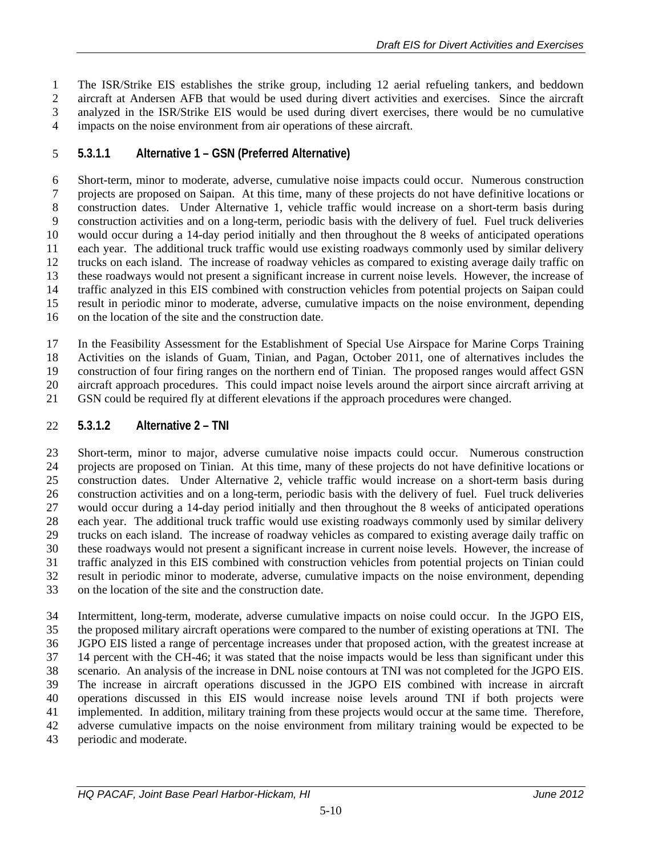1 The ISR/Strike EIS establishes the strike group, including 12 aerial refueling tankers, and beddown 2 aircraft at Andersen AFB that would be used during divert activities and exercises. Since the aircraft 3 analyzed in the ISR/Strike EIS would be used during divert exercises, there would be no cumulative 4 impacts on the noise environment from air operations of these aircraft.

## **5.3.1.1 Alternative 1 – GSN (Preferred Alternative)**

6 Short-term, minor to moderate, adverse, cumulative noise impacts could occur. Numerous construction 7 projects are proposed on Saipan. At this time, many of these projects do not have definitive locations or 8 construction dates. Under Alternative 1, vehicle traffic would increase on a short-term basis during 9 construction activities and on a long-term, periodic basis with the delivery of fuel. Fuel truck deliveries would occur during a 14-day period initially and then throughout the 8 weeks of anticipated operations each year. The additional truck traffic would use existing roadways commonly used by similar delivery trucks on each island. The increase of roadway vehicles as compared to existing average daily traffic on these roadways would not present a significant increase in current noise levels. However, the increase of traffic analyzed in this EIS combined with construction vehicles from potential projects on Saipan could result in periodic minor to moderate, adverse, cumulative impacts on the noise environment, depending on the location of the site and the construction date.

 In the Feasibility Assessment for the Establishment of Special Use Airspace for Marine Corps Training Activities on the islands of Guam, Tinian, and Pagan, October 2011, one of alternatives includes the construction of four firing ranges on the northern end of Tinian. The proposed ranges would affect GSN aircraft approach procedures. This could impact noise levels around the airport since aircraft arriving at GSN could be required fly at different elevations if the approach procedures were changed.

## **5.3.1.2 Alternative 2 – TNI**

 Short-term, minor to major, adverse cumulative noise impacts could occur. Numerous construction projects are proposed on Tinian. At this time, many of these projects do not have definitive locations or construction dates. Under Alternative 2, vehicle traffic would increase on a short-term basis during construction activities and on a long-term, periodic basis with the delivery of fuel. Fuel truck deliveries would occur during a 14-day period initially and then throughout the 8 weeks of anticipated operations each year. The additional truck traffic would use existing roadways commonly used by similar delivery trucks on each island. The increase of roadway vehicles as compared to existing average daily traffic on these roadways would not present a significant increase in current noise levels. However, the increase of traffic analyzed in this EIS combined with construction vehicles from potential projects on Tinian could result in periodic minor to moderate, adverse, cumulative impacts on the noise environment, depending on the location of the site and the construction date.

 Intermittent, long-term, moderate, adverse cumulative impacts on noise could occur. In the JGPO EIS, the proposed military aircraft operations were compared to the number of existing operations at TNI. The JGPO EIS listed a range of percentage increases under that proposed action, with the greatest increase at 14 percent with the CH-46; it was stated that the noise impacts would be less than significant under this scenario. An analysis of the increase in DNL noise contours at TNI was not completed for the JGPO EIS. The increase in aircraft operations discussed in the JGPO EIS combined with increase in aircraft operations discussed in this EIS would increase noise levels around TNI if both projects were implemented. In addition, military training from these projects would occur at the same time. Therefore, adverse cumulative impacts on the noise environment from military training would be expected to be periodic and moderate.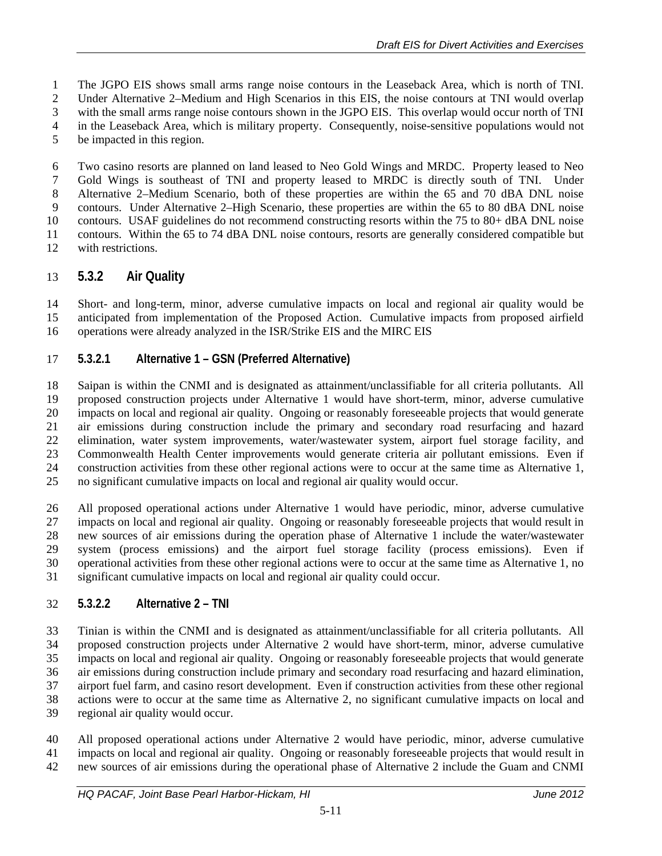1 The JGPO EIS shows small arms range noise contours in the Leaseback Area, which is north of TNI. 2 Under Alternative 2–Medium and High Scenarios in this EIS, the noise contours at TNI would overlap 3 with the small arms range noise contours shown in the JGPO EIS. This overlap would occur north of TNI 4 in the Leaseback Area, which is military property. Consequently, noise-sensitive populations would not 5 be impacted in this region.

6 Two casino resorts are planned on land leased to Neo Gold Wings and MRDC. Property leased to Neo 7 Gold Wings is southeast of TNI and property leased to MRDC is directly south of TNI. Under 8 Alternative 2–Medium Scenario, both of these properties are within the 65 and 70 dBA DNL noise 9 contours. Under Alternative 2–High Scenario, these properties are within the 65 to 80 dBA DNL noise contours. USAF guidelines do not recommend constructing resorts within the 75 to 80+ dBA DNL noise contours. Within the 65 to 74 dBA DNL noise contours, resorts are generally considered compatible but with restrictions.

## **5.3.2 Air Quality**

 Short- and long-term, minor, adverse cumulative impacts on local and regional air quality would be anticipated from implementation of the Proposed Action. Cumulative impacts from proposed airfield operations were already analyzed in the ISR/Strike EIS and the MIRC EIS

### **5.3.2.1 Alternative 1 – GSN (Preferred Alternative)**

 Saipan is within the CNMI and is designated as attainment/unclassifiable for all criteria pollutants. All proposed construction projects under Alternative 1 would have short-term, minor, adverse cumulative impacts on local and regional air quality. Ongoing or reasonably foreseeable projects that would generate air emissions during construction include the primary and secondary road resurfacing and hazard elimination, water system improvements, water/wastewater system, airport fuel storage facility, and Commonwealth Health Center improvements would generate criteria air pollutant emissions. Even if construction activities from these other regional actions were to occur at the same time as Alternative 1, no significant cumulative impacts on local and regional air quality would occur.

 All proposed operational actions under Alternative 1 would have periodic, minor, adverse cumulative impacts on local and regional air quality. Ongoing or reasonably foreseeable projects that would result in new sources of air emissions during the operation phase of Alternative 1 include the water/wastewater system (process emissions) and the airport fuel storage facility (process emissions). Even if operational activities from these other regional actions were to occur at the same time as Alternative 1, no significant cumulative impacts on local and regional air quality could occur.

## **5.3.2.2 Alternative 2 – TNI**

 Tinian is within the CNMI and is designated as attainment/unclassifiable for all criteria pollutants. All proposed construction projects under Alternative 2 would have short-term, minor, adverse cumulative impacts on local and regional air quality. Ongoing or reasonably foreseeable projects that would generate air emissions during construction include primary and secondary road resurfacing and hazard elimination, airport fuel farm, and casino resort development. Even if construction activities from these other regional actions were to occur at the same time as Alternative 2, no significant cumulative impacts on local and regional air quality would occur.

 All proposed operational actions under Alternative 2 would have periodic, minor, adverse cumulative impacts on local and regional air quality. Ongoing or reasonably foreseeable projects that would result in new sources of air emissions during the operational phase of Alternative 2 include the Guam and CNMI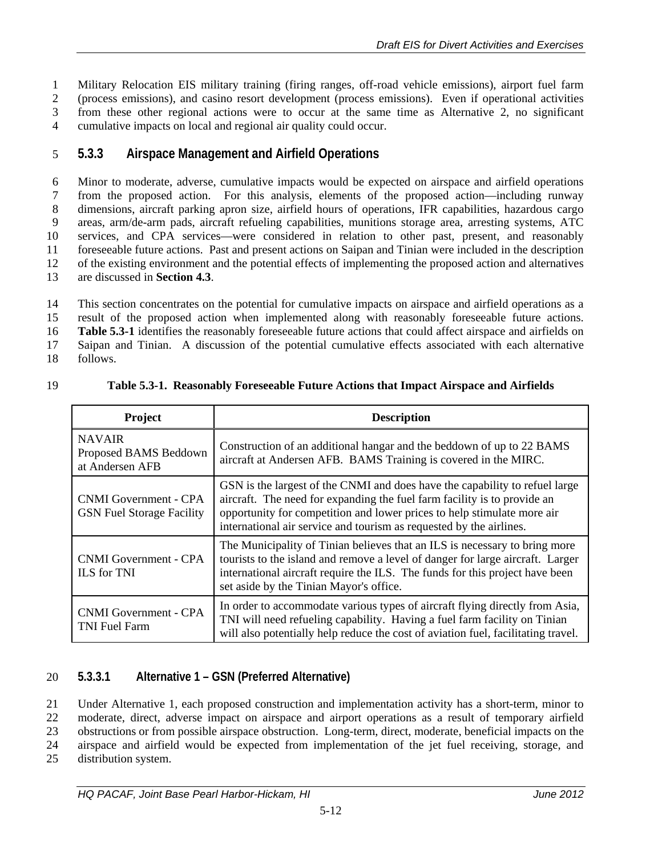1 Military Relocation EIS military training (firing ranges, off-road vehicle emissions), airport fuel farm 2 (process emissions), and casino resort development (process emissions). Even if operational activities 3 from these other regional actions were to occur at the same time as Alternative 2, no significant 4 cumulative impacts on local and regional air quality could occur.

## 5 **5.3.3 Airspace Management and Airfield Operations**

6 Minor to moderate, adverse, cumulative impacts would be expected on airspace and airfield operations 7 from the proposed action. For this analysis, elements of the proposed action—including runway 8 dimensions, aircraft parking apron size, airfield hours of operations, IFR capabilities, hazardous cargo<br>9 areas, arm/de-arm pads, aircraft refueling capabilities, munitions storage area, arresting systems, ATC 9 areas, arm/de-arm pads, aircraft refueling capabilities, munitions storage area, arresting systems, ATC 10 services, and CPA services—were considered in relation to other past, present, and reasonably 11 foreseeable future actions. Past and present actions on Saipan and Tinian were included in the description 12 of the existing environment and the potential effects of implementing the proposed action and alternatives 13 are discussed in **Section 4.3**.

 This section concentrates on the potential for cumulative impacts on airspace and airfield operations as a result of the proposed action when implemented along with reasonably foreseeable future actions. **Table 5.3-1** identifies the reasonably foreseeable future actions that could affect airspace and airfields on Saipan and Tinian. A discussion of the potential cumulative effects associated with each alternative 18 follows.

| Project                                                   | <b>Description</b>                                                                                                                                                                                                                                                                                        |
|-----------------------------------------------------------|-----------------------------------------------------------------------------------------------------------------------------------------------------------------------------------------------------------------------------------------------------------------------------------------------------------|
| <b>NAVAIR</b><br>Proposed BAMS Beddown<br>at Andersen AFB | Construction of an additional hangar and the beddown of up to 22 BAMS<br>aircraft at Andersen AFB. BAMS Training is covered in the MIRC.                                                                                                                                                                  |
| CNMI Government - CPA<br><b>GSN Fuel Storage Facility</b> | GSN is the largest of the CNMI and does have the capability to refuel large<br>aircraft. The need for expanding the fuel farm facility is to provide an<br>opportunity for competition and lower prices to help stimulate more air<br>international air service and tourism as requested by the airlines. |
| <b>CNMI</b> Government - CPA<br><b>ILS</b> for TNI        | The Municipality of Tinian believes that an ILS is necessary to bring more<br>tourists to the island and remove a level of danger for large aircraft. Larger<br>international aircraft require the ILS. The funds for this project have been<br>set aside by the Tinian Mayor's office.                   |
| <b>CNMI</b> Government - CPA<br><b>TNI Fuel Farm</b>      | In order to accommodate various types of aircraft flying directly from Asia,<br>TNI will need refueling capability. Having a fuel farm facility on Tinian<br>will also potentially help reduce the cost of aviation fuel, facilitating travel.                                                            |

### 19 **Table 5.3-1. Reasonably Foreseeable Future Actions that Impact Airspace and Airfields**

## 20 **5.3.3.1 Alternative 1 – GSN (Preferred Alternative)**

 Under Alternative 1, each proposed construction and implementation activity has a short-term, minor to moderate, direct, adverse impact on airspace and airport operations as a result of temporary airfield obstructions or from possible airspace obstruction. Long-term, direct, moderate, beneficial impacts on the airspace and airfield would be expected from implementation of the jet fuel receiving, storage, and distribution system.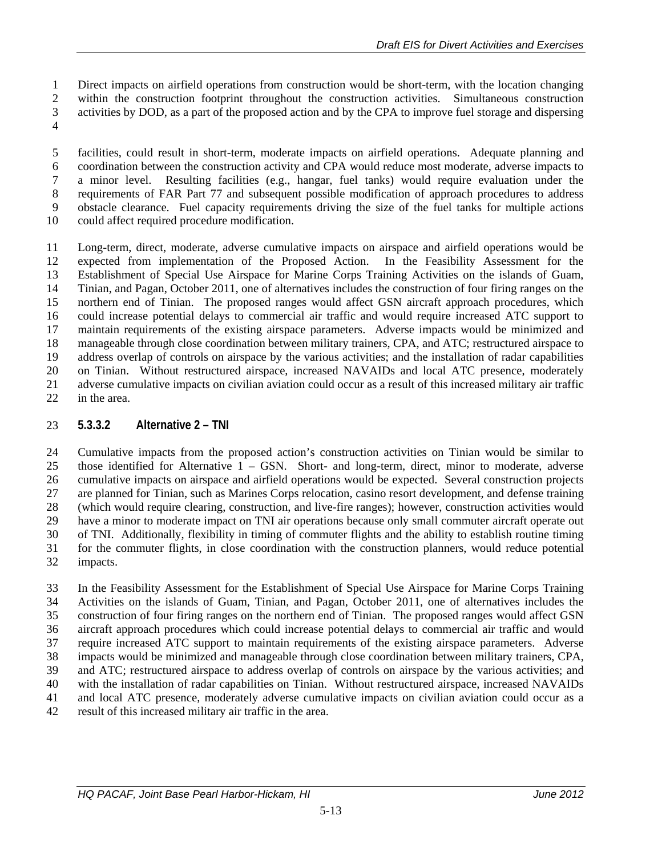1 Direct impacts on airfield operations from construction would be short-term, with the location changing 2 within the construction footprint throughout the construction activities. Simultaneous construction 3 activities by DOD, as a part of the proposed action and by the CPA to improve fuel storage and dispersing

5 facilities, could result in short-term, moderate impacts on airfield operations. Adequate planning and 6 coordination between the construction activity and CPA would reduce most moderate, adverse impacts to 7 a minor level. Resulting facilities (e.g., hangar, fuel tanks) would require evaluation under the 8 requirements of FAR Part 77 and subsequent possible modification of approach procedures to address 9 obstacle clearance. Fuel capacity requirements driving the size of the fuel tanks for multiple actions could affect required procedure modification.

 Long-term, direct, moderate, adverse cumulative impacts on airspace and airfield operations would be expected from implementation of the Proposed Action. In the Feasibility Assessment for the Establishment of Special Use Airspace for Marine Corps Training Activities on the islands of Guam, Tinian, and Pagan, October 2011, one of alternatives includes the construction of four firing ranges on the northern end of Tinian. The proposed ranges would affect GSN aircraft approach procedures, which could increase potential delays to commercial air traffic and would require increased ATC support to maintain requirements of the existing airspace parameters. Adverse impacts would be minimized and manageable through close coordination between military trainers, CPA, and ATC; restructured airspace to address overlap of controls on airspace by the various activities; and the installation of radar capabilities on Tinian. Without restructured airspace, increased NAVAIDs and local ATC presence, moderately adverse cumulative impacts on civilian aviation could occur as a result of this increased military air traffic in the area.

## **5.3.3.2 Alternative 2 – TNI**

 Cumulative impacts from the proposed action's construction activities on Tinian would be similar to those identified for Alternative 1 – GSN. Short- and long-term, direct, minor to moderate, adverse cumulative impacts on airspace and airfield operations would be expected. Several construction projects are planned for Tinian, such as Marines Corps relocation, casino resort development, and defense training (which would require clearing, construction, and live-fire ranges); however, construction activities would have a minor to moderate impact on TNI air operations because only small commuter aircraft operate out of TNI. Additionally, flexibility in timing of commuter flights and the ability to establish routine timing for the commuter flights, in close coordination with the construction planners, would reduce potential impacts.

 In the Feasibility Assessment for the Establishment of Special Use Airspace for Marine Corps Training Activities on the islands of Guam, Tinian, and Pagan, October 2011, one of alternatives includes the construction of four firing ranges on the northern end of Tinian. The proposed ranges would affect GSN aircraft approach procedures which could increase potential delays to commercial air traffic and would require increased ATC support to maintain requirements of the existing airspace parameters. Adverse impacts would be minimized and manageable through close coordination between military trainers, CPA, and ATC; restructured airspace to address overlap of controls on airspace by the various activities; and with the installation of radar capabilities on Tinian. Without restructured airspace, increased NAVAIDs and local ATC presence, moderately adverse cumulative impacts on civilian aviation could occur as a result of this increased military air traffic in the area.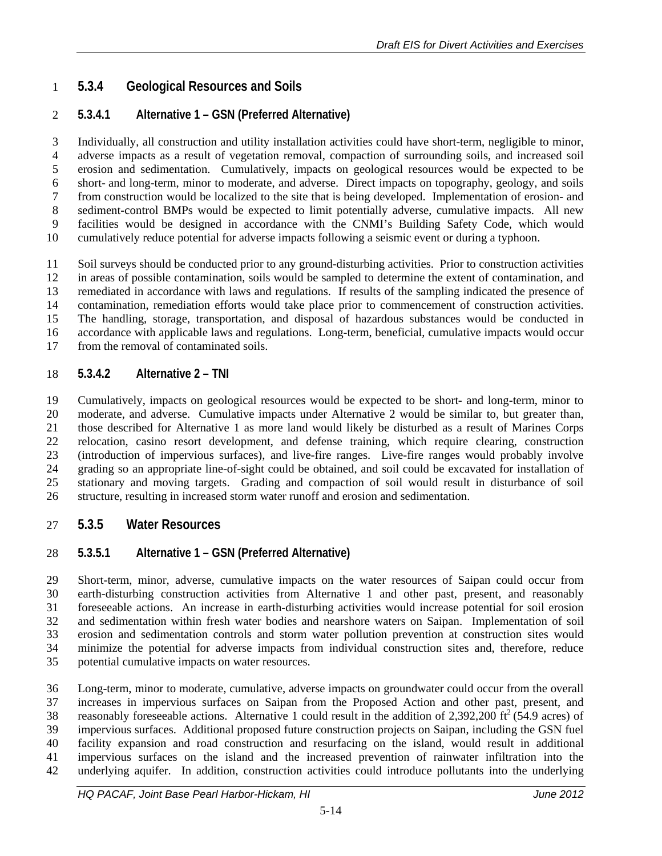## **5.3.4 Geological Resources and Soils**

## **5.3.4.1 Alternative 1 – GSN (Preferred Alternative)**

3 Individually, all construction and utility installation activities could have short-term, negligible to minor, 4 adverse impacts as a result of vegetation removal, compaction of surrounding soils, and increased soil 5 erosion and sedimentation. Cumulatively, impacts on geological resources would be expected to be 6 short- and long-term, minor to moderate, and adverse. Direct impacts on topography, geology, and soils 7 from construction would be localized to the site that is being developed. Implementation of erosion- and 8 sediment-control BMPs would be expected to limit potentially adverse, cumulative impacts. All new 9 facilities would be designed in accordance with the CNMI's Building Safety Code, which would cumulatively reduce potential for adverse impacts following a seismic event or during a typhoon.

 Soil surveys should be conducted prior to any ground-disturbing activities. Prior to construction activities in areas of possible contamination, soils would be sampled to determine the extent of contamination, and remediated in accordance with laws and regulations. If results of the sampling indicated the presence of contamination, remediation efforts would take place prior to commencement of construction activities. The handling, storage, transportation, and disposal of hazardous substances would be conducted in accordance with applicable laws and regulations. Long-term, beneficial, cumulative impacts would occur from the removal of contaminated soils.

## **5.3.4.2 Alternative 2 – TNI**

 Cumulatively, impacts on geological resources would be expected to be short- and long-term, minor to moderate, and adverse. Cumulative impacts under Alternative 2 would be similar to, but greater than, those described for Alternative 1 as more land would likely be disturbed as a result of Marines Corps relocation, casino resort development, and defense training, which require clearing, construction (introduction of impervious surfaces), and live-fire ranges. Live-fire ranges would probably involve grading so an appropriate line-of-sight could be obtained, and soil could be excavated for installation of stationary and moving targets. Grading and compaction of soil would result in disturbance of soil structure, resulting in increased storm water runoff and erosion and sedimentation.

## **5.3.5 Water Resources**

## **5.3.5.1 Alternative 1 – GSN (Preferred Alternative)**

 Short-term, minor, adverse, cumulative impacts on the water resources of Saipan could occur from earth-disturbing construction activities from Alternative 1 and other past, present, and reasonably foreseeable actions. An increase in earth-disturbing activities would increase potential for soil erosion and sedimentation within fresh water bodies and nearshore waters on Saipan. Implementation of soil erosion and sedimentation controls and storm water pollution prevention at construction sites would minimize the potential for adverse impacts from individual construction sites and, therefore, reduce potential cumulative impacts on water resources.

 Long-term, minor to moderate, cumulative, adverse impacts on groundwater could occur from the overall increases in impervious surfaces on Saipan from the Proposed Action and other past, present, and 38 reasonably foreseeable actions. Alternative 1 could result in the addition of 2,392,200 ft<sup>2</sup> (54.9 acres) of impervious surfaces. Additional proposed future construction projects on Saipan, including the GSN fuel facility expansion and road construction and resurfacing on the island, would result in additional impervious surfaces on the island and the increased prevention of rainwater infiltration into the underlying aquifer. In addition, construction activities could introduce pollutants into the underlying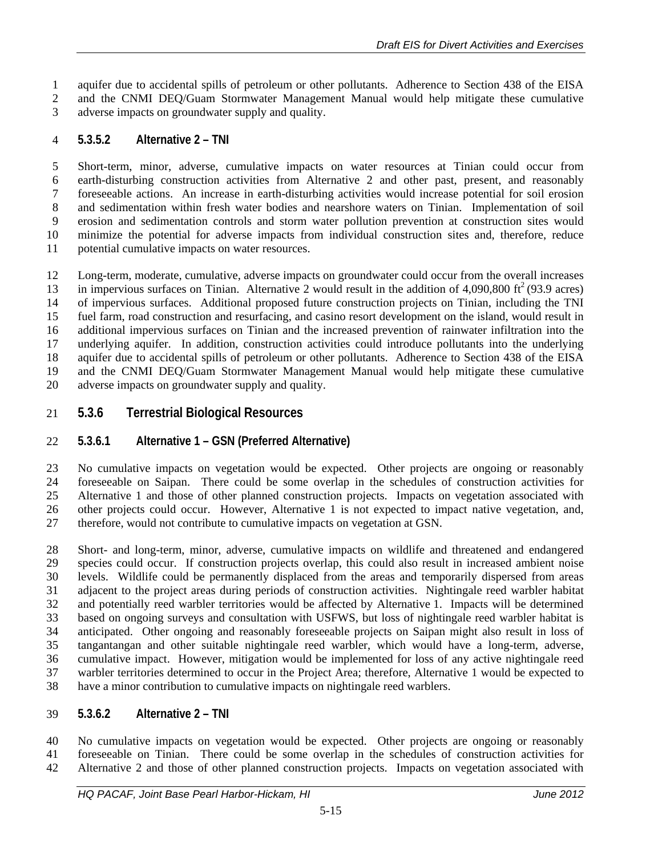1 aquifer due to accidental spills of petroleum or other pollutants. Adherence to Section 438 of the EISA 2 and the CNMI DEQ/Guam Stormwater Management Manual would help mitigate these cumulative 3 adverse impacts on groundwater supply and quality.

### **5.3.5.2 Alternative 2 – TNI**

5 Short-term, minor, adverse, cumulative impacts on water resources at Tinian could occur from 6 earth-disturbing construction activities from Alternative 2 and other past, present, and reasonably 7 foreseeable actions. An increase in earth-disturbing activities would increase potential for soil erosion 8 and sedimentation within fresh water bodies and nearshore waters on Tinian. Implementation of soil 9 erosion and sedimentation controls and storm water pollution prevention at construction sites would minimize the potential for adverse impacts from individual construction sites and, therefore, reduce potential cumulative impacts on water resources.

 Long-term, moderate, cumulative, adverse impacts on groundwater could occur from the overall increases in impervious surfaces on Tinian. Alternative 2 would result in the addition of 4,090,800 ft<sup>2</sup> (93.9 acres) of impervious surfaces. Additional proposed future construction projects on Tinian, including the TNI fuel farm, road construction and resurfacing, and casino resort development on the island, would result in additional impervious surfaces on Tinian and the increased prevention of rainwater infiltration into the underlying aquifer. In addition, construction activities could introduce pollutants into the underlying aquifer due to accidental spills of petroleum or other pollutants. Adherence to Section 438 of the EISA and the CNMI DEQ/Guam Stormwater Management Manual would help mitigate these cumulative adverse impacts on groundwater supply and quality.

**5.3.6 Terrestrial Biological Resources**

## **5.3.6.1 Alternative 1 – GSN (Preferred Alternative)**

 No cumulative impacts on vegetation would be expected. Other projects are ongoing or reasonably foreseeable on Saipan. There could be some overlap in the schedules of construction activities for Alternative 1 and those of other planned construction projects. Impacts on vegetation associated with other projects could occur. However, Alternative 1 is not expected to impact native vegetation, and, therefore, would not contribute to cumulative impacts on vegetation at GSN.

 Short- and long-term, minor, adverse, cumulative impacts on wildlife and threatened and endangered species could occur. If construction projects overlap, this could also result in increased ambient noise levels. Wildlife could be permanently displaced from the areas and temporarily dispersed from areas adjacent to the project areas during periods of construction activities. Nightingale reed warbler habitat and potentially reed warbler territories would be affected by Alternative 1. Impacts will be determined based on ongoing surveys and consultation with USFWS, but loss of nightingale reed warbler habitat is anticipated. Other ongoing and reasonably foreseeable projects on Saipan might also result in loss of tangantangan and other suitable nightingale reed warbler, which would have a long-term, adverse, cumulative impact. However, mitigation would be implemented for loss of any active nightingale reed warbler territories determined to occur in the Project Area; therefore, Alternative 1 would be expected to have a minor contribution to cumulative impacts on nightingale reed warblers.

## **5.3.6.2 Alternative 2 – TNI**

 No cumulative impacts on vegetation would be expected. Other projects are ongoing or reasonably foreseeable on Tinian. There could be some overlap in the schedules of construction activities for Alternative 2 and those of other planned construction projects. Impacts on vegetation associated with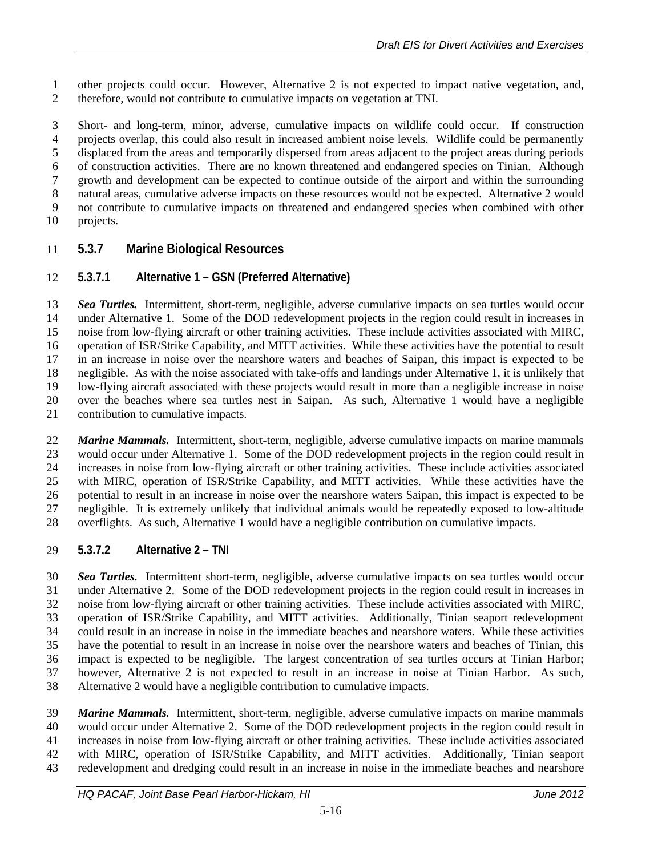1 other projects could occur. However, Alternative 2 is not expected to impact native vegetation, and, 2 therefore, would not contribute to cumulative impacts on vegetation at TNI.

3 Short- and long-term, minor, adverse, cumulative impacts on wildlife could occur. If construction 4 projects overlap, this could also result in increased ambient noise levels. Wildlife could be permanently 5 displaced from the areas and temporarily dispersed from areas adjacent to the project areas during periods 6 of construction activities. There are no known threatened and endangered species on Tinian. Although 7 growth and development can be expected to continue outside of the airport and within the surrounding 8 natural areas, cumulative adverse impacts on these resources would not be expected. Alternative 2 would 9 not contribute to cumulative impacts on threatened and endangered species when combined with other projects.

## **5.3.7 Marine Biological Resources**

**5.3.7.1 Alternative 1 – GSN (Preferred Alternative)** 

 *Sea Turtles.* Intermittent, short-term, negligible, adverse cumulative impacts on sea turtles would occur under Alternative 1. Some of the DOD redevelopment projects in the region could result in increases in noise from low-flying aircraft or other training activities. These include activities associated with MIRC, operation of ISR/Strike Capability, and MITT activities. While these activities have the potential to result in an increase in noise over the nearshore waters and beaches of Saipan, this impact is expected to be negligible. As with the noise associated with take-offs and landings under Alternative 1, it is unlikely that low-flying aircraft associated with these projects would result in more than a negligible increase in noise over the beaches where sea turtles nest in Saipan. As such, Alternative 1 would have a negligible contribution to cumulative impacts.

 *Marine Mammals.* Intermittent, short-term, negligible, adverse cumulative impacts on marine mammals would occur under Alternative 1. Some of the DOD redevelopment projects in the region could result in increases in noise from low-flying aircraft or other training activities. These include activities associated with MIRC, operation of ISR/Strike Capability, and MITT activities. While these activities have the potential to result in an increase in noise over the nearshore waters Saipan, this impact is expected to be negligible. It is extremely unlikely that individual animals would be repeatedly exposed to low-altitude overflights. As such, Alternative 1 would have a negligible contribution on cumulative impacts.

### **5.3.7.2 Alternative 2 – TNI**

 *Sea Turtles.* Intermittent short-term, negligible, adverse cumulative impacts on sea turtles would occur under Alternative 2. Some of the DOD redevelopment projects in the region could result in increases in noise from low-flying aircraft or other training activities. These include activities associated with MIRC, operation of ISR/Strike Capability, and MITT activities. Additionally, Tinian seaport redevelopment could result in an increase in noise in the immediate beaches and nearshore waters. While these activities have the potential to result in an increase in noise over the nearshore waters and beaches of Tinian, this impact is expected to be negligible. The largest concentration of sea turtles occurs at Tinian Harbor; however, Alternative 2 is not expected to result in an increase in noise at Tinian Harbor. As such, Alternative 2 would have a negligible contribution to cumulative impacts.

 *Marine Mammals.* Intermittent, short-term, negligible, adverse cumulative impacts on marine mammals would occur under Alternative 2. Some of the DOD redevelopment projects in the region could result in increases in noise from low-flying aircraft or other training activities. These include activities associated with MIRC, operation of ISR/Strike Capability, and MITT activities. Additionally, Tinian seaport redevelopment and dredging could result in an increase in noise in the immediate beaches and nearshore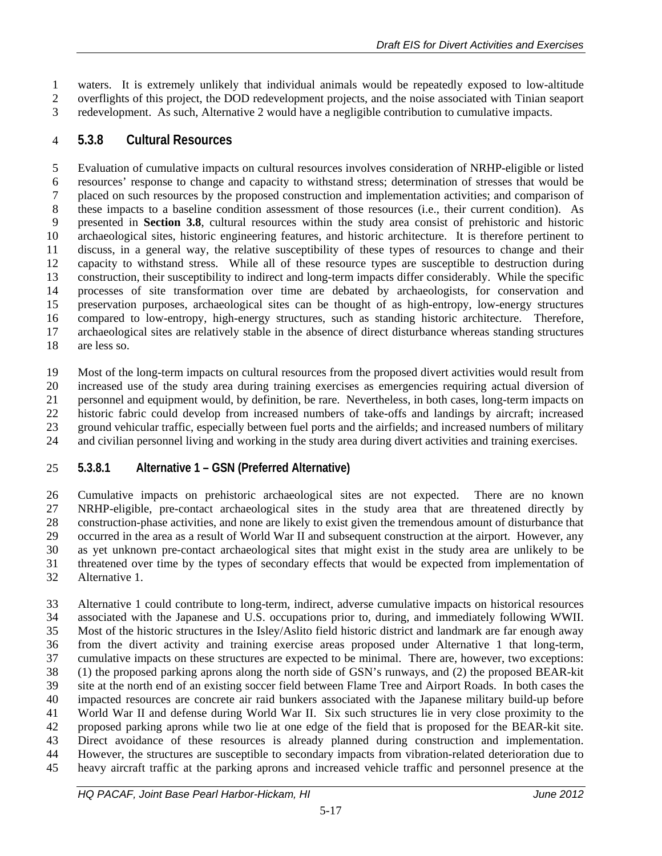1 waters. It is extremely unlikely that individual animals would be repeatedly exposed to low-altitude 2 overflights of this project, the DOD redevelopment projects, and the noise associated with Tinian seaport 3 redevelopment. As such, Alternative 2 would have a negligible contribution to cumulative impacts.

## **5.3.8 Cultural Resources**

5 Evaluation of cumulative impacts on cultural resources involves consideration of NRHP-eligible or listed 6 resources' response to change and capacity to withstand stress; determination of stresses that would be 7 placed on such resources by the proposed construction and implementation activities; and comparison of 8 these impacts to a baseline condition assessment of those resources (i.e., their current condition). As<br>9 presented in **Section 3.8**, cultural resources within the study area consist of prehistoric and historic 9 presented in **Section 3.8**, cultural resources within the study area consist of prehistoric and historic archaeological sites, historic engineering features, and historic architecture. It is therefore pertinent to discuss, in a general way, the relative susceptibility of these types of resources to change and their capacity to withstand stress. While all of these resource types are susceptible to destruction during construction, their susceptibility to indirect and long-term impacts differ considerably. While the specific processes of site transformation over time are debated by archaeologists, for conservation and preservation purposes, archaeological sites can be thought of as high-entropy, low-energy structures compared to low-entropy, high-energy structures, such as standing historic architecture. Therefore, archaeological sites are relatively stable in the absence of direct disturbance whereas standing structures are less so.

 Most of the long-term impacts on cultural resources from the proposed divert activities would result from increased use of the study area during training exercises as emergencies requiring actual diversion of personnel and equipment would, by definition, be rare. Nevertheless, in both cases, long-term impacts on historic fabric could develop from increased numbers of take-offs and landings by aircraft; increased 23 ground vehicular traffic, especially between fuel ports and the airfields; and increased numbers of military<br>24 and civilian personnel living and working in the study area during divert activities and training exercises and civilian personnel living and working in the study area during divert activities and training exercises.

## **5.3.8.1 Alternative 1 – GSN (Preferred Alternative)**

 Cumulative impacts on prehistoric archaeological sites are not expected. There are no known NRHP-eligible, pre-contact archaeological sites in the study area that are threatened directly by construction-phase activities, and none are likely to exist given the tremendous amount of disturbance that occurred in the area as a result of World War II and subsequent construction at the airport. However, any as yet unknown pre-contact archaeological sites that might exist in the study area are unlikely to be threatened over time by the types of secondary effects that would be expected from implementation of Alternative 1.

 Alternative 1 could contribute to long-term, indirect, adverse cumulative impacts on historical resources associated with the Japanese and U.S. occupations prior to, during, and immediately following WWII. Most of the historic structures in the Isley/Aslito field historic district and landmark are far enough away from the divert activity and training exercise areas proposed under Alternative 1 that long-term, cumulative impacts on these structures are expected to be minimal. There are, however, two exceptions: (1) the proposed parking aprons along the north side of GSN's runways, and (2) the proposed BEAR-kit site at the north end of an existing soccer field between Flame Tree and Airport Roads. In both cases the impacted resources are concrete air raid bunkers associated with the Japanese military build-up before World War II and defense during World War II. Six such structures lie in very close proximity to the proposed parking aprons while two lie at one edge of the field that is proposed for the BEAR-kit site. Direct avoidance of these resources is already planned during construction and implementation. However, the structures are susceptible to secondary impacts from vibration-related deterioration due to heavy aircraft traffic at the parking aprons and increased vehicle traffic and personnel presence at the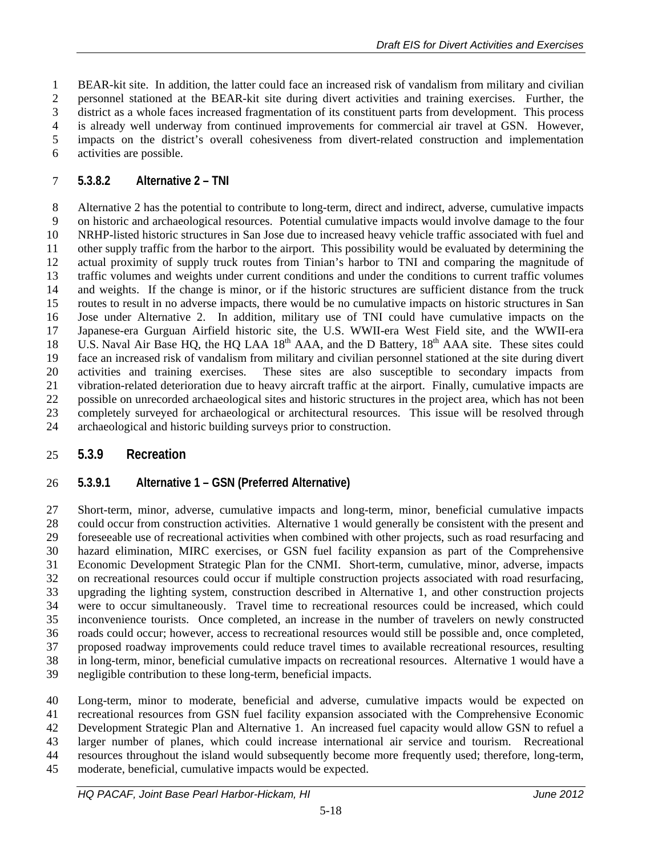1 BEAR-kit site. In addition, the latter could face an increased risk of vandalism from military and civilian 2 personnel stationed at the BEAR-kit site during divert activities and training exercises. Further, the 3 district as a whole faces increased fragmentation of its constituent parts from development. This process 4 is already well underway from continued improvements for commercial air travel at GSN. However, 5 impacts on the district's overall cohesiveness from divert-related construction and implementation 6 activities are possible.

## **5.3.8.2 Alternative 2 – TNI**

8 Alternative 2 has the potential to contribute to long-term, direct and indirect, adverse, cumulative impacts 9 on historic and archaeological resources. Potential cumulative impacts would involve damage to the four NRHP-listed historic structures in San Jose due to increased heavy vehicle traffic associated with fuel and other supply traffic from the harbor to the airport. This possibility would be evaluated by determining the actual proximity of supply truck routes from Tinian's harbor to TNI and comparing the magnitude of traffic volumes and weights under current conditions and under the conditions to current traffic volumes and weights. If the change is minor, or if the historic structures are sufficient distance from the truck routes to result in no adverse impacts, there would be no cumulative impacts on historic structures in San Jose under Alternative 2. In addition, military use of TNI could have cumulative impacts on the Japanese-era Gurguan Airfield historic site, the U.S. WWII-era West Field site, and the WWII-era 18 U.S. Naval Air Base HQ, the HQ LAA 18<sup>th</sup> AAA, and the D Battery, 18<sup>th</sup> AAA site. These sites could face an increased risk of vandalism from military and civilian personnel stationed at the site during divert activities and training exercises. These sites are also susceptible to secondary impacts from vibration-related deterioration due to heavy aircraft traffic at the airport. Finally, cumulative impacts are possible on unrecorded archaeological sites and historic structures in the project area, which has not been completely surveyed for archaeological or architectural resources. This issue will be resolved through archaeological and historic building surveys prior to construction.

## **5.3.9 Recreation**

## **5.3.9.1 Alternative 1 – GSN (Preferred Alternative)**

 Short-term, minor, adverse, cumulative impacts and long-term, minor, beneficial cumulative impacts could occur from construction activities. Alternative 1 would generally be consistent with the present and foreseeable use of recreational activities when combined with other projects, such as road resurfacing and hazard elimination, MIRC exercises, or GSN fuel facility expansion as part of the Comprehensive Economic Development Strategic Plan for the CNMI. Short-term, cumulative, minor, adverse, impacts on recreational resources could occur if multiple construction projects associated with road resurfacing, upgrading the lighting system, construction described in Alternative 1, and other construction projects were to occur simultaneously. Travel time to recreational resources could be increased, which could inconvenience tourists. Once completed, an increase in the number of travelers on newly constructed roads could occur; however, access to recreational resources would still be possible and, once completed, proposed roadway improvements could reduce travel times to available recreational resources, resulting in long-term, minor, beneficial cumulative impacts on recreational resources. Alternative 1 would have a negligible contribution to these long-term, beneficial impacts.

 Long-term, minor to moderate, beneficial and adverse, cumulative impacts would be expected on recreational resources from GSN fuel facility expansion associated with the Comprehensive Economic Development Strategic Plan and Alternative 1. An increased fuel capacity would allow GSN to refuel a larger number of planes, which could increase international air service and tourism. Recreational resources throughout the island would subsequently become more frequently used; therefore, long-term, moderate, beneficial, cumulative impacts would be expected.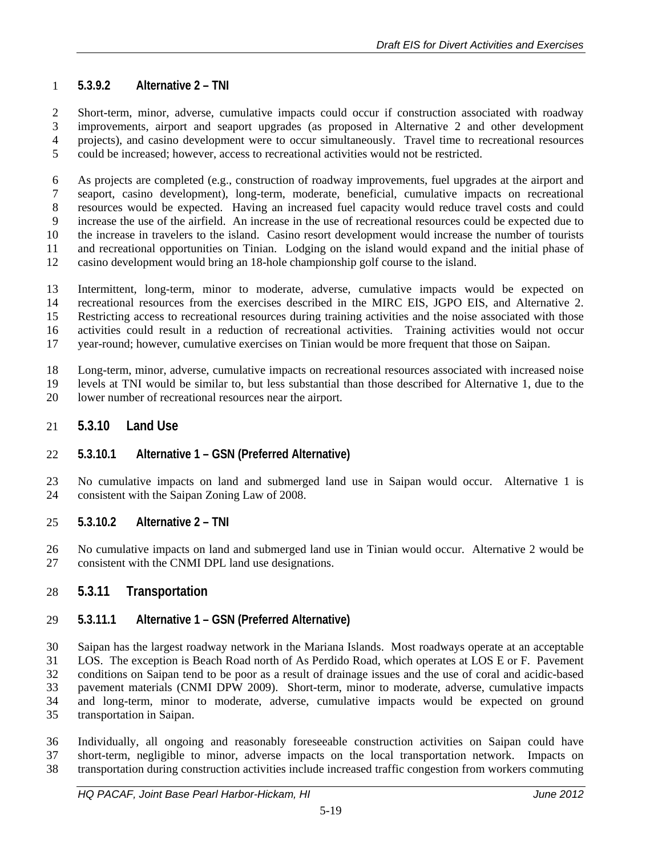## **5.3.9.2 Alternative 2 – TNI**

2 Short-term, minor, adverse, cumulative impacts could occur if construction associated with roadway 3 improvements, airport and seaport upgrades (as proposed in Alternative 2 and other development 4 projects), and casino development were to occur simultaneously. Travel time to recreational resources could be increased: however, access to recreational activities would not be restricted. 5 could be increased; however, access to recreational activities would not be restricted.

6 As projects are completed (e.g., construction of roadway improvements, fuel upgrades at the airport and 7 seaport, casino development), long-term, moderate, beneficial, cumulative impacts on recreational 8 resources would be expected. Having an increased fuel capacity would reduce travel costs and could 9 increase the use of the airfield. An increase in the use of recreational resources could be expected due to the increase in travelers to the island. Casino resort development would increase the number of tourists and recreational opportunities on Tinian. Lodging on the island would expand and the initial phase of casino development would bring an 18-hole championship golf course to the island.

 Intermittent, long-term, minor to moderate, adverse, cumulative impacts would be expected on recreational resources from the exercises described in the MIRC EIS, JGPO EIS, and Alternative 2. Restricting access to recreational resources during training activities and the noise associated with those activities could result in a reduction of recreational activities. Training activities would not occur year-round; however, cumulative exercises on Tinian would be more frequent that those on Saipan.

Long-term, minor, adverse, cumulative impacts on recreational resources associated with increased noise

levels at TNI would be similar to, but less substantial than those described for Alternative 1, due to the

- lower number of recreational resources near the airport.
- **5.3.10 Land Use**

### **5.3.10.1 Alternative 1 – GSN (Preferred Alternative)**

 No cumulative impacts on land and submerged land use in Saipan would occur. Alternative 1 is consistent with the Saipan Zoning Law of 2008.

- **5.3.10.2 Alternative 2 TNI**
- No cumulative impacts on land and submerged land use in Tinian would occur. Alternative 2 would be consistent with the CNMI DPL land use designations.

### **5.3.11 Transportation**

### **5.3.11.1 Alternative 1 – GSN (Preferred Alternative)**

 Saipan has the largest roadway network in the Mariana Islands. Most roadways operate at an acceptable LOS. The exception is Beach Road north of As Perdido Road, which operates at LOS E or F. Pavement conditions on Saipan tend to be poor as a result of drainage issues and the use of coral and acidic-based pavement materials (CNMI DPW 2009). Short-term, minor to moderate, adverse, cumulative impacts and long-term, minor to moderate, adverse, cumulative impacts would be expected on ground transportation in Saipan.

 Individually, all ongoing and reasonably foreseeable construction activities on Saipan could have short-term, negligible to minor, adverse impacts on the local transportation network. Impacts on transportation during construction activities include increased traffic congestion from workers commuting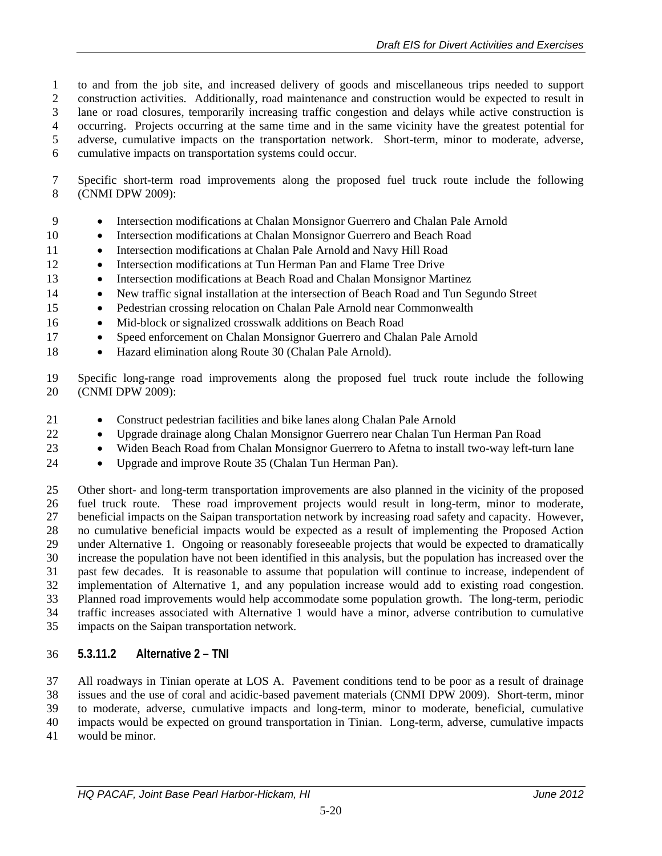1 to and from the job site, and increased delivery of goods and miscellaneous trips needed to support 2 construction activities. Additionally, road maintenance and construction would be expected to result in 3 lane or road closures, temporarily increasing traffic congestion and delays while active construction is 4 occurring. Projects occurring at the same time and in the same vicinity have the greatest potential for 5 adverse, cumulative impacts on the transportation network. Short-term, minor to moderate, adverse, 6 cumulative impacts on transportation systems could occur.

7 Specific short-term road improvements along the proposed fuel truck route include the following 8 (CNMI DPW 2009):

- Intersection modifications at Chalan Monsignor Guerrero and Chalan Pale Arnold
- Intersection modifications at Chalan Monsignor Guerrero and Beach Road
- 11 Intersection modifications at Chalan Pale Arnold and Navy Hill Road
- 12 Intersection modifications at Tun Herman Pan and Flame Tree Drive
- Intersection modifications at Beach Road and Chalan Monsignor Martinez
- New traffic signal installation at the intersection of Beach Road and Tun Segundo Street
- Pedestrian crossing relocation on Chalan Pale Arnold near Commonwealth
- Mid-block or signalized crosswalk additions on Beach Road
- Speed enforcement on Chalan Monsignor Guerrero and Chalan Pale Arnold
- Hazard elimination along Route 30 (Chalan Pale Arnold).
- Specific long-range road improvements along the proposed fuel truck route include the following (CNMI DPW 2009):
- Construct pedestrian facilities and bike lanes along Chalan Pale Arnold
- Upgrade drainage along Chalan Monsignor Guerrero near Chalan Tun Herman Pan Road
- Widen Beach Road from Chalan Monsignor Guerrero to Afetna to install two-way left-turn lane
- Upgrade and improve Route 35 (Chalan Tun Herman Pan).

 Other short- and long-term transportation improvements are also planned in the vicinity of the proposed fuel truck route. These road improvement projects would result in long-term, minor to moderate, beneficial impacts on the Saipan transportation network by increasing road safety and capacity. However, 28 no cumulative beneficial impacts would be expected as a result of implementing the Proposed Action<br>29 under Alternative 1. Ongoing or reasonably foreseeable projects that would be expected to dramatically under Alternative 1. Ongoing or reasonably foreseeable projects that would be expected to dramatically increase the population have not been identified in this analysis, but the population has increased over the past few decades. It is reasonable to assume that population will continue to increase, independent of implementation of Alternative 1, and any population increase would add to existing road congestion. Planned road improvements would help accommodate some population growth. The long-term, periodic traffic increases associated with Alternative 1 would have a minor, adverse contribution to cumulative impacts on the Saipan transportation network.

## **5.3.11.2 Alternative 2 – TNI**

 All roadways in Tinian operate at LOS A. Pavement conditions tend to be poor as a result of drainage issues and the use of coral and acidic-based pavement materials (CNMI DPW 2009). Short-term, minor to moderate, adverse, cumulative impacts and long-term, minor to moderate, beneficial, cumulative

impacts would be expected on ground transportation in Tinian. Long-term, adverse, cumulative impacts

would be minor.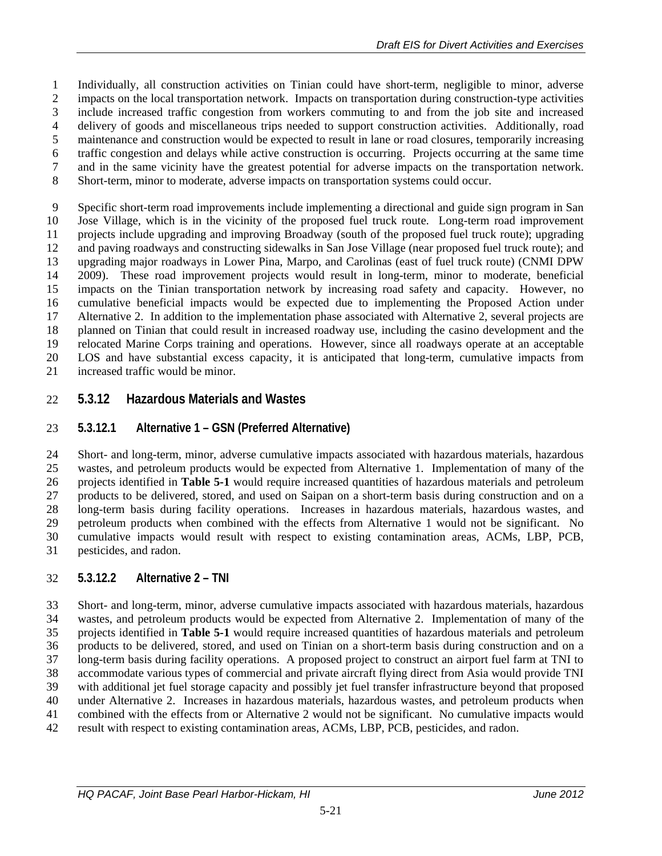1 Individually, all construction activities on Tinian could have short-term, negligible to minor, adverse 2 impacts on the local transportation network. Impacts on transportation during construction-type activities 3 include increased traffic congestion from workers commuting to and from the job site and increased 4 delivery of goods and miscellaneous trips needed to support construction activities. Additionally, road 5 maintenance and construction would be expected to result in lane or road closures, temporarily increasing 6 traffic congestion and delays while active construction is occurring. Projects occurring at the same time 7 and in the same vicinity have the greatest potential for adverse impacts on the transportation network.

8 Short-term, minor to moderate, adverse impacts on transportation systems could occur.

9 Specific short-term road improvements include implementing a directional and guide sign program in San Jose Village, which is in the vicinity of the proposed fuel truck route. Long-term road improvement projects include upgrading and improving Broadway (south of the proposed fuel truck route); upgrading and paving roadways and constructing sidewalks in San Jose Village (near proposed fuel truck route); and upgrading major roadways in Lower Pina, Marpo, and Carolinas (east of fuel truck route) (CNMI DPW 2009). These road improvement projects would result in long-term, minor to moderate, beneficial impacts on the Tinian transportation network by increasing road safety and capacity. However, no cumulative beneficial impacts would be expected due to implementing the Proposed Action under Alternative 2. In addition to the implementation phase associated with Alternative 2, several projects are planned on Tinian that could result in increased roadway use, including the casino development and the relocated Marine Corps training and operations. However, since all roadways operate at an acceptable LOS and have substantial excess capacity, it is anticipated that long-term, cumulative impacts from increased traffic would be minor.

**5.3.12 Hazardous Materials and Wastes**

### **5.3.12.1 Alternative 1 – GSN (Preferred Alternative)**

 Short- and long-term, minor, adverse cumulative impacts associated with hazardous materials, hazardous wastes, and petroleum products would be expected from Alternative 1. Implementation of many of the projects identified in **Table 5-1** would require increased quantities of hazardous materials and petroleum products to be delivered, stored, and used on Saipan on a short-term basis during construction and on a long-term basis during facility operations. Increases in hazardous materials, hazardous wastes, and petroleum products when combined with the effects from Alternative 1 would not be significant. No cumulative impacts would result with respect to existing contamination areas, ACMs, LBP, PCB, pesticides, and radon.

### **5.3.12.2 Alternative 2 – TNI**

 Short- and long-term, minor, adverse cumulative impacts associated with hazardous materials, hazardous wastes, and petroleum products would be expected from Alternative 2. Implementation of many of the projects identified in **Table 5-1** would require increased quantities of hazardous materials and petroleum products to be delivered, stored, and used on Tinian on a short-term basis during construction and on a long-term basis during facility operations. A proposed project to construct an airport fuel farm at TNI to accommodate various types of commercial and private aircraft flying direct from Asia would provide TNI with additional jet fuel storage capacity and possibly jet fuel transfer infrastructure beyond that proposed under Alternative 2. Increases in hazardous materials, hazardous wastes, and petroleum products when combined with the effects from or Alternative 2 would not be significant. No cumulative impacts would result with respect to existing contamination areas, ACMs, LBP, PCB, pesticides, and radon.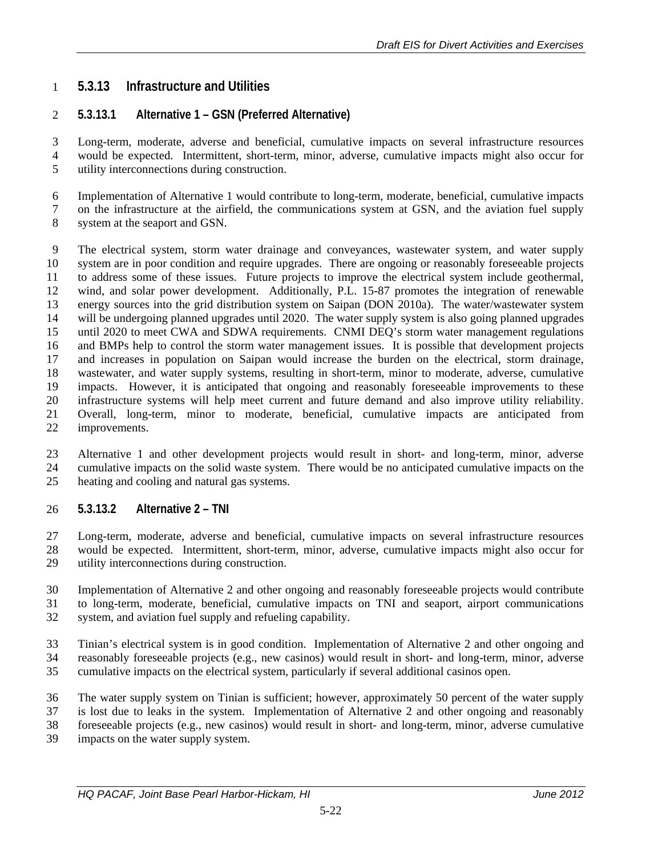## **5.3.13 Infrastructure and Utilities**

## **5.3.13.1 Alternative 1 – GSN (Preferred Alternative)**

3 Long-term, moderate, adverse and beneficial, cumulative impacts on several infrastructure resources 4 would be expected. Intermittent, short-term, minor, adverse, cumulative impacts might also occur for 5 utility interconnections during construction.

6 Implementation of Alternative 1 would contribute to long-term, moderate, beneficial, cumulative impacts 7 on the infrastructure at the airfield, the communications system at GSN, and the aviation fuel supply 8 system at the seaport and GSN.

9 The electrical system, storm water drainage and conveyances, wastewater system, and water supply system are in poor condition and require upgrades. There are ongoing or reasonably foreseeable projects to address some of these issues. Future projects to improve the electrical system include geothermal, wind, and solar power development. Additionally, P.L. 15-87 promotes the integration of renewable energy sources into the grid distribution system on Saipan (DON 2010a). The water/wastewater system will be undergoing planned upgrades until 2020. The water supply system is also going planned upgrades until 2020 to meet CWA and SDWA requirements. CNMI DEQ's storm water management regulations and BMPs help to control the storm water management issues. It is possible that development projects and increases in population on Saipan would increase the burden on the electrical, storm drainage, wastewater, and water supply systems, resulting in short-term, minor to moderate, adverse, cumulative impacts. However, it is anticipated that ongoing and reasonably foreseeable improvements to these infrastructure systems will help meet current and future demand and also improve utility reliability. Overall, long-term, minor to moderate, beneficial, cumulative impacts are anticipated from improvements.

 Alternative 1 and other development projects would result in short- and long-term, minor, adverse cumulative impacts on the solid waste system. There would be no anticipated cumulative impacts on the heating and cooling and natural gas systems.

### **5.3.13.2 Alternative 2 – TNI**

 Long-term, moderate, adverse and beneficial, cumulative impacts on several infrastructure resources would be expected. Intermittent, short-term, minor, adverse, cumulative impacts might also occur for utility interconnections during construction.

 Implementation of Alternative 2 and other ongoing and reasonably foreseeable projects would contribute to long-term, moderate, beneficial, cumulative impacts on TNI and seaport, airport communications system, and aviation fuel supply and refueling capability.

 Tinian's electrical system is in good condition. Implementation of Alternative 2 and other ongoing and reasonably foreseeable projects (e.g., new casinos) would result in short- and long-term, minor, adverse cumulative impacts on the electrical system, particularly if several additional casinos open.

 The water supply system on Tinian is sufficient; however, approximately 50 percent of the water supply is lost due to leaks in the system. Implementation of Alternative 2 and other ongoing and reasonably foreseeable projects (e.g., new casinos) would result in short- and long-term, minor, adverse cumulative

impacts on the water supply system.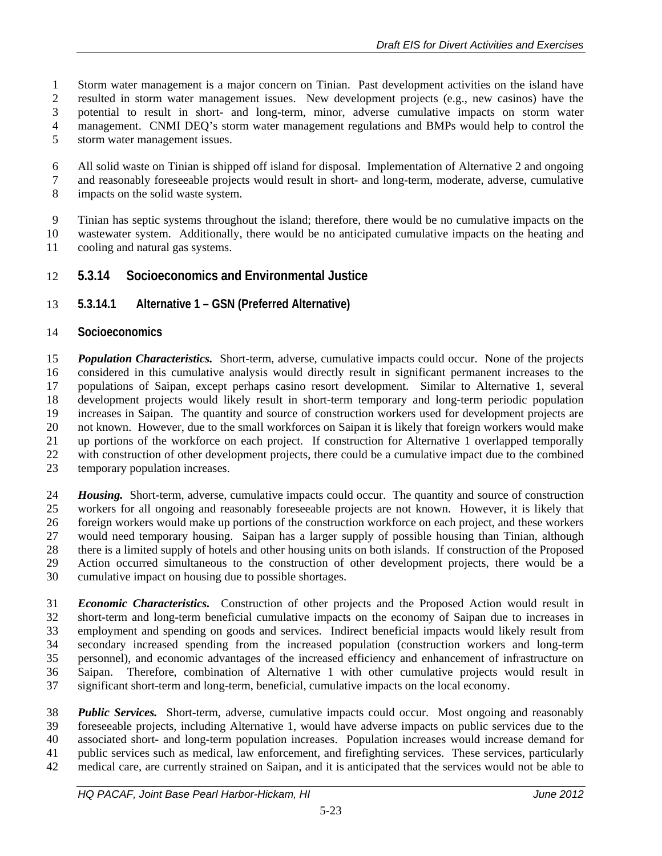1 Storm water management is a major concern on Tinian. Past development activities on the island have 2 resulted in storm water management issues. New development projects (e.g., new casinos) have the 3 potential to result in short- and long-term, minor, adverse cumulative impacts on storm water 4 management. CNMI DEQ's storm water management regulations and BMPs would help to control the 5 storm water management issues.

6 All solid waste on Tinian is shipped off island for disposal. Implementation of Alternative 2 and ongoing 7 and reasonably foreseeable projects would result in short- and long-term, moderate, adverse, cumulative 8 impacts on the solid waste system.

9 Tinian has septic systems throughout the island; therefore, there would be no cumulative impacts on the wastewater system. Additionally, there would be no anticipated cumulative impacts on the heating and cooling and natural gas systems.

- **5.3.14 Socioeconomics and Environmental Justice**
- **5.3.14.1 Alternative 1 GSN (Preferred Alternative)**
- **Socioeconomics**

 *Population Characteristics.* Short-term, adverse, cumulative impacts could occur. None of the projects considered in this cumulative analysis would directly result in significant permanent increases to the populations of Saipan, except perhaps casino resort development. Similar to Alternative 1, several development projects would likely result in short-term temporary and long-term periodic population increases in Saipan. The quantity and source of construction workers used for development projects are not known. However, due to the small workforces on Saipan it is likely that foreign workers would make up portions of the workforce on each project. If construction for Alternative 1 overlapped temporally with construction of other development projects, there could be a cumulative impact due to the combined temporary population increases.

*Housing.* Short-term, adverse, cumulative impacts could occur. The quantity and source of construction workers for all ongoing and reasonably foreseeable projects are not known. However, it is likely that foreign workers would make up portions of the construction workforce on each project, and these workers would need temporary housing. Saipan has a larger supply of possible housing than Tinian, although there is a limited supply of hotels and other housing units on both islands. If construction of the Proposed Action occurred simultaneous to the construction of other development projects, there would be a cumulative impact on housing due to possible shortages.

 *Economic Characteristics.* Construction of other projects and the Proposed Action would result in short-term and long-term beneficial cumulative impacts on the economy of Saipan due to increases in employment and spending on goods and services. Indirect beneficial impacts would likely result from secondary increased spending from the increased population (construction workers and long-term personnel), and economic advantages of the increased efficiency and enhancement of infrastructure on Saipan. Therefore, combination of Alternative 1 with other cumulative projects would result in significant short-term and long-term, beneficial, cumulative impacts on the local economy.

 *Public Services.*Short-term, adverse, cumulative impacts could occur. Most ongoing and reasonably foreseeable projects, including Alternative 1, would have adverse impacts on public services due to the associated short- and long-term population increases. Population increases would increase demand for public services such as medical, law enforcement, and firefighting services. These services, particularly medical care, are currently strained on Saipan, and it is anticipated that the services would not be able to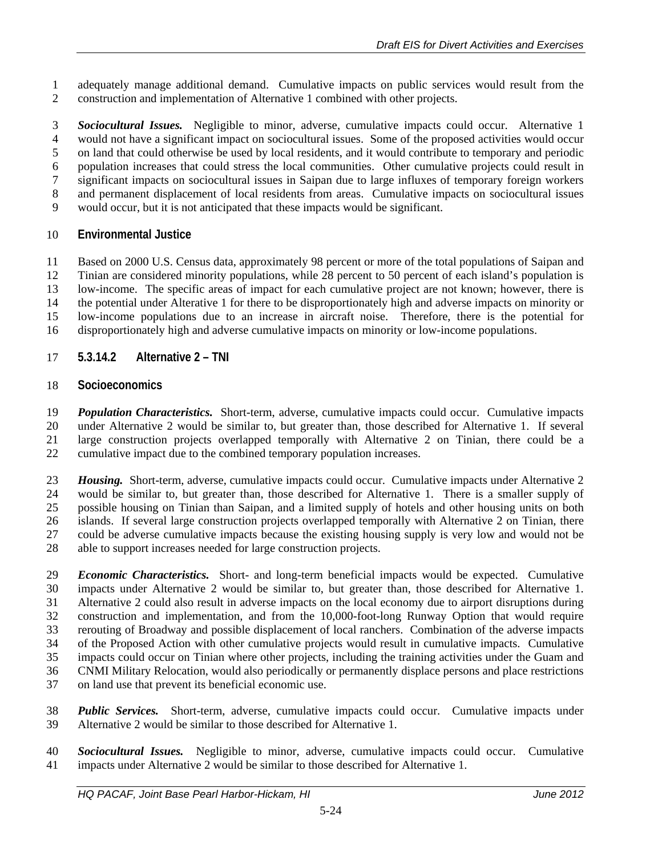1 adequately manage additional demand. Cumulative impacts on public services would result from the 2 construction and implementation of Alternative 1 combined with other projects.

*Sociocultural Issues.*Negligible to minor, adverse, cumulative impacts could occur. Alternative 1 4 would not have a significant impact on sociocultural issues. Some of the proposed activities would occur 5 on land that could otherwise be used by local residents, and it would contribute to temporary and periodic 6 population increases that could stress the local communities. Other cumulative projects could result in 7 significant impacts on sociocultural issues in Saipan due to large influxes of temporary foreign workers 8 and permanent displacement of local residents from areas. Cumulative impacts on sociocultural issues 9 would occur, but it is not anticipated that these impacts would be significant.

### **Environmental Justice**

 Based on 2000 U.S. Census data, approximately 98 percent or more of the total populations of Saipan and Tinian are considered minority populations, while 28 percent to 50 percent of each island's population is low-income. The specific areas of impact for each cumulative project are not known; however, there is the potential under Alterative 1 for there to be disproportionately high and adverse impacts on minority or low-income populations due to an increase in aircraft noise. Therefore, there is the potential for disproportionately high and adverse cumulative impacts on minority or low-income populations.

**5.3.14.2 Alternative 2 – TNI** 

## **Socioeconomics**

 *Population Characteristics.* Short-term, adverse, cumulative impacts could occur. Cumulative impacts under Alternative 2 would be similar to, but greater than, those described for Alternative 1. If several large construction projects overlapped temporally with Alternative 2 on Tinian, there could be a cumulative impact due to the combined temporary population increases.

*Housing.* Short-term, adverse, cumulative impacts could occur. Cumulative impacts under Alternative 2 would be similar to, but greater than, those described for Alternative 1. There is a smaller supply of possible housing on Tinian than Saipan, and a limited supply of hotels and other housing units on both 26 islands. If several large construction projects overlapped temporally with Alternative 2 on Tinian, there<br>27 could be adverse cumulative impacts because the existing housing supply is very low and would not be could be adverse cumulative impacts because the existing housing supply is very low and would not be able to support increases needed for large construction projects.

 *Economic Characteristics.* Short- and long-term beneficial impacts would be expected. Cumulative impacts under Alternative 2 would be similar to, but greater than, those described for Alternative 1. Alternative 2 could also result in adverse impacts on the local economy due to airport disruptions during construction and implementation, and from the 10,000-foot-long Runway Option that would require rerouting of Broadway and possible displacement of local ranchers. Combination of the adverse impacts of the Proposed Action with other cumulative projects would result in cumulative impacts. Cumulative impacts could occur on Tinian where other projects, including the training activities under the Guam and CNMI Military Relocation, would also periodically or permanently displace persons and place restrictions on land use that prevent its beneficial economic use.

 *Public Services.*Short-term, adverse, cumulative impacts could occur. Cumulative impacts under Alternative 2 would be similar to those described for Alternative 1.

 *Sociocultural Issues.* Negligible to minor, adverse, cumulative impacts could occur. Cumulative impacts under Alternative 2 would be similar to those described for Alternative 1.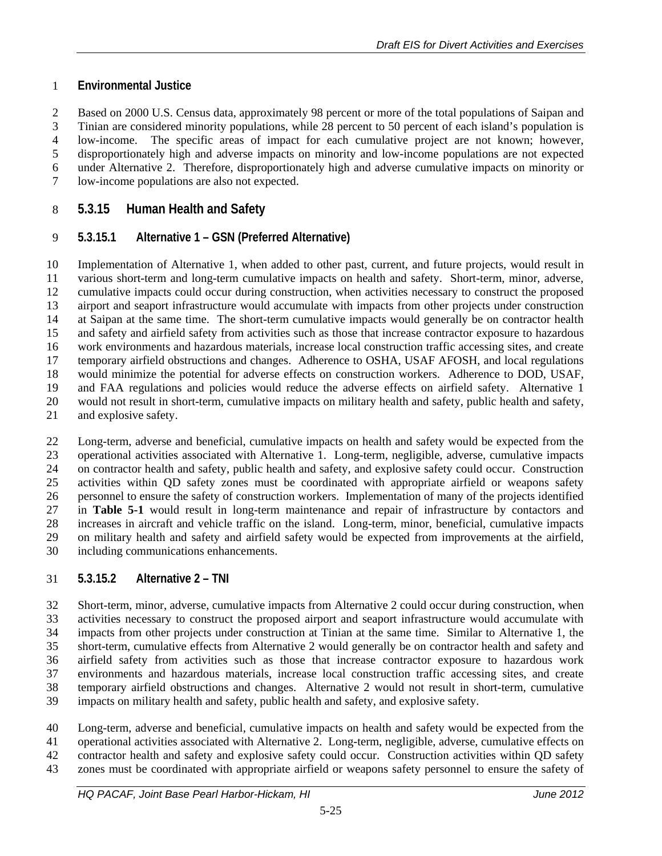### **Environmental Justice**

2 Based on 2000 U.S. Census data, approximately 98 percent or more of the total populations of Saipan and 3 Tinian are considered minority populations, while 28 percent to 50 percent of each island's population is 4 low-income. The specific areas of impact for each cumulative project are not known; however, disproportionately high and adverse impacts on minority and low-income populations are not expected 5 disproportionately high and adverse impacts on minority and low-income populations are not expected 6 under Alternative 2. Therefore, disproportionately high and adverse cumulative impacts on minority or 7 low-income populations are also not expected.

## **5.3.15 Human Health and Safety**

### **5.3.15.1 Alternative 1 – GSN (Preferred Alternative)**

 Implementation of Alternative 1, when added to other past, current, and future projects, would result in various short-term and long-term cumulative impacts on health and safety. Short-term, minor, adverse, cumulative impacts could occur during construction, when activities necessary to construct the proposed airport and seaport infrastructure would accumulate with impacts from other projects under construction at Saipan at the same time. The short-term cumulative impacts would generally be on contractor health and safety and airfield safety from activities such as those that increase contractor exposure to hazardous work environments and hazardous materials, increase local construction traffic accessing sites, and create temporary airfield obstructions and changes. Adherence to OSHA, USAF AFOSH, and local regulations would minimize the potential for adverse effects on construction workers. Adherence to DOD, USAF, and FAA regulations and policies would reduce the adverse effects on airfield safety. Alternative 1 would not result in short-term, cumulative impacts on military health and safety, public health and safety, and explosive safety.

 Long-term, adverse and beneficial, cumulative impacts on health and safety would be expected from the operational activities associated with Alternative 1. Long-term, negligible, adverse, cumulative impacts on contractor health and safety, public health and safety, and explosive safety could occur. Construction activities within QD safety zones must be coordinated with appropriate airfield or weapons safety personnel to ensure the safety of construction workers. Implementation of many of the projects identified in **Table 5-1** would result in long-term maintenance and repair of infrastructure by contactors and increases in aircraft and vehicle traffic on the island. Long-term, minor, beneficial, cumulative impacts on military health and safety and airfield safety would be expected from improvements at the airfield, including communications enhancements.

### **5.3.15.2 Alternative 2 – TNI**

 Short-term, minor, adverse, cumulative impacts from Alternative 2 could occur during construction, when activities necessary to construct the proposed airport and seaport infrastructure would accumulate with impacts from other projects under construction at Tinian at the same time. Similar to Alternative 1, the short-term, cumulative effects from Alternative 2 would generally be on contractor health and safety and airfield safety from activities such as those that increase contractor exposure to hazardous work environments and hazardous materials, increase local construction traffic accessing sites, and create temporary airfield obstructions and changes. Alternative 2 would not result in short-term, cumulative impacts on military health and safety, public health and safety, and explosive safety.

Long-term, adverse and beneficial, cumulative impacts on health and safety would be expected from the

41 operational activities associated with Alternative 2. Long-term, negligible, adverse, cumulative effects on<br>42 contractor health and safety and explosive safety could occur. Construction activities within OD safety

 contractor health and safety and explosive safety could occur. Construction activities within QD safety zones must be coordinated with appropriate airfield or weapons safety personnel to ensure the safety of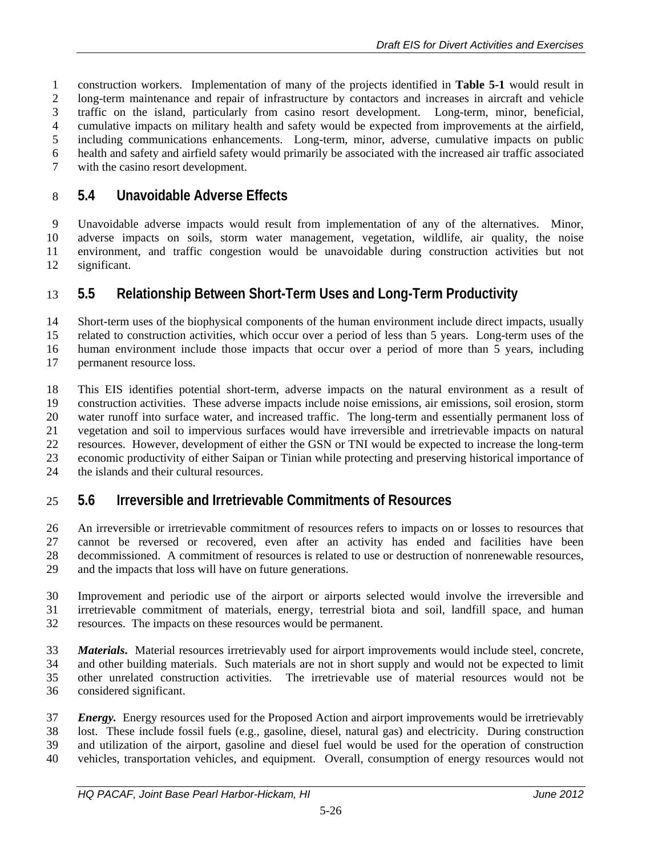1 construction workers. Implementation of many of the projects identified in **Table 5-1** would result in 2 long-term maintenance and repair of infrastructure by contactors and increases in aircraft and vehicle 3 traffic on the island, particularly from casino resort development. Long-term, minor, beneficial, 4 cumulative impacts on military health and safety would be expected from improvements at the airfield, 5 including communications enhancements. Long-term, minor, adverse, cumulative impacts on public 6 health and safety and airfield safety would primarily be associated with the increased air traffic associated 7 with the casino resort development.

## **5.4 Unavoidable Adverse Effects**

9 Unavoidable adverse impacts would result from implementation of any of the alternatives. Minor, adverse impacts on soils, storm water management, vegetation, wildlife, air quality, the noise environment, and traffic congestion would be unavoidable during construction activities but not significant.

## **5.5 Relationship Between Short-Term Uses and Long-Term Productivity**

 Short-term uses of the biophysical components of the human environment include direct impacts, usually related to construction activities, which occur over a period of less than 5 years. Long-term uses of the human environment include those impacts that occur over a period of more than 5 years, including permanent resource loss.

 This EIS identifies potential short-term, adverse impacts on the natural environment as a result of construction activities. These adverse impacts include noise emissions, air emissions, soil erosion, storm water runoff into surface water, and increased traffic. The long-term and essentially permanent loss of vegetation and soil to impervious surfaces would have irreversible and irretrievable impacts on natural resources. However, development of either the GSN or TNI would be expected to increase the long-term economic productivity of either Saipan or Tinian while protecting and preserving historical importance of 24 the islands and their cultural resources.

## **5.6 Irreversible and Irretrievable Commitments of Resources**

 An irreversible or irretrievable commitment of resources refers to impacts on or losses to resources that cannot be reversed or recovered, even after an activity has ended and facilities have been decommissioned. A commitment of resources is related to use or destruction of nonrenewable resources, and the impacts that loss will have on future generations.

 Improvement and periodic use of the airport or airports selected would involve the irreversible and irretrievable commitment of materials, energy, terrestrial biota and soil, landfill space, and human resources. The impacts on these resources would be permanent.

 *Materials***.** Material resources irretrievably used for airport improvements would include steel, concrete, and other building materials. Such materials are not in short supply and would not be expected to limit other unrelated construction activities. The irretrievable use of material resources would not be considered significant.

 *Energy.* Energy resources used for the Proposed Action and airport improvements would be irretrievably lost. These include fossil fuels (e.g., gasoline, diesel, natural gas) and electricity. During construction and utilization of the airport, gasoline and diesel fuel would be used for the operation of construction vehicles, transportation vehicles, and equipment. Overall, consumption of energy resources would not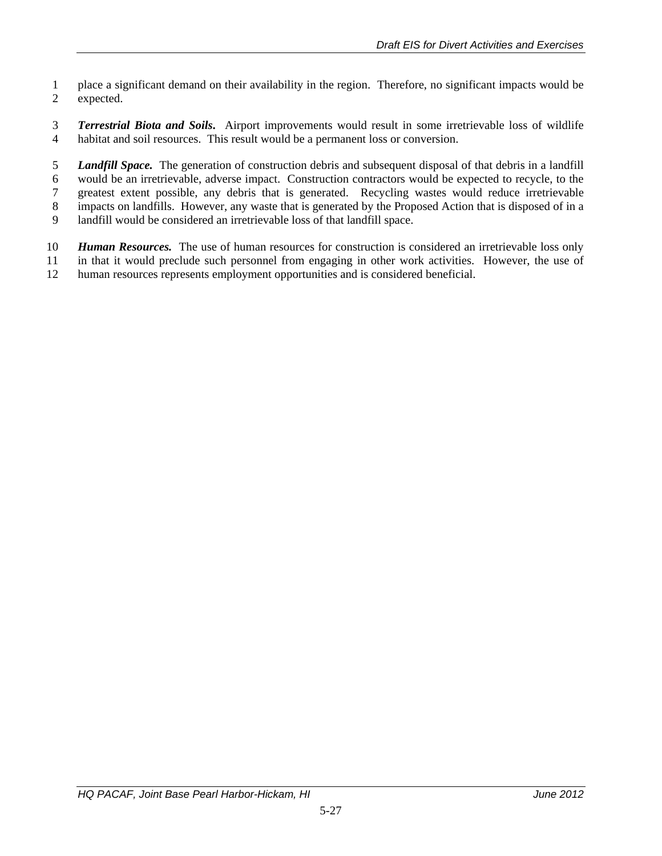1 place a significant demand on their availability in the region. Therefore, no significant impacts would be 2 expected.

3 *Terrestrial Biota and Soils***.** Airport improvements would result in some irretrievable loss of wildlife 4 habitat and soil resources. This result would be a permanent loss or conversion.

5 *Landfill Space.* The generation of construction debris and subsequent disposal of that debris in a landfill 6 would be an irretrievable, adverse impact. Construction contractors would be expected to recycle, to the 7 greatest extent possible, any debris that is generated. Recycling wastes would reduce irretrievable 8 impacts on landfills. However, any waste that is generated by the Proposed Action that is disposed of in a<br>9 landfill would be considered an irretrievable loss of that landfill space. landfill would be considered an irretrievable loss of that landfill space.

10 *Human Resources.* The use of human resources for construction is considered an irretrievable loss only 11 in that it would preclude such personnel from engaging in other work activities. However, the use of 12 human resources represents employment opportunities and is considered beneficial.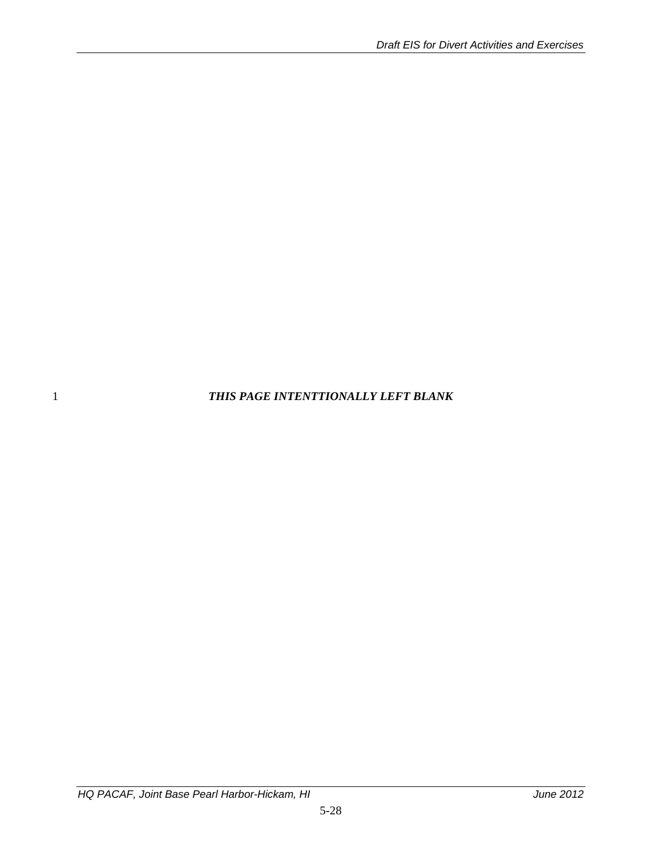### 1 *THIS PAGE INTENTTIONALLY LEFT BLANK*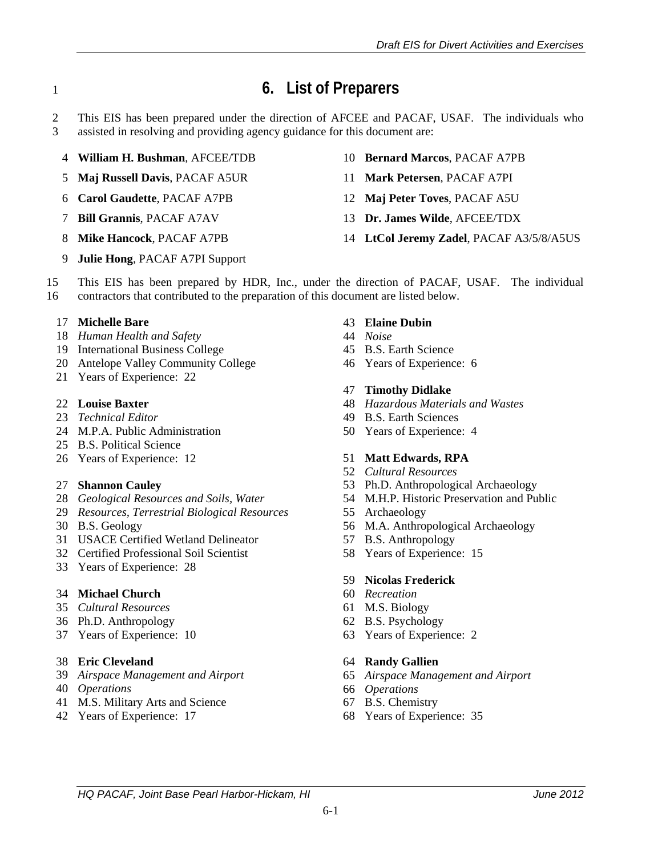# **6. List of Preparers**

2 This EIS has been prepared under the direction of AFCEE and PACAF, USAF. The individuals who 3 assisted in resolving and providing agency guidance for this document are:

- **William H. Bushman**, AFCEE/TDB
- **Maj Russell Davis**, PACAF A5UR
- **Carol Gaudette**, PACAF A7PB
- **Bill Grannis**, PACAF A7AV
- **Mike Hancock**, PACAF A7PB
- **Julie Hong**, PACAF A7PI Support
- **Bernard Marcos**, PACAF A7PB
- **Mark Petersen**, PACAF A7PI
- **Maj Peter Toves**, PACAF A5U
- **Dr. James Wilde**, AFCEE/TDX
- **LtCol Jeremy Zadel**, PACAF A3/5/8/A5US
- This EIS has been prepared by HDR, Inc., under the direction of PACAF, USAF. The individual contractors that contributed to the preparation of this document are listed below.

## **Michelle Bare**

- *Human Health and Safety*
- International Business College
- Antelope Valley Community College
- Years of Experience: 22

## **Louise Baxter**

- *Technical Editor*
- M.P.A. Public Administration
- B.S. Political Science
- Years of Experience: 12

## **Shannon Cauley**

- *Geological Resources and Soils, Water*
- *Resources, Terrestrial Biological Resources*
- B.S. Geology
- USACE Certified Wetland Delineator
- Certified Professional Soil Scientist
- Years of Experience: 28

## **Michael Church**

- *Cultural Resources*
- Ph.D. Anthropology
- Years of Experience: 10

## **Eric Cleveland**

- *Airspace Management and Airport*
- *Operations*
- M.S. Military Arts and Science
- Years of Experience: 17

## **Elaine Dubin**

- *Noise*
- B.S. Earth Science
- Years of Experience: 6

## **Timothy Didlake**

- *Hazardous Materials and Wastes*
- B.S. Earth Sciences
- Years of Experience: 4

## **Matt Edwards, RPA**

- *Cultural Resources*
- Ph.D. Anthropological Archaeology
- M.H.P. Historic Preservation and Public
- Archaeology
- M.A. Anthropological Archaeology
- B.S. Anthropology
- Years of Experience: 15

## **Nicolas Frederick**

- *Recreation*
- M.S. Biology
- B.S. Psychology
- Years of Experience: 2

## **Randy Gallien**

- *Airspace Management and Airport*
- *Operations*
- B.S. Chemistry
- Years of Experience: 35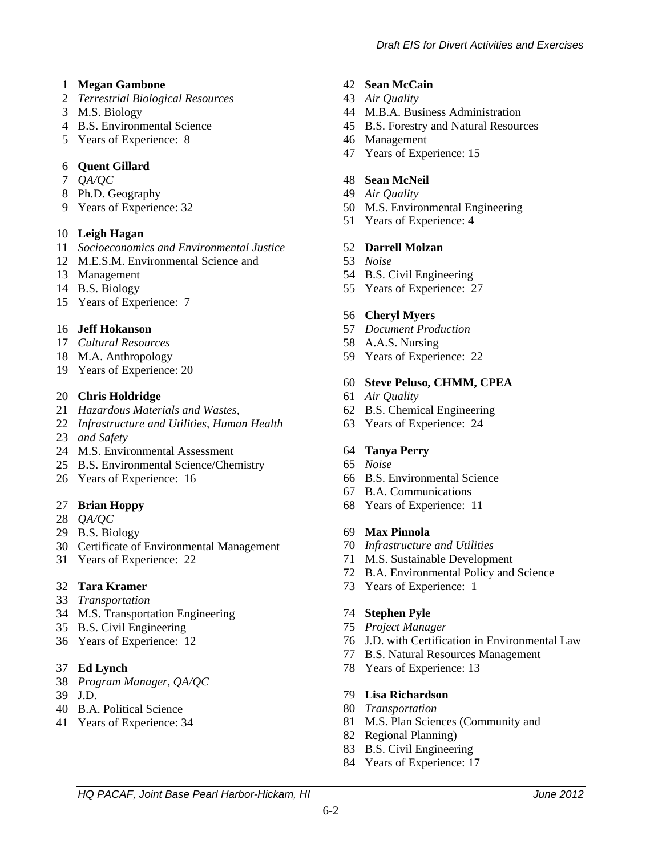#### **Megan Gambone**

- *Terrestrial Biological Resources*
- 3 M.S. Biology
- 4 B.S. Environmental Science
- 5 Years of Experience: 8

#### **Quent Gillard**

- *QA/QC*
- 8 Ph.D. Geography
- 9 Years of Experience: 32

#### **Leigh Hagan**

- *Socioeconomics and Environmental Justice*
- M.E.S.M. Environmental Science and
- Management
- B.S. Biology
- Years of Experience: 7

#### **Jeff Hokanson**

- *Cultural Resources*
- M.A. Anthropology
- Years of Experience: 20

#### **Chris Holdridge**

- *Hazardous Materials and Wastes,*
- *Infrastructure and Utilities, Human Health*
- *and Safety*
- M.S. Environmental Assessment
- B.S. Environmental Science/Chemistry
- Years of Experience: 16

### **Brian Hoppy**

- *QA/QC*
- B.S. Biology
- Certificate of Environmental Management
- Years of Experience: 22

#### **Tara Kramer**

- *Transportation*
- M.S. Transportation Engineering
- B.S. Civil Engineering
- Years of Experience: 12

#### **Ed Lynch**

- *Program Manager, QA/QC*
- J.D.
- B.A. Political Science
- Years of Experience: 34

#### **Sean McCain**

- *Air Quality*
- M.B.A. Business Administration
- B.S. Forestry and Natural Resources
- Management
- Years of Experience: 15

#### **Sean McNeil**

- *Air Quality*
- M.S. Environmental Engineering
- Years of Experience: 4

#### **Darrell Molzan**

- *Noise*
- B.S. Civil Engineering
- Years of Experience: 27

#### **Cheryl Myers**

- *Document Production*
- A.A.S. Nursing
- Years of Experience: 22

#### **Steve Peluso, CHMM, CPEA**

- *Air Quality*
- B.S. Chemical Engineering
- Years of Experience: 24

#### **Tanya Perry**

- *Noise*
- B.S. Environmental Science
- B.A. Communications
- Years of Experience: 11

#### **Max Pinnola**

- *Infrastructure and Utilities*
- M.S. Sustainable Development
- B.A. Environmental Policy and Science
- Years of Experience: 1

#### **Stephen Pyle**

- *Project Manager*
- J.D. with Certification in Environmental Law
- B.S. Natural Resources Management
- Years of Experience: 13

#### **Lisa Richardson**

- *Transportation*
- M.S. Plan Sciences (Community and
- Regional Planning)
- B.S. Civil Engineering
- Years of Experience: 17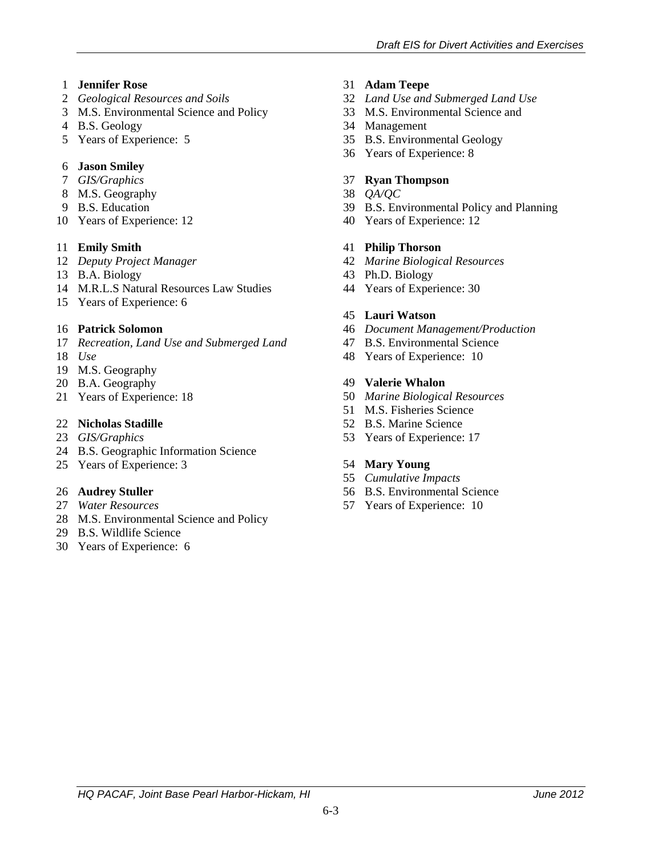#### **Jennifer Rose**

- *Geological Resources and Soils*
- 3 M.S. Environmental Science and Policy
- 4 B.S. Geology
- 5 Years of Experience: 5

#### **Jason Smiley**

- *GIS/Graphics*
- 8 M.S. Geography
- 9 B.S. Education
- Years of Experience: 12

### **Emily Smith**

- *Deputy Project Manager*
- B.A. Biology
- M.R.L.S Natural Resources Law Studies
- Years of Experience: 6

### **Patrick Solomon**

- *Recreation, Land Use and Submerged Land*
- *Use*
- M.S. Geography
- B.A. Geography
- Years of Experience: 18

### **Nicholas Stadille**

- *GIS/Graphics*
- B.S. Geographic Information Science
- Years of Experience: 3

### **Audrey Stuller**

- *Water Resources*
- M.S. Environmental Science and Policy
- B.S. Wildlife Science
- Years of Experience: 6

### **Adam Teepe**

- *Land Use and Submerged Land Use*
- M.S. Environmental Science and
- Management
- B.S. Environmental Geology
- Years of Experience: 8

### **Ryan Thompson**

- *QA/QC*
- B.S. Environmental Policy and Planning
- Years of Experience: 12

#### **Philip Thorson**

- *Marine Biological Resources*
- Ph.D. Biology
- Years of Experience: 30

### **Lauri Watson**

- *Document Management/Production*
- B.S. Environmental Science
- Years of Experience: 10

### **Valerie Whalon**

- *Marine Biological Resources*
- M.S. Fisheries Science
- B.S. Marine Science
- Years of Experience: 17

### **Mary Young**

- *Cumulative Impacts*
- B.S. Environmental Science
- Years of Experience: 10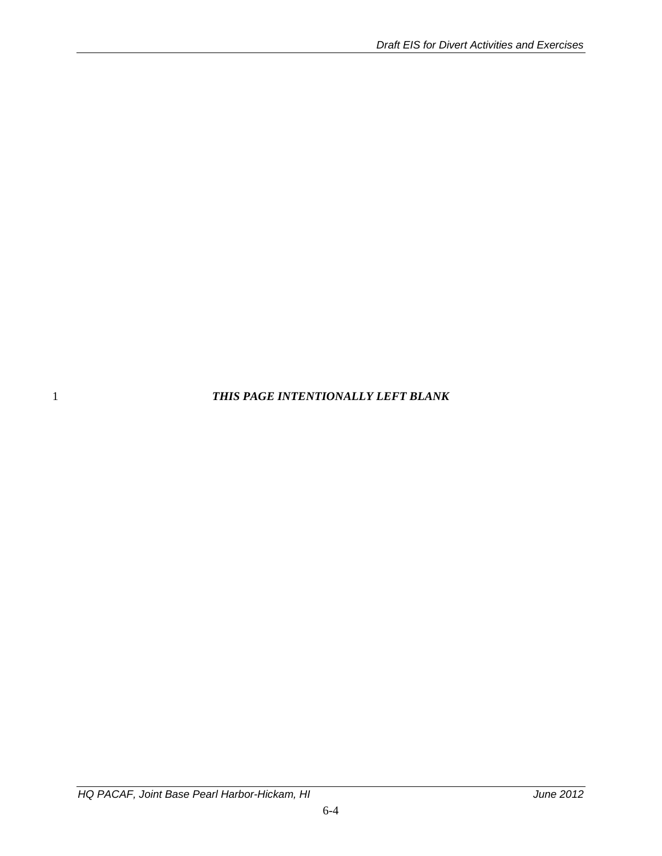### 1 *THIS PAGE INTENTIONALLY LEFT BLANK*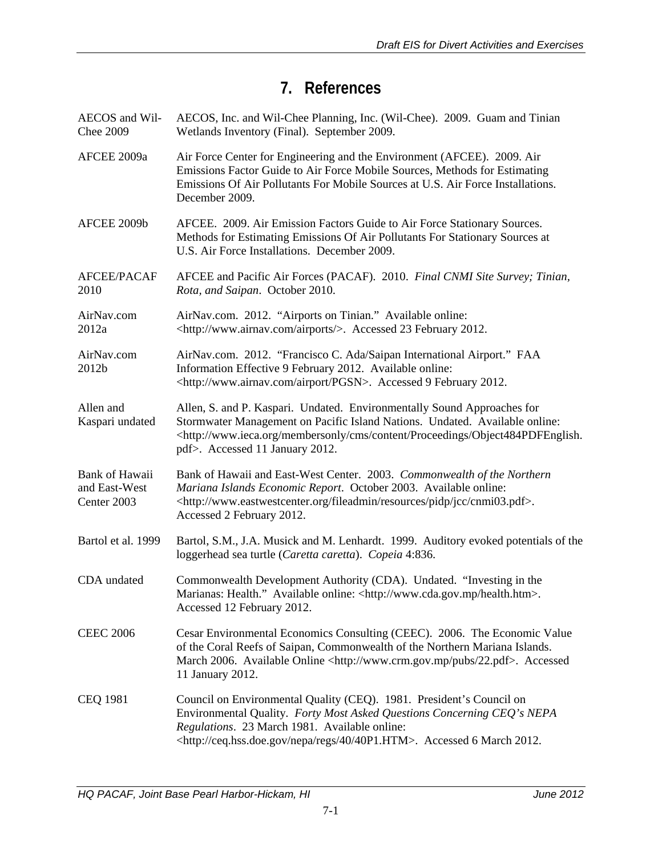# **7. References**

| AECOS and Wil-<br><b>Chee 2009</b>                    | AECOS, Inc. and Wil-Chee Planning, Inc. (Wil-Chee). 2009. Guam and Tinian<br>Wetlands Inventory (Final). September 2009.                                                                                                                                                                               |
|-------------------------------------------------------|--------------------------------------------------------------------------------------------------------------------------------------------------------------------------------------------------------------------------------------------------------------------------------------------------------|
| AFCEE 2009a                                           | Air Force Center for Engineering and the Environment (AFCEE). 2009. Air<br>Emissions Factor Guide to Air Force Mobile Sources, Methods for Estimating<br>Emissions Of Air Pollutants For Mobile Sources at U.S. Air Force Installations.<br>December 2009.                                             |
| AFCEE 2009b                                           | AFCEE. 2009. Air Emission Factors Guide to Air Force Stationary Sources.<br>Methods for Estimating Emissions Of Air Pollutants For Stationary Sources at<br>U.S. Air Force Installations. December 2009.                                                                                               |
| AFCEE/PACAF<br>2010                                   | AFCEE and Pacific Air Forces (PACAF). 2010. Final CNMI Site Survey; Tinian,<br>Rota, and Saipan. October 2010.                                                                                                                                                                                         |
| AirNav.com<br>2012a                                   | AirNav.com. 2012. "Airports on Tinian." Available online:<br><http: airports="" www.airnav.com=""></http:> . Accessed 23 February 2012.                                                                                                                                                                |
| AirNav.com<br>2012b                                   | AirNav.com. 2012. "Francisco C. Ada/Saipan International Airport." FAA<br>Information Effective 9 February 2012. Available online:<br><http: airport="" pgsn="" www.airnav.com="">. Accessed 9 February 2012.</http:>                                                                                  |
| Allen and<br>Kaspari undated                          | Allen, S. and P. Kaspari. Undated. Environmentally Sound Approaches for<br>Stormwater Management on Pacific Island Nations. Undated. Available online:<br><http: cms="" content="" membersonly="" object484pdfenglish.<br="" proceedings="" www.ieca.org="">pdf&gt;. Accessed 11 January 2012.</http:> |
| <b>Bank of Hawaii</b><br>and East-West<br>Center 2003 | Bank of Hawaii and East-West Center. 2003. Commonwealth of the Northern<br>Mariana Islands Economic Report. October 2003. Available online:<br><http: cnmi03.pdf="" fileadmin="" jcc="" pidp="" resources="" www.eastwestcenter.org="">.<br/>Accessed 2 February 2012.</http:>                         |
| Bartol et al. 1999                                    | Bartol, S.M., J.A. Musick and M. Lenhardt. 1999. Auditory evoked potentials of the<br>loggerhead sea turtle (Caretta caretta). Copeia 4:836.                                                                                                                                                           |
| CDA undated                                           | Commonwealth Development Authority (CDA). Undated. "Investing in the<br>Marianas: Health." Available online: <http: health.htm="" www.cda.gov.mp="">.<br/>Accessed 12 February 2012.</http:>                                                                                                           |
| <b>CEEC 2006</b>                                      | Cesar Environmental Economics Consulting (CEEC). 2006. The Economic Value<br>of the Coral Reefs of Saipan, Commonwealth of the Northern Mariana Islands.<br>March 2006. Available Online <http: 22.pdf="" pubs="" www.crm.gov.mp="">. Accessed<br/>11 January 2012.</http:>                            |
| <b>CEQ 1981</b>                                       | Council on Environmental Quality (CEQ). 1981. President's Council on<br>Environmental Quality. Forty Most Asked Questions Concerning CEQ's NEPA<br>Regulations. 23 March 1981. Available online:<br><http: 40="" 40p1.htm="" ceq.hss.doe.gov="" nepa="" regs="">. Accessed 6 March 2012.</http:>       |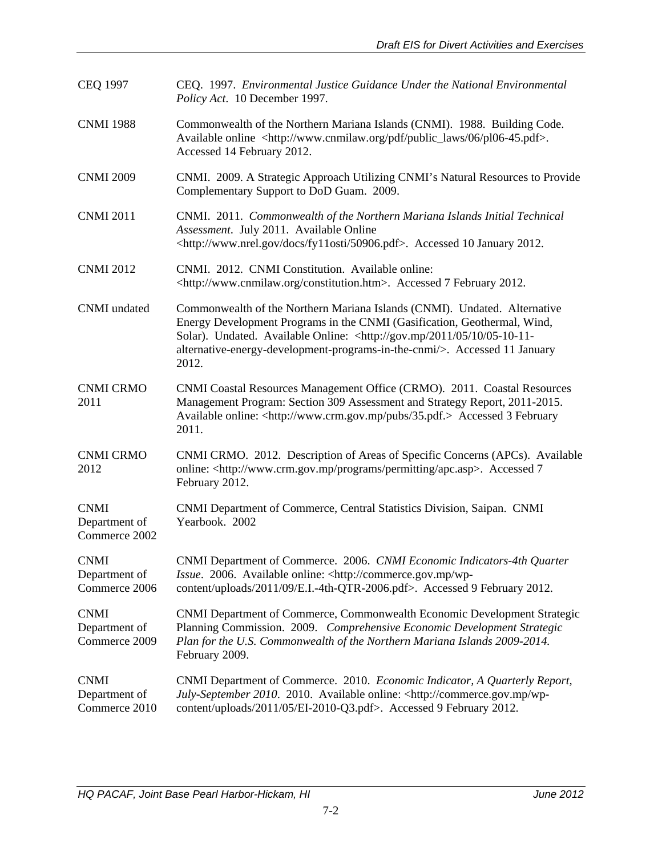| <b>CEQ 1997</b>                               | CEQ. 1997. Environmental Justice Guidance Under the National Environmental<br>Policy Act. 10 December 1997.                                                                                                                                                                                                                                      |
|-----------------------------------------------|--------------------------------------------------------------------------------------------------------------------------------------------------------------------------------------------------------------------------------------------------------------------------------------------------------------------------------------------------|
| <b>CNMI 1988</b>                              | Commonwealth of the Northern Mariana Islands (CNMI). 1988. Building Code.<br>Available online <http: 06="" pdf="" pl06-45.pdf="" public_laws="" www.cnmilaw.org="">.<br/>Accessed 14 February 2012.</http:>                                                                                                                                      |
| <b>CNMI 2009</b>                              | CNMI. 2009. A Strategic Approach Utilizing CNMI's Natural Resources to Provide<br>Complementary Support to DoD Guam. 2009.                                                                                                                                                                                                                       |
| <b>CNMI 2011</b>                              | CNMI. 2011. Commonwealth of the Northern Mariana Islands Initial Technical<br>Assessment. July 2011. Available Online<br><http: 50906.pdf="" docs="" fy11osti="" www.nrel.gov="">. Accessed 10 January 2012.</http:>                                                                                                                             |
| <b>CNMI 2012</b>                              | CNMI. 2012. CNMI Constitution. Available online:<br><http: constitution.htm="" www.cnmilaw.org="">. Accessed 7 February 2012.</http:>                                                                                                                                                                                                            |
| <b>CNMI</b> undated                           | Commonwealth of the Northern Mariana Islands (CNMI). Undated. Alternative<br>Energy Development Programs in the CNMI (Gasification, Geothermal, Wind,<br>Solar). Undated. Available Online: <http: 05="" 05-10-11-<br="" 10="" 2011="" gov.mp="">alternative-energy-development-programs-in-the-cnmi/&gt;. Accessed 11 January<br/>2012.</http:> |
| <b>CNMI CRMO</b><br>2011                      | CNMI Coastal Resources Management Office (CRMO). 2011. Coastal Resources<br>Management Program: Section 309 Assessment and Strategy Report, 2011-2015.<br>Available online: <http: 35.pdf.="" pubs="" www.crm.gov.mp=""> Accessed 3 February<br/>2011.</http:>                                                                                   |
| <b>CNMI CRMO</b><br>2012                      | CNMI CRMO. 2012. Description of Areas of Specific Concerns (APCs). Available<br>online: <http: apc.asp="" permitting="" programs="" www.crm.gov.mp="">. Accessed 7<br/>February 2012.</http:>                                                                                                                                                    |
| <b>CNMI</b><br>Department of<br>Commerce 2002 | CNMI Department of Commerce, Central Statistics Division, Saipan. CNMI<br>Yearbook. 2002                                                                                                                                                                                                                                                         |
| <b>CNMI</b><br>Department of<br>Commerce 2006 | CNMI Department of Commerce. 2006. CNMI Economic Indicators-4th Quarter<br>Issue. 2006. Available online: <http: commerce.gov.mp="" wp-<br="">content/uploads/2011/09/E.I.-4th-QTR-2006.pdf&gt;. Accessed 9 February 2012.</http:>                                                                                                               |
| <b>CNMI</b><br>Department of<br>Commerce 2009 | CNMI Department of Commerce, Commonwealth Economic Development Strategic<br>Planning Commission. 2009. Comprehensive Economic Development Strategic<br>Plan for the U.S. Commonwealth of the Northern Mariana Islands 2009-2014.<br>February 2009.                                                                                               |
| <b>CNMI</b><br>Department of<br>Commerce 2010 | CNMI Department of Commerce. 2010. Economic Indicator, A Quarterly Report,<br>July-September 2010. 2010. Available online: <http: commerce.gov.mp="" wp-<br="">content/uploads/2011/05/EI-2010-Q3.pdf&gt;. Accessed 9 February 2012.</http:>                                                                                                     |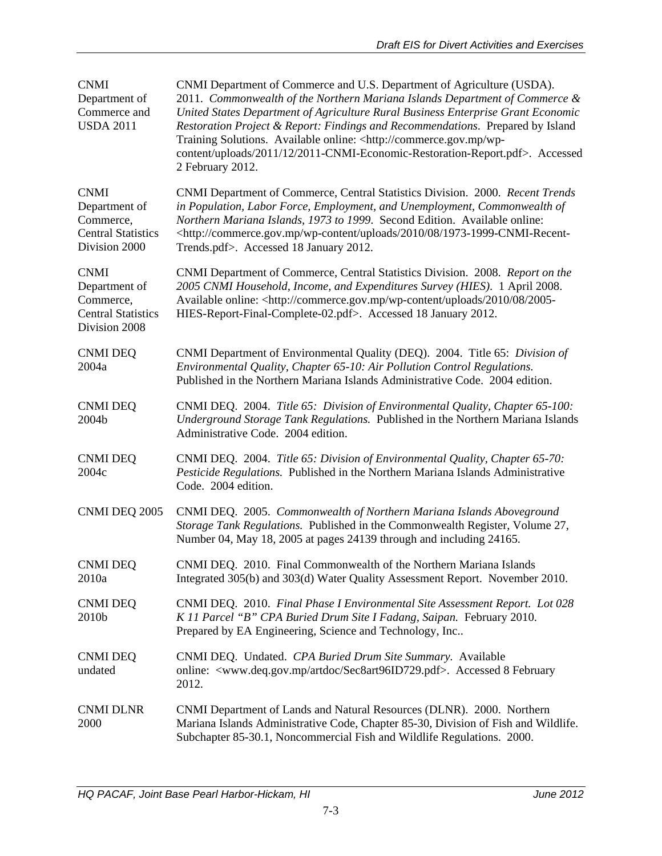| <b>CNMI</b><br>Department of<br>Commerce and<br><b>USDA 2011</b>                        | CNMI Department of Commerce and U.S. Department of Agriculture (USDA).<br>2011. Commonwealth of the Northern Mariana Islands Department of Commerce &<br>United States Department of Agriculture Rural Business Enterprise Grant Economic<br>Restoration Project & Report: Findings and Recommendations. Prepared by Island<br>Training Solutions. Available online: <http: commerce.gov.mp="" wp-<br="">content/uploads/2011/12/2011-CNMI-Economic-Restoration-Report.pdf&gt;. Accessed<br/>2 February 2012.</http:> |
|-----------------------------------------------------------------------------------------|-----------------------------------------------------------------------------------------------------------------------------------------------------------------------------------------------------------------------------------------------------------------------------------------------------------------------------------------------------------------------------------------------------------------------------------------------------------------------------------------------------------------------|
| <b>CNMI</b><br>Department of<br>Commerce,<br><b>Central Statistics</b><br>Division 2000 | CNMI Department of Commerce, Central Statistics Division. 2000. Recent Trends<br>in Population, Labor Force, Employment, and Unemployment, Commonwealth of<br>Northern Mariana Islands, 1973 to 1999. Second Edition. Available online:<br><http: 08="" 1973-1999-cnmi-recent-<br="" 2010="" commerce.gov.mp="" uploads="" wp-content="">Trends.pdf&gt;. Accessed 18 January 2012.</http:>                                                                                                                            |
| <b>CNMI</b><br>Department of<br>Commerce,<br><b>Central Statistics</b><br>Division 2008 | CNMI Department of Commerce, Central Statistics Division. 2008. Report on the<br>2005 CNMI Household, Income, and Expenditures Survey (HIES). 1 April 2008.<br>Available online: <http: 08="" 2005-<br="" 2010="" commerce.gov.mp="" uploads="" wp-content="">HIES-Report-Final-Complete-02.pdf&gt;. Accessed 18 January 2012.</http:>                                                                                                                                                                                |
| <b>CNMI DEQ</b><br>2004a                                                                | CNMI Department of Environmental Quality (DEQ). 2004. Title 65: Division of<br>Environmental Quality, Chapter 65-10: Air Pollution Control Regulations.<br>Published in the Northern Mariana Islands Administrative Code. 2004 edition.                                                                                                                                                                                                                                                                               |
| <b>CNMI DEQ</b><br>2004b                                                                | CNMI DEQ. 2004. Title 65: Division of Environmental Quality, Chapter 65-100:<br>Underground Storage Tank Regulations. Published in the Northern Mariana Islands<br>Administrative Code. 2004 edition.                                                                                                                                                                                                                                                                                                                 |
| <b>CNMI DEQ</b><br>2004c                                                                | CNMI DEQ. 2004. Title 65: Division of Environmental Quality, Chapter 65-70:<br>Pesticide Regulations. Published in the Northern Mariana Islands Administrative<br>Code. 2004 edition.                                                                                                                                                                                                                                                                                                                                 |
| CNMI DEQ 2005                                                                           | CNMI DEQ. 2005. Commonwealth of Northern Mariana Islands Aboveground<br>Storage Tank Regulations. Published in the Commonwealth Register, Volume 27,<br>Number 04, May 18, 2005 at pages 24139 through and including 24165.                                                                                                                                                                                                                                                                                           |
| <b>CNMI DEQ</b><br>2010a                                                                | CNMI DEQ. 2010. Final Commonwealth of the Northern Mariana Islands<br>Integrated 305(b) and 303(d) Water Quality Assessment Report. November 2010.                                                                                                                                                                                                                                                                                                                                                                    |
| <b>CNMI DEQ</b><br>2010b                                                                | CNMI DEQ. 2010. Final Phase I Environmental Site Assessment Report. Lot 028<br>K 11 Parcel "B" CPA Buried Drum Site I Fadang, Saipan. February 2010.<br>Prepared by EA Engineering, Science and Technology, Inc                                                                                                                                                                                                                                                                                                       |
| <b>CNMI DEQ</b><br>undated                                                              | CNMI DEQ. Undated. CPA Buried Drum Site Summary. Available<br>online: <www.deq.gov.mp artdoc="" sec8art96id729.pdf="">. Accessed 8 February<br/>2012.</www.deq.gov.mp>                                                                                                                                                                                                                                                                                                                                                |
| <b>CNMI DLNR</b><br>2000                                                                | CNMI Department of Lands and Natural Resources (DLNR). 2000. Northern<br>Mariana Islands Administrative Code, Chapter 85-30, Division of Fish and Wildlife.<br>Subchapter 85-30.1, Noncommercial Fish and Wildlife Regulations. 2000.                                                                                                                                                                                                                                                                                 |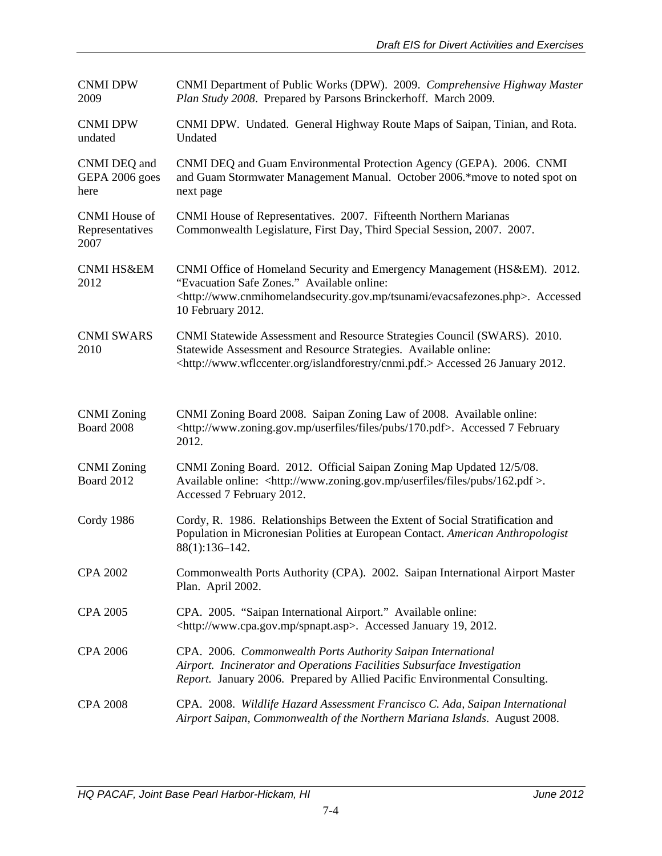| <b>CNMI DPW</b><br>2009                         | CNMI Department of Public Works (DPW). 2009. Comprehensive Highway Master<br>Plan Study 2008. Prepared by Parsons Brinckerhoff. March 2009.                                                                                                   |
|-------------------------------------------------|-----------------------------------------------------------------------------------------------------------------------------------------------------------------------------------------------------------------------------------------------|
| <b>CNMI DPW</b><br>undated                      | CNMI DPW. Undated. General Highway Route Maps of Saipan, Tinian, and Rota.<br>Undated                                                                                                                                                         |
| CNMI DEQ and<br>GEPA 2006 goes<br>here          | CNMI DEQ and Guam Environmental Protection Agency (GEPA). 2006. CNMI<br>and Guam Stormwater Management Manual. October 2006.*move to noted spot on<br>next page                                                                               |
| <b>CNMI</b> House of<br>Representatives<br>2007 | CNMI House of Representatives. 2007. Fifteenth Northern Marianas<br>Commonwealth Legislature, First Day, Third Special Session, 2007. 2007.                                                                                                   |
| <b>CNMI HS&amp;EM</b><br>2012                   | CNMI Office of Homeland Security and Emergency Management (HS&EM). 2012.<br>"Evacuation Safe Zones." Available online:<br><http: evacsafezones.php="" tsunami="" www.cnmihomelandsecurity.gov.mp="">. Accessed<br/>10 February 2012.</http:>  |
| <b>CNMI SWARS</b><br>2010                       | CNMI Statewide Assessment and Resource Strategies Council (SWARS). 2010.<br>Statewide Assessment and Resource Strategies. Available online:<br><http: cnmi.pdf.="" islandforestry="" www.wflccenter.org=""> Accessed 26 January 2012.</http:> |
| <b>CNMI</b> Zoning<br>Board 2008                | CNMI Zoning Board 2008. Saipan Zoning Law of 2008. Available online:<br><http: 170.pdf="" files="" pubs="" userfiles="" www.zoning.gov.mp="">. Accessed 7 February<br/>2012.</http:>                                                          |
| <b>CNMI</b> Zoning<br>Board 2012                | CNMI Zoning Board. 2012. Official Saipan Zoning Map Updated 12/5/08.<br>Available online: <http: 162.pdf="" files="" pubs="" userfiles="" www.zoning.gov.mp="">.<br/>Accessed 7 February 2012.</http:>                                        |
| Cordy 1986                                      | Cordy, R. 1986. Relationships Between the Extent of Social Stratification and<br>Population in Micronesian Polities at European Contact. American Anthropologist<br>88(1):136-142.                                                            |
| <b>CPA 2002</b>                                 | Commonwealth Ports Authority (CPA). 2002. Saipan International Airport Master<br>Plan. April 2002.                                                                                                                                            |
| <b>CPA 2005</b>                                 | CPA. 2005. "Saipan International Airport." Available online:<br><http: spnapt.asp="" www.cpa.gov.mp="">. Accessed January 19, 2012.</http:>                                                                                                   |
| <b>CPA 2006</b>                                 | CPA. 2006. Commonwealth Ports Authority Saipan International<br>Airport. Incinerator and Operations Facilities Subsurface Investigation<br>Report. January 2006. Prepared by Allied Pacific Environmental Consulting.                         |
| <b>CPA 2008</b>                                 | CPA. 2008. Wildlife Hazard Assessment Francisco C. Ada, Saipan International<br>Airport Saipan, Commonwealth of the Northern Mariana Islands. August 2008.                                                                                    |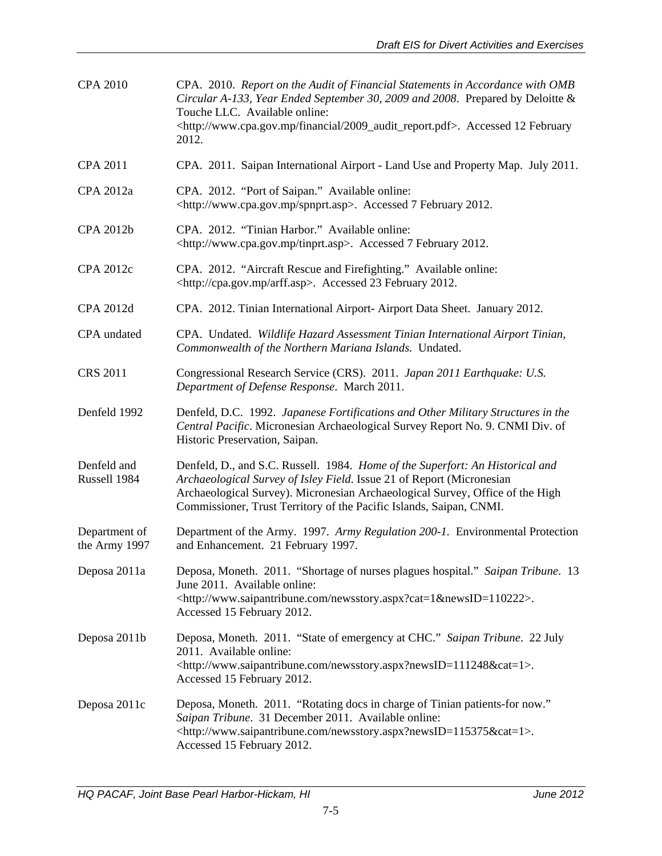| <b>CPA 2010</b>                | CPA. 2010. Report on the Audit of Financial Statements in Accordance with OMB<br>Circular A-133, Year Ended September 30, 2009 and 2008. Prepared by Deloitte &<br>Touche LLC. Available online:<br><http: 2009_audit_report.pdf="" financial="" www.cpa.gov.mp="">. Accessed 12 February<br/>2012.</http:>    |
|--------------------------------|----------------------------------------------------------------------------------------------------------------------------------------------------------------------------------------------------------------------------------------------------------------------------------------------------------------|
| <b>CPA 2011</b>                | CPA. 2011. Saipan International Airport - Land Use and Property Map. July 2011.                                                                                                                                                                                                                                |
| CPA 2012a                      | CPA. 2012. "Port of Saipan." Available online:<br><http: spnprt.asp="" www.cpa.gov.mp="">. Accessed 7 February 2012.</http:>                                                                                                                                                                                   |
| <b>CPA 2012b</b>               | CPA. 2012. "Tinian Harbor." Available online:<br><http: tinprt.asp="" www.cpa.gov.mp="">. Accessed 7 February 2012.</http:>                                                                                                                                                                                    |
| <b>CPA 2012c</b>               | CPA. 2012. "Aircraft Rescue and Firefighting." Available online:<br><http: arff.asp="" cpa.gov.mp="">. Accessed 23 February 2012.</http:>                                                                                                                                                                      |
| CPA 2012d                      | CPA. 2012. Tinian International Airport-Airport Data Sheet. January 2012.                                                                                                                                                                                                                                      |
| CPA undated                    | CPA. Undated. Wildlife Hazard Assessment Tinian International Airport Tinian,<br>Commonwealth of the Northern Mariana Islands. Undated.                                                                                                                                                                        |
| <b>CRS 2011</b>                | Congressional Research Service (CRS). 2011. Japan 2011 Earthquake: U.S.<br>Department of Defense Response. March 2011.                                                                                                                                                                                         |
| Denfeld 1992                   | Denfeld, D.C. 1992. Japanese Fortifications and Other Military Structures in the<br>Central Pacific. Micronesian Archaeological Survey Report No. 9. CNMI Div. of<br>Historic Preservation, Saipan.                                                                                                            |
| Denfeld and<br>Russell 1984    | Denfeld, D., and S.C. Russell. 1984. Home of the Superfort: An Historical and<br>Archaeological Survey of Isley Field. Issue 21 of Report (Micronesian<br>Archaeological Survey). Micronesian Archaeological Survey, Office of the High<br>Commissioner, Trust Territory of the Pacific Islands, Saipan, CNMI. |
| Department of<br>the Army 1997 | Department of the Army. 1997. Army Regulation 200-1. Environmental Protection<br>and Enhancement. 21 February 1997.                                                                                                                                                                                            |
| Deposa 2011a                   | Deposa, Moneth. 2011. "Shortage of nurses plagues hospital." Saipan Tribune. 13<br>June 2011. Available online:<br><http: newsstory.aspx?cat="1&amp;newsID=110222" www.saipantribune.com="">.<br/>Accessed 15 February 2012.</http:>                                                                           |
| Deposa 2011b                   | Deposa, Moneth. 2011. "State of emergency at CHC." Saipan Tribune. 22 July<br>2011. Available online:<br><http: newsstory.aspx?newsid="111248&amp;cat=1" www.saipantribune.com="">.<br/>Accessed 15 February 2012.</http:>                                                                                     |
| Deposa 2011c                   | Deposa, Moneth. 2011. "Rotating docs in charge of Tinian patients-for now."<br>Saipan Tribune. 31 December 2011. Available online:<br><http: newsstory.aspx?newsid="115375&amp;cat=1" www.saipantribune.com="">.<br/>Accessed 15 February 2012.</http:>                                                        |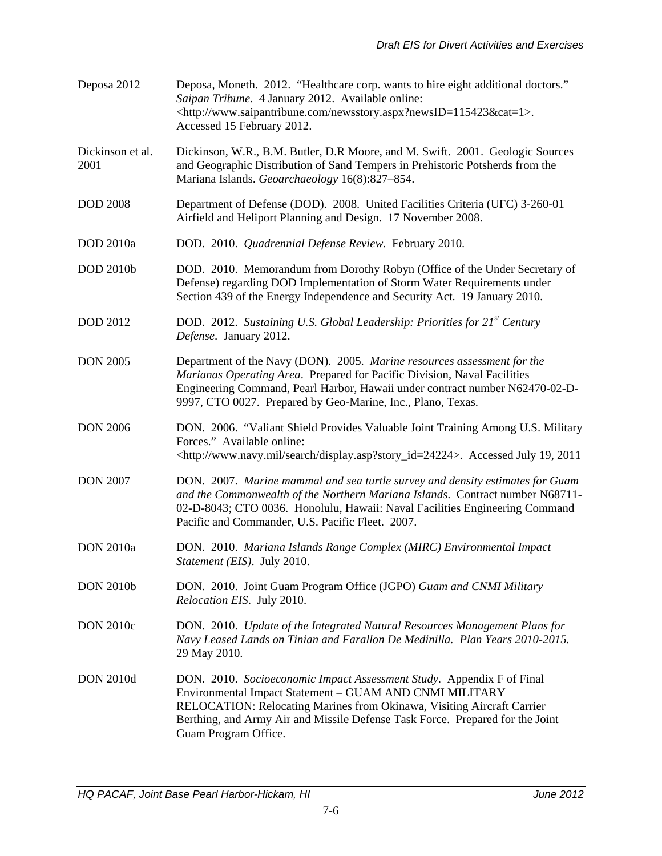| Deposa 2012              | Deposa, Moneth. 2012. "Healthcare corp. wants to hire eight additional doctors."<br>Saipan Tribune. 4 January 2012. Available online:<br><http: newsstory.aspx?newsid="115423&amp;cat=1" www.saipantribune.com="">.<br/>Accessed 15 February 2012.</http:>                                                          |
|--------------------------|---------------------------------------------------------------------------------------------------------------------------------------------------------------------------------------------------------------------------------------------------------------------------------------------------------------------|
| Dickinson et al.<br>2001 | Dickinson, W.R., B.M. Butler, D.R Moore, and M. Swift. 2001. Geologic Sources<br>and Geographic Distribution of Sand Tempers in Prehistoric Potsherds from the<br>Mariana Islands. Geoarchaeology 16(8):827-854.                                                                                                    |
| <b>DOD 2008</b>          | Department of Defense (DOD). 2008. United Facilities Criteria (UFC) 3-260-01<br>Airfield and Heliport Planning and Design. 17 November 2008.                                                                                                                                                                        |
| <b>DOD</b> 2010a         | DOD. 2010. Quadrennial Defense Review. February 2010.                                                                                                                                                                                                                                                               |
| DOD 2010b                | DOD. 2010. Memorandum from Dorothy Robyn (Office of the Under Secretary of<br>Defense) regarding DOD Implementation of Storm Water Requirements under<br>Section 439 of the Energy Independence and Security Act. 19 January 2010.                                                                                  |
| <b>DOD 2012</b>          | DOD. 2012. Sustaining U.S. Global Leadership: Priorities for 21 <sup>st</sup> Century<br>Defense. January 2012.                                                                                                                                                                                                     |
| <b>DON 2005</b>          | Department of the Navy (DON). 2005. Marine resources assessment for the<br>Marianas Operating Area. Prepared for Pacific Division, Naval Facilities<br>Engineering Command, Pearl Harbor, Hawaii under contract number N62470-02-D-<br>9997, CTO 0027. Prepared by Geo-Marine, Inc., Plano, Texas.                  |
| <b>DON 2006</b>          | DON. 2006. "Valiant Shield Provides Valuable Joint Training Among U.S. Military<br>Forces." Available online:<br><http: display.asp?story_id="24224" search="" www.navy.mil="">. Accessed July 19, 2011</http:>                                                                                                     |
| <b>DON 2007</b>          | DON. 2007. Marine mammal and sea turtle survey and density estimates for Guam<br>and the Commonwealth of the Northern Mariana Islands. Contract number N68711-<br>02-D-8043; CTO 0036. Honolulu, Hawaii: Naval Facilities Engineering Command<br>Pacific and Commander, U.S. Pacific Fleet. 2007.                   |
| <b>DON 2010a</b>         | DON. 2010. Mariana Islands Range Complex (MIRC) Environmental Impact<br>Statement (EIS). July 2010.                                                                                                                                                                                                                 |
| <b>DON 2010b</b>         | DON. 2010. Joint Guam Program Office (JGPO) Guam and CNMI Military<br>Relocation EIS. July 2010.                                                                                                                                                                                                                    |
| <b>DON 2010c</b>         | DON. 2010. Update of the Integrated Natural Resources Management Plans for<br>Navy Leased Lands on Tinian and Farallon De Medinilla. Plan Years 2010-2015.<br>29 May 2010.                                                                                                                                          |
| <b>DON 2010d</b>         | DON. 2010. Socioeconomic Impact Assessment Study. Appendix F of Final<br>Environmental Impact Statement - GUAM AND CNMI MILITARY<br>RELOCATION: Relocating Marines from Okinawa, Visiting Aircraft Carrier<br>Berthing, and Army Air and Missile Defense Task Force. Prepared for the Joint<br>Guam Program Office. |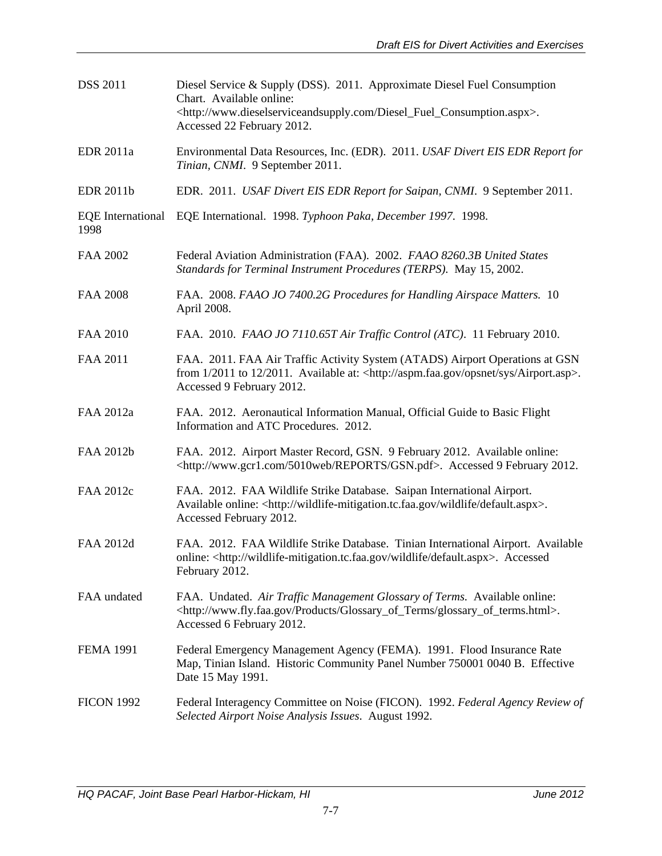| Diesel Service & Supply (DSS). 2011. Approximate Diesel Fuel Consumption<br>Chart. Available online:<br><http: diesel_fuel_consumption.aspx="" www.dieselserviceandsupply.com="">.<br/>Accessed 22 February 2012.</http:> |  |  |  |
|---------------------------------------------------------------------------------------------------------------------------------------------------------------------------------------------------------------------------|--|--|--|
| Environmental Data Resources, Inc. (EDR). 2011. USAF Divert EIS EDR Report for<br>Tinian, CNMI. 9 September 2011.                                                                                                         |  |  |  |
| EDR. 2011. USAF Divert EIS EDR Report for Saipan, CNMI. 9 September 2011.                                                                                                                                                 |  |  |  |
| EQE International. 1998. Typhoon Paka, December 1997. 1998.                                                                                                                                                               |  |  |  |
| Federal Aviation Administration (FAA). 2002. FAAO 8260.3B United States<br>Standards for Terminal Instrument Procedures (TERPS). May 15, 2002.                                                                            |  |  |  |
| FAA. 2008. FAAO JO 7400.2G Procedures for Handling Airspace Matters. 10<br>April 2008.                                                                                                                                    |  |  |  |
| FAA. 2010. FAAO JO 7110.65T Air Traffic Control (ATC). 11 February 2010.                                                                                                                                                  |  |  |  |
| FAA. 2011. FAA Air Traffic Activity System (ATADS) Airport Operations at GSN<br>from 1/2011 to 12/2011. Available at: <http: airport.asp="" aspm.faa.gov="" opsnet="" sys="">.<br/>Accessed 9 February 2012.</http:>      |  |  |  |
| FAA. 2012. Aeronautical Information Manual, Official Guide to Basic Flight<br>Information and ATC Procedures. 2012.                                                                                                       |  |  |  |
| FAA. 2012. Airport Master Record, GSN. 9 February 2012. Available online:<br><http: 5010web="" gsn.pdf="" reports="" www.gcr1.com="">. Accessed 9 February 2012.</http:>                                                  |  |  |  |
| FAA. 2012. FAA Wildlife Strike Database. Saipan International Airport.<br>Available online: <http: default.aspx="" wildlife="" wildlife-mitigation.tc.faa.gov="">.<br/>Accessed February 2012.</http:>                    |  |  |  |
| FAA. 2012. FAA Wildlife Strike Database. Tinian International Airport. Available<br>online: <http: default.aspx="" wildlife="" wildlife-mitigation.tc.faa.gov="">. Accessed<br/>February 2012.</http:>                    |  |  |  |
| FAA. Undated. Air Traffic Management Glossary of Terms. Available online:<br><http: glossary_of_terms="" glossary_of_terms.html="" products="" www.fly.faa.gov="">.<br/>Accessed 6 February 2012.</http:>                 |  |  |  |
| Federal Emergency Management Agency (FEMA). 1991. Flood Insurance Rate<br>Map, Tinian Island. Historic Community Panel Number 750001 0040 B. Effective<br>Date 15 May 1991.                                               |  |  |  |
| Federal Interagency Committee on Noise (FICON). 1992. Federal Agency Review of<br>Selected Airport Noise Analysis Issues. August 1992.                                                                                    |  |  |  |
|                                                                                                                                                                                                                           |  |  |  |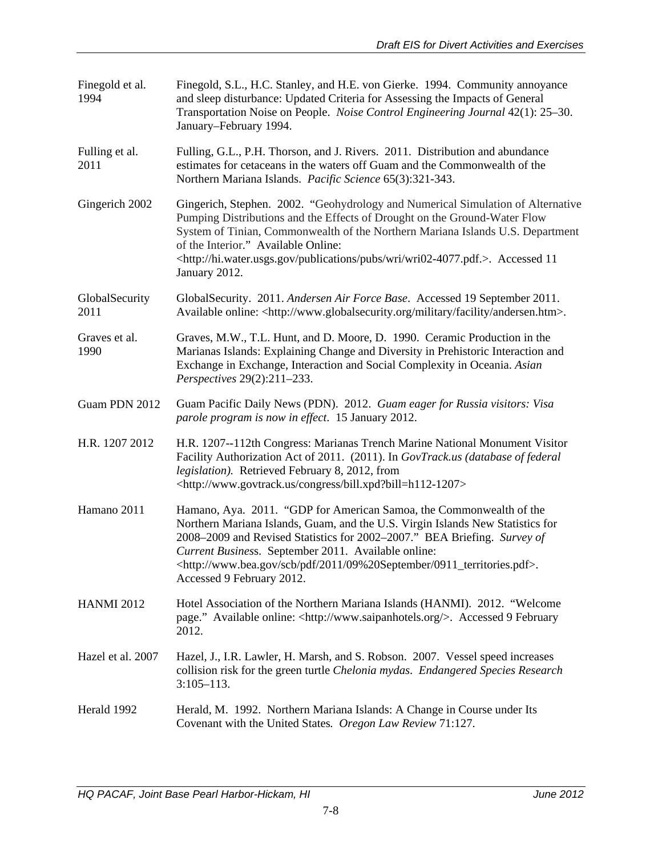| Finegold et al.<br>1994 | Finegold, S.L., H.C. Stanley, and H.E. von Gierke. 1994. Community annoyance<br>and sleep disturbance: Updated Criteria for Assessing the Impacts of General<br>Transportation Noise on People. Noise Control Engineering Journal 42(1): 25–30.<br>January-February 1994.                                                                                                                                                 |  |  |  |
|-------------------------|---------------------------------------------------------------------------------------------------------------------------------------------------------------------------------------------------------------------------------------------------------------------------------------------------------------------------------------------------------------------------------------------------------------------------|--|--|--|
| Fulling et al.<br>2011  | Fulling, G.L., P.H. Thorson, and J. Rivers. 2011. Distribution and abundance<br>estimates for cetaceans in the waters off Guam and the Commonwealth of the<br>Northern Mariana Islands. Pacific Science 65(3):321-343.                                                                                                                                                                                                    |  |  |  |
| Gingerich 2002          | Gingerich, Stephen. 2002. "Geohydrology and Numerical Simulation of Alternative<br>Pumping Distributions and the Effects of Drought on the Ground-Water Flow<br>System of Tinian, Commonwealth of the Northern Mariana Islands U.S. Department<br>of the Interior." Available Online:<br><http: hi.water.usgs.gov="" publications="" pubs="" wri="" wri02-4077.pdf.="">. Accessed 11<br/>January 2012.</http:>            |  |  |  |
| GlobalSecurity<br>2011  | GlobalSecurity. 2011. Andersen Air Force Base. Accessed 19 September 2011.<br>Available online: <http: andersen.htm="" facility="" military="" www.globalsecurity.org="">.</http:>                                                                                                                                                                                                                                        |  |  |  |
| Graves et al.<br>1990   | Graves, M.W., T.L. Hunt, and D. Moore, D. 1990. Ceramic Production in the<br>Marianas Islands: Explaining Change and Diversity in Prehistoric Interaction and<br>Exchange in Exchange, Interaction and Social Complexity in Oceania. Asian<br>Perspectives 29(2):211-233.                                                                                                                                                 |  |  |  |
| Guam PDN 2012           | Guam Pacific Daily News (PDN). 2012. Guam eager for Russia visitors: Visa<br>parole program is now in effect. 15 January 2012.                                                                                                                                                                                                                                                                                            |  |  |  |
| H.R. 1207 2012          | H.R. 1207--112th Congress: Marianas Trench Marine National Monument Visitor<br>Facility Authorization Act of 2011. (2011). In GovTrack.us (database of federal<br>legislation). Retrieved February 8, 2012, from<br><http: bill.xpd?bill="h112-1207" congress="" www.govtrack.us=""></http:>                                                                                                                              |  |  |  |
| Hamano 2011             | Hamano, Aya. 2011. "GDP for American Samoa, the Commonwealth of the<br>Northern Mariana Islands, Guam, and the U.S. Virgin Islands New Statistics for<br>2008-2009 and Revised Statistics for 2002-2007." BEA Briefing. Survey of<br>Current Business. September 2011. Available online:<br><http: 09%20september="" 0911_territories.pdf="" 2011="" pdf="" scb="" www.bea.gov="">.<br/>Accessed 9 February 2012.</http:> |  |  |  |
| <b>HANMI 2012</b>       | Hotel Association of the Northern Mariana Islands (HANMI). 2012. "Welcome<br>page." Available online: <http: www.saipanhotels.org=""></http:> . Accessed 9 February<br>2012.                                                                                                                                                                                                                                              |  |  |  |
| Hazel et al. 2007       | Hazel, J., I.R. Lawler, H. Marsh, and S. Robson. 2007. Vessel speed increases<br>collision risk for the green turtle Chelonia mydas. Endangered Species Research<br>$3:105 - 113.$                                                                                                                                                                                                                                        |  |  |  |
| Herald 1992             | Herald, M. 1992. Northern Mariana Islands: A Change in Course under Its<br>Covenant with the United States. Oregon Law Review 71:127.                                                                                                                                                                                                                                                                                     |  |  |  |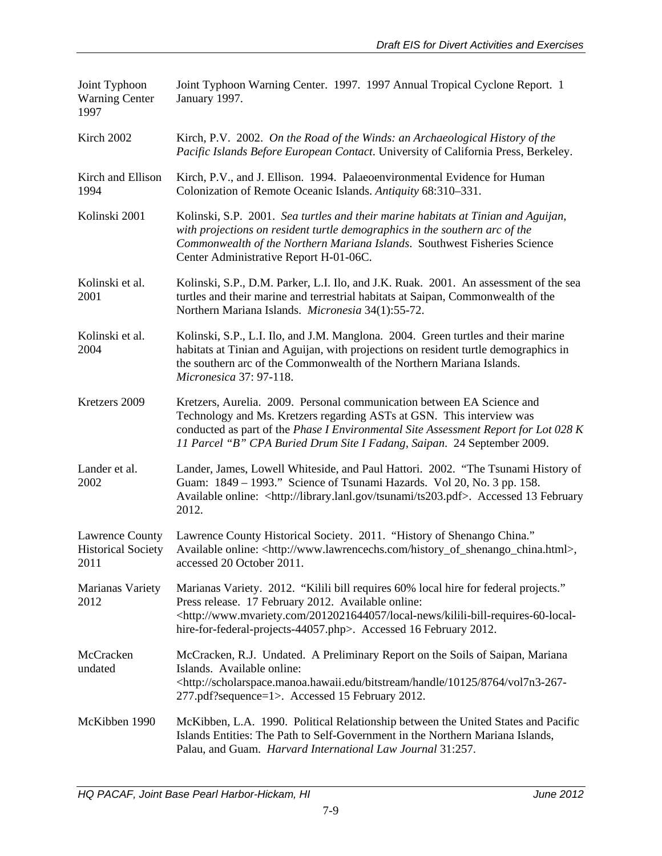| Joint Typhoon<br><b>Warning Center</b><br>1997              | Joint Typhoon Warning Center. 1997. 1997 Annual Tropical Cyclone Report. 1<br>January 1997.                                                                                                                                                                                                                             |  |  |
|-------------------------------------------------------------|-------------------------------------------------------------------------------------------------------------------------------------------------------------------------------------------------------------------------------------------------------------------------------------------------------------------------|--|--|
| Kirch 2002                                                  | Kirch, P.V. 2002. On the Road of the Winds: an Archaeological History of the<br>Pacific Islands Before European Contact. University of California Press, Berkeley.                                                                                                                                                      |  |  |
| Kirch and Ellison<br>1994                                   | Kirch, P.V., and J. Ellison. 1994. Palaeoenvironmental Evidence for Human<br>Colonization of Remote Oceanic Islands. Antiquity 68:310-331.                                                                                                                                                                              |  |  |
| Kolinski 2001                                               | Kolinski, S.P. 2001. Sea turtles and their marine habitats at Tinian and Aguijan,<br>with projections on resident turtle demographics in the southern arc of the<br>Commonwealth of the Northern Mariana Islands. Southwest Fisheries Science<br>Center Administrative Report H-01-06C.                                 |  |  |
| Kolinski et al.<br>2001                                     | Kolinski, S.P., D.M. Parker, L.I. Ilo, and J.K. Ruak. 2001. An assessment of the sea<br>turtles and their marine and terrestrial habitats at Saipan, Commonwealth of the<br>Northern Mariana Islands. Micronesia 34(1):55-72.                                                                                           |  |  |
| Kolinski et al.<br>2004                                     | Kolinski, S.P., L.I. Ilo, and J.M. Manglona. 2004. Green turtles and their marine<br>habitats at Tinian and Aguijan, with projections on resident turtle demographics in<br>the southern arc of the Commonwealth of the Northern Mariana Islands.<br>Micronesica 37: 97-118.                                            |  |  |
| Kretzers 2009                                               | Kretzers, Aurelia. 2009. Personal communication between EA Science and<br>Technology and Ms. Kretzers regarding ASTs at GSN. This interview was<br>conducted as part of the Phase I Environmental Site Assessment Report for Lot 028 K<br>11 Parcel "B" CPA Buried Drum Site I Fadang, Saipan. 24 September 2009.       |  |  |
| Lander et al.<br>2002                                       | Lander, James, Lowell Whiteside, and Paul Hattori. 2002. "The Tsunami History of<br>Guam: 1849 – 1993." Science of Tsunami Hazards. Vol 20, No. 3 pp. 158.<br>Available online: <http: library.lanl.gov="" ts203.pdf="" tsunami="">. Accessed 13 February<br/>2012.</http:>                                             |  |  |
| <b>Lawrence County</b><br><b>Historical Society</b><br>2011 | Lawrence County Historical Society. 2011. "History of Shenango China."<br>Available online: <http: history_of_shenango_china.html="" www.lawrencechs.com="">,<br/>accessed 20 October 2011.</http:>                                                                                                                     |  |  |
| Marianas Variety<br>2012                                    | Marianas Variety. 2012. "Kilili bill requires 60% local hire for federal projects."<br>Press release. 17 February 2012. Available online:<br><http: 2012021644057="" kilili-bill-requires-60-local-<br="" local-news="" www.mvariety.com="">hire-for-federal-projects-44057.php&gt;. Accessed 16 February 2012.</http:> |  |  |
| McCracken<br>undated                                        | McCracken, R.J. Undated. A Preliminary Report on the Soils of Saipan, Mariana<br>Islands. Available online:<br><http: 10125="" 8764="" bitstream="" handle="" scholarspace.manoa.hawaii.edu="" vol7n3-267-<br="">277.pdf?sequence=1&gt;. Accessed 15 February 2012.</http:>                                             |  |  |
| McKibben 1990                                               | McKibben, L.A. 1990. Political Relationship between the United States and Pacific<br>Islands Entities: The Path to Self-Government in the Northern Mariana Islands,<br>Palau, and Guam. Harvard International Law Journal 31:257.                                                                                       |  |  |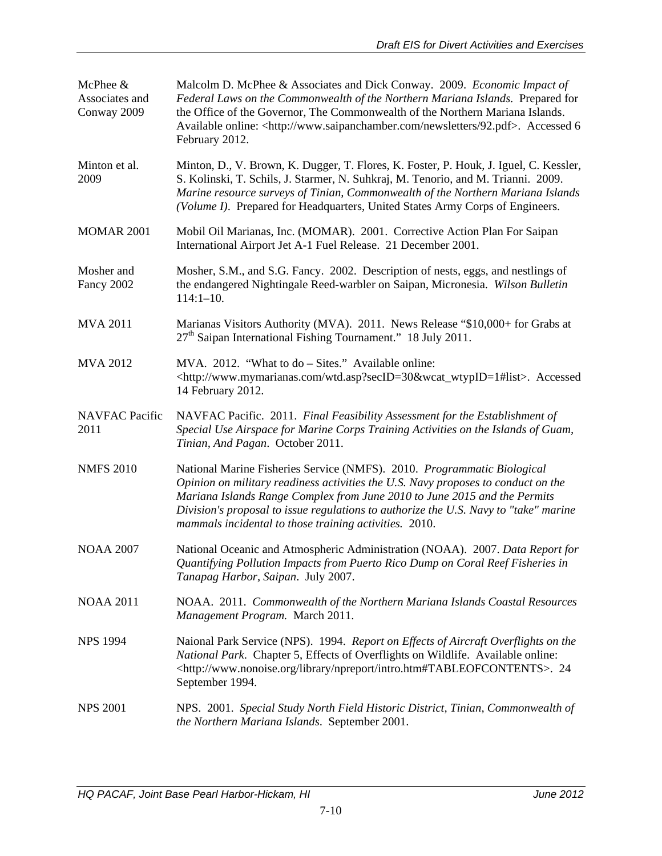| McPhee &<br>Associates and<br>Conway 2009 | Malcolm D. McPhee & Associates and Dick Conway. 2009. Economic Impact of<br>Federal Laws on the Commonwealth of the Northern Mariana Islands. Prepared for<br>the Office of the Governor, The Commonwealth of the Northern Mariana Islands.<br>Available online: <http: 92.pdf="" newsletters="" www.saipanchamber.com="">. Accessed 6<br/>February 2012.</http:>                           |  |  |  |
|-------------------------------------------|---------------------------------------------------------------------------------------------------------------------------------------------------------------------------------------------------------------------------------------------------------------------------------------------------------------------------------------------------------------------------------------------|--|--|--|
| Minton et al.<br>2009                     | Minton, D., V. Brown, K. Dugger, T. Flores, K. Foster, P. Houk, J. Iguel, C. Kessler,<br>S. Kolinski, T. Schils, J. Starmer, N. Suhkraj, M. Tenorio, and M. Trianni. 2009.<br>Marine resource surveys of Tinian, Commonwealth of the Northern Mariana Islands<br>(Volume I). Prepared for Headquarters, United States Army Corps of Engineers.                                              |  |  |  |
| <b>MOMAR 2001</b>                         | Mobil Oil Marianas, Inc. (MOMAR). 2001. Corrective Action Plan For Saipan<br>International Airport Jet A-1 Fuel Release. 21 December 2001.                                                                                                                                                                                                                                                  |  |  |  |
| Mosher and<br>Fancy 2002                  | Mosher, S.M., and S.G. Fancy. 2002. Description of nests, eggs, and nestlings of<br>the endangered Nightingale Reed-warbler on Saipan, Micronesia. Wilson Bulletin<br>$114:1-10.$                                                                                                                                                                                                           |  |  |  |
| <b>MVA 2011</b>                           | Marianas Visitors Authority (MVA). 2011. News Release "\$10,000+ for Grabs at<br>27 <sup>th</sup> Saipan International Fishing Tournament." 18 July 2011.                                                                                                                                                                                                                                   |  |  |  |
| <b>MVA 2012</b>                           | MVA. 2012. "What to do – Sites." Available online:<br><http: wtd.asp?secid="30&amp;wcat_wtypID=1#list" www.mymarianas.com="">. Accessed<br/>14 February 2012.</http:>                                                                                                                                                                                                                       |  |  |  |
| <b>NAVFAC Pacific</b><br>2011             | NAVFAC Pacific. 2011. Final Feasibility Assessment for the Establishment of<br>Special Use Airspace for Marine Corps Training Activities on the Islands of Guam,<br>Tinian, And Pagan. October 2011.                                                                                                                                                                                        |  |  |  |
| <b>NMFS 2010</b>                          | National Marine Fisheries Service (NMFS). 2010. Programmatic Biological<br>Opinion on military readiness activities the U.S. Navy proposes to conduct on the<br>Mariana Islands Range Complex from June 2010 to June 2015 and the Permits<br>Division's proposal to issue regulations to authorize the U.S. Navy to "take" marine<br>mammals incidental to those training activities. 2010. |  |  |  |
| <b>NOAA 2007</b>                          | National Oceanic and Atmospheric Administration (NOAA). 2007. Data Report for<br>Quantifying Pollution Impacts from Puerto Rico Dump on Coral Reef Fisheries in<br>Tanapag Harbor, Saipan. July 2007.                                                                                                                                                                                       |  |  |  |
| <b>NOAA 2011</b>                          | NOAA. 2011. Commonwealth of the Northern Mariana Islands Coastal Resources<br>Management Program. March 2011.                                                                                                                                                                                                                                                                               |  |  |  |
| <b>NPS 1994</b>                           | Naional Park Service (NPS). 1994. Report on Effects of Aircraft Overflights on the<br>National Park. Chapter 5, Effects of Overflights on Wildlife. Available online:<br><http: intro.htm#tableofcontents="" library="" npreport="" www.nonoise.org="">. 24<br/>September 1994.</http:>                                                                                                     |  |  |  |
| <b>NPS 2001</b>                           | NPS. 2001. Special Study North Field Historic District, Tinian, Commonwealth of<br>the Northern Mariana Islands. September 2001.                                                                                                                                                                                                                                                            |  |  |  |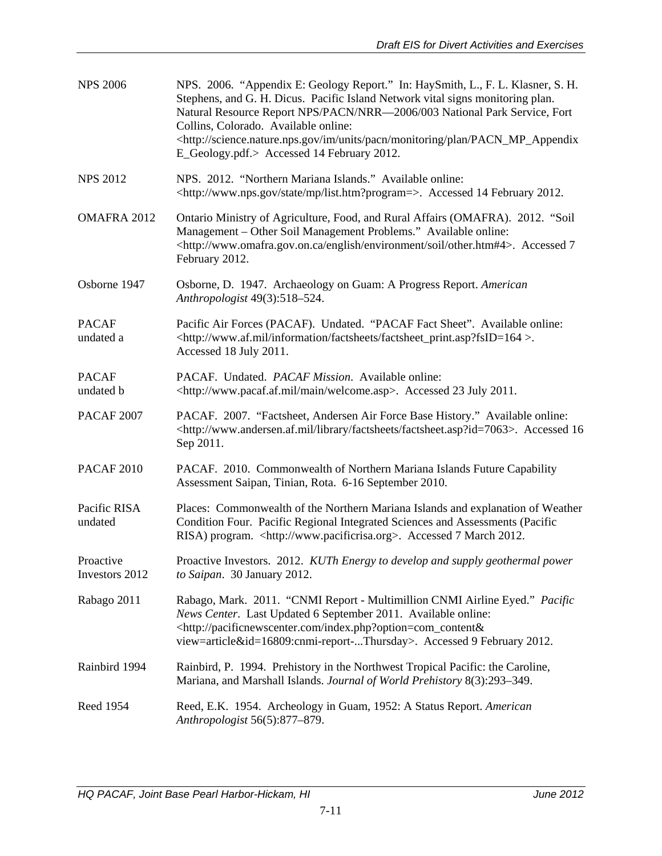| <b>NPS 2006</b>             | NPS. 2006. "Appendix E: Geology Report." In: HaySmith, L., F. L. Klasner, S. H.<br>Stephens, and G. H. Dicus. Pacific Island Network vital signs monitoring plan.<br>Natural Resource Report NPS/PACN/NRR-2006/003 National Park Service, Fort<br>Collins, Colorado. Available online:<br><http: im="" monitoring="" pacn="" pacn_mp_appendix<br="" plan="" science.nature.nps.gov="" units="">E_Geology.pdf.&gt; Accessed 14 February 2012.</http:> |  |  |  |
|-----------------------------|------------------------------------------------------------------------------------------------------------------------------------------------------------------------------------------------------------------------------------------------------------------------------------------------------------------------------------------------------------------------------------------------------------------------------------------------------|--|--|--|
| <b>NPS 2012</b>             | NPS. 2012. "Northern Mariana Islands." Available online:<br><http: list.htm?program="" mp="" state="" www.nps.gov="">. Accessed 14 February 2012.</http:>                                                                                                                                                                                                                                                                                            |  |  |  |
| OMAFRA 2012                 | Ontario Ministry of Agriculture, Food, and Rural Affairs (OMAFRA). 2012. "Soil<br>Management – Other Soil Management Problems." Available online:<br><http: english="" environment="" other.htm#4="" soil="" www.omafra.gov.on.ca="">. Accessed 7<br/>February 2012.</http:>                                                                                                                                                                         |  |  |  |
| Osborne 1947                | Osborne, D. 1947. Archaeology on Guam: A Progress Report. American<br>Anthropologist 49(3):518-524.                                                                                                                                                                                                                                                                                                                                                  |  |  |  |
| <b>PACAF</b><br>undated a   | Pacific Air Forces (PACAF). Undated. "PACAF Fact Sheet". Available online:<br><http: factsheet_print.asp?fsid="164" factsheets="" information="" www.af.mil="">.<br/>Accessed 18 July 2011.</http:>                                                                                                                                                                                                                                                  |  |  |  |
| <b>PACAF</b><br>undated b   | PACAF. Undated. PACAF Mission. Available online:<br><http: main="" welcome.asp="" www.pacaf.af.mil="">. Accessed 23 July 2011.</http:>                                                                                                                                                                                                                                                                                                               |  |  |  |
| <b>PACAF 2007</b>           | PACAF. 2007. "Factsheet, Andersen Air Force Base History." Available online:<br><http: factsheet.asp?id="7063" factsheets="" library="" www.andersen.af.mil="">. Accessed 16<br/>Sep 2011.</http:>                                                                                                                                                                                                                                                   |  |  |  |
| <b>PACAF 2010</b>           | PACAF. 2010. Commonwealth of Northern Mariana Islands Future Capability<br>Assessment Saipan, Tinian, Rota. 6-16 September 2010.                                                                                                                                                                                                                                                                                                                     |  |  |  |
| Pacific RISA<br>undated     | Places: Commonwealth of the Northern Mariana Islands and explanation of Weather<br>Condition Four. Pacific Regional Integrated Sciences and Assessments (Pacific<br>RISA) program. <http: www.pacificrisa.org="">. Accessed 7 March 2012.</http:>                                                                                                                                                                                                    |  |  |  |
| Proactive<br>Investors 2012 | Proactive Investors. 2012. KUTh Energy to develop and supply geothermal power<br>to Saipan. 30 January 2012.                                                                                                                                                                                                                                                                                                                                         |  |  |  |
| Rabago 2011                 | Rabago, Mark. 2011. "CNMI Report - Multimillion CNMI Airline Eyed." Pacific<br>News Center. Last Updated 6 September 2011. Available online:<br><http: index.php?option="com_content&amp;&lt;br" pacificnewscenter.com="">view=article&amp;id=16809:cnmi-report-Thursday&gt;. Accessed 9 February 2012.</http:>                                                                                                                                      |  |  |  |
| Rainbird 1994               | Rainbird, P. 1994. Prehistory in the Northwest Tropical Pacific: the Caroline,<br>Mariana, and Marshall Islands. Journal of World Prehistory 8(3):293-349.                                                                                                                                                                                                                                                                                           |  |  |  |
| Reed 1954                   | Reed, E.K. 1954. Archeology in Guam, 1952: A Status Report. American<br>Anthropologist 56(5):877-879.                                                                                                                                                                                                                                                                                                                                                |  |  |  |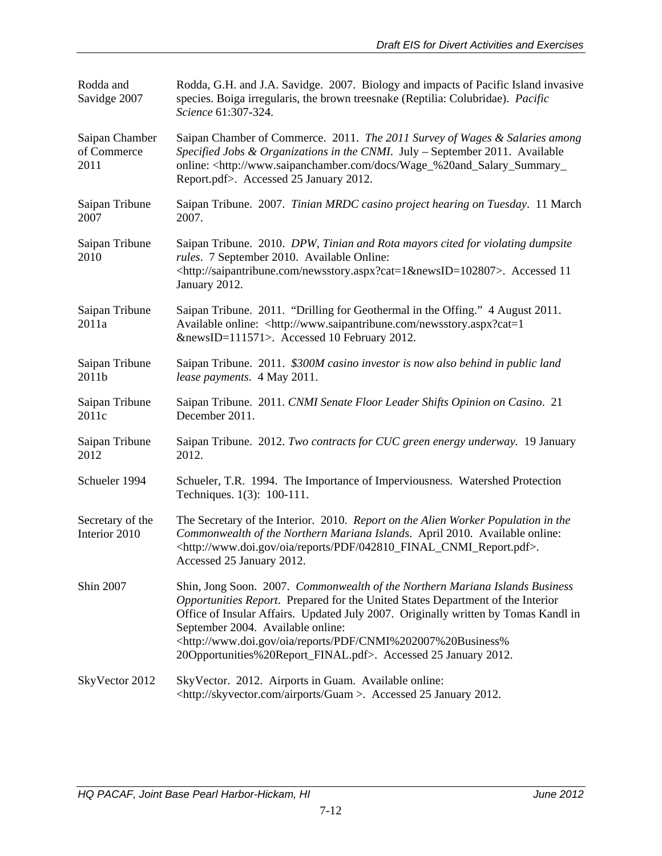| Rodda and<br>Savidge 2007             | Rodda, G.H. and J.A. Savidge. 2007. Biology and impacts of Pacific Island invasive<br>species. Boiga irregularis, the brown treesnake (Reptilia: Colubridae). Pacific<br>Science 61:307-324.                                                                                                                                                                                                                                                         |
|---------------------------------------|------------------------------------------------------------------------------------------------------------------------------------------------------------------------------------------------------------------------------------------------------------------------------------------------------------------------------------------------------------------------------------------------------------------------------------------------------|
| Saipan Chamber<br>of Commerce<br>2011 | Saipan Chamber of Commerce. 2011. The 2011 Survey of Wages & Salaries among<br>Specified Jobs & Organizations in the CNMI. July - September 2011. Available<br>online: <http: docs="" wage_%20and_salary_summary_<br="" www.saipanchamber.com="">Report.pdf&gt;. Accessed 25 January 2012.</http:>                                                                                                                                                   |
| Saipan Tribune<br>2007                | Saipan Tribune. 2007. Tinian MRDC casino project hearing on Tuesday. 11 March<br>2007.                                                                                                                                                                                                                                                                                                                                                               |
| Saipan Tribune<br>2010                | Saipan Tribune. 2010. DPW, Tinian and Rota mayors cited for violating dumpsite<br>rules. 7 September 2010. Available Online:<br><http: newsstory.aspx?cat="1&amp;newsID=102807" saipantribune.com="">. Accessed 11<br/>January 2012.</http:>                                                                                                                                                                                                         |
| Saipan Tribune<br>2011a               | Saipan Tribune. 2011. "Drilling for Geothermal in the Offing." 4 August 2011.<br>Available online: <http: newsstory.aspx?cat="1&lt;br" www.saipantribune.com="">&amp;newsID=111571&gt;. Accessed 10 February 2012.</http:>                                                                                                                                                                                                                           |
| Saipan Tribune<br>2011b               | Saipan Tribune. 2011. \$300M casino investor is now also behind in public land<br>lease payments. 4 May 2011.                                                                                                                                                                                                                                                                                                                                        |
| Saipan Tribune<br>2011c               | Saipan Tribune. 2011. CNMI Senate Floor Leader Shifts Opinion on Casino. 21<br>December 2011.                                                                                                                                                                                                                                                                                                                                                        |
| Saipan Tribune<br>2012                | Saipan Tribune. 2012. Two contracts for CUC green energy underway. 19 January<br>2012.                                                                                                                                                                                                                                                                                                                                                               |
| Schueler 1994                         | Schueler, T.R. 1994. The Importance of Imperviousness. Watershed Protection<br>Techniques. 1(3): 100-111.                                                                                                                                                                                                                                                                                                                                            |
| Secretary of the<br>Interior 2010     | The Secretary of the Interior. 2010. Report on the Alien Worker Population in the<br>Commonwealth of the Northern Mariana Islands. April 2010. Available online:<br><http: 042810_final_cnmi_report.pdf="" oia="" pdf="" reports="" www.doi.gov="">.<br/>Accessed 25 January 2012.</http:>                                                                                                                                                           |
| Shin 2007                             | Shin, Jong Soon. 2007. Commonwealth of the Northern Mariana Islands Business<br>Opportunities Report. Prepared for the United States Department of the Interior<br>Office of Insular Affairs. Updated July 2007. Originally written by Tomas Kandl in<br>September 2004. Available online:<br><http: cnmi%202007%20business%<br="" oia="" pdf="" reports="" www.doi.gov="">20Opportunities%20Report_FINAL.pdf&gt;. Accessed 25 January 2012.</http:> |
| SkyVector 2012                        | SkyVector. 2012. Airports in Guam. Available online:<br><http: airports="" guam="" skyvector.com="">. Accessed 25 January 2012.</http:>                                                                                                                                                                                                                                                                                                              |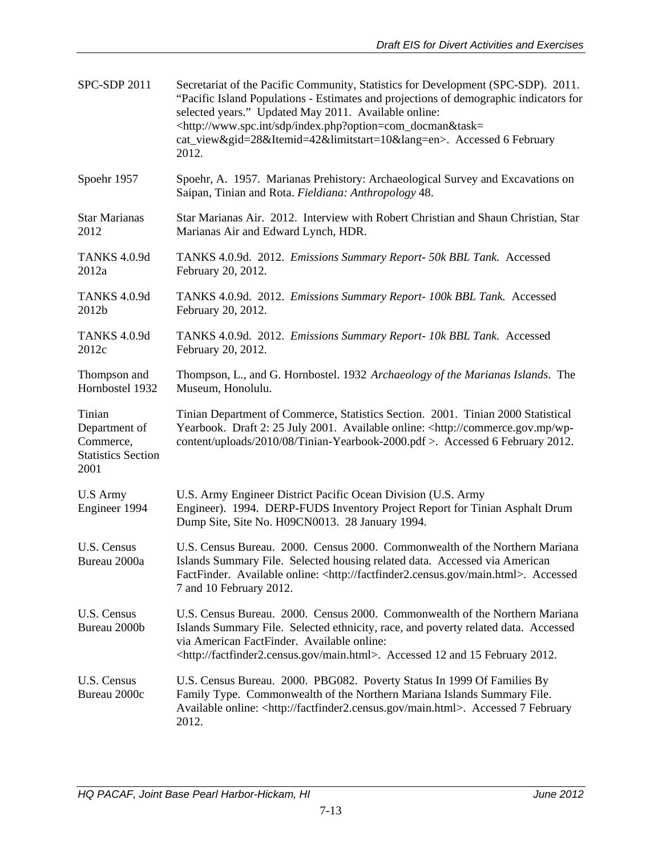| <b>SPC-SDP 2011</b>                                                       | Secretariat of the Pacific Community, Statistics for Development (SPC-SDP). 2011.<br>"Pacific Island Populations - Estimates and projections of demographic indicators for<br>selected years." Updated May 2011. Available online:<br><http: index.php?option="com_docman&amp;task=&lt;br" sdp="" www.spc.int="">cat_view&amp;gid=28&amp;Itemid=42&amp;limitstart=10⟨=en&gt;. Accessed 6 February<br/>2012.</http:> |  |  |  |
|---------------------------------------------------------------------------|---------------------------------------------------------------------------------------------------------------------------------------------------------------------------------------------------------------------------------------------------------------------------------------------------------------------------------------------------------------------------------------------------------------------|--|--|--|
| Spoehr 1957                                                               | Spoehr, A. 1957. Marianas Prehistory: Archaeological Survey and Excavations on<br>Saipan, Tinian and Rota. Fieldiana: Anthropology 48.                                                                                                                                                                                                                                                                              |  |  |  |
| <b>Star Marianas</b><br>2012                                              | Star Marianas Air. 2012. Interview with Robert Christian and Shaun Christian, Star<br>Marianas Air and Edward Lynch, HDR.                                                                                                                                                                                                                                                                                           |  |  |  |
| <b>TANKS 4.0.9d</b><br>2012a                                              | TANKS 4.0.9d. 2012. Emissions Summary Report- 50k BBL Tank. Accessed<br>February 20, 2012.                                                                                                                                                                                                                                                                                                                          |  |  |  |
| <b>TANKS 4.0.9d</b><br>2012b                                              | TANKS 4.0.9d. 2012. Emissions Summary Report- 100k BBL Tank. Accessed<br>February 20, 2012.                                                                                                                                                                                                                                                                                                                         |  |  |  |
| <b>TANKS 4.0.9d</b><br>2012c                                              | TANKS 4.0.9d. 2012. Emissions Summary Report- 10k BBL Tank. Accessed<br>February 20, 2012.                                                                                                                                                                                                                                                                                                                          |  |  |  |
| Thompson and<br>Hornbostel 1932                                           | Thompson, L., and G. Hornbostel. 1932 Archaeology of the Marianas Islands. The<br>Museum, Honolulu.                                                                                                                                                                                                                                                                                                                 |  |  |  |
| Tinian<br>Department of<br>Commerce,<br><b>Statistics Section</b><br>2001 | Tinian Department of Commerce, Statistics Section. 2001. Tinian 2000 Statistical<br>Yearbook. Draft 2: 25 July 2001. Available online: <http: commerce.gov.mp="" wp-<br="">content/uploads/2010/08/Tinian-Yearbook-2000.pdf &gt;. Accessed 6 February 2012.</http:>                                                                                                                                                 |  |  |  |
| <b>U.S Army</b><br>Engineer 1994                                          | U.S. Army Engineer District Pacific Ocean Division (U.S. Army<br>Engineer). 1994. DERP-FUDS Inventory Project Report for Tinian Asphalt Drum<br>Dump Site, Site No. H09CN0013. 28 January 1994.                                                                                                                                                                                                                     |  |  |  |
| U.S. Census<br>Bureau 2000a                                               | U.S. Census Bureau. 2000. Census 2000. Commonwealth of the Northern Mariana<br>Islands Summary File. Selected housing related data. Accessed via American<br>FactFinder. Available online: <http: factfinder2.census.gov="" main.html="">. Accessed<br/>7 and 10 February 2012.</http:>                                                                                                                             |  |  |  |
| U.S. Census<br>Bureau 2000b                                               | U.S. Census Bureau. 2000. Census 2000. Commonwealth of the Northern Mariana<br>Islands Summary File. Selected ethnicity, race, and poverty related data. Accessed<br>via American FactFinder. Available online:<br><http: factfinder2.census.gov="" main.html="">. Accessed 12 and 15 February 2012.</http:>                                                                                                        |  |  |  |
| U.S. Census<br>Bureau 2000c                                               | U.S. Census Bureau. 2000. PBG082. Poverty Status In 1999 Of Families By<br>Family Type. Commonwealth of the Northern Mariana Islands Summary File.<br>Available online: <http: factfinder2.census.gov="" main.html="">. Accessed 7 February<br/>2012.</http:>                                                                                                                                                       |  |  |  |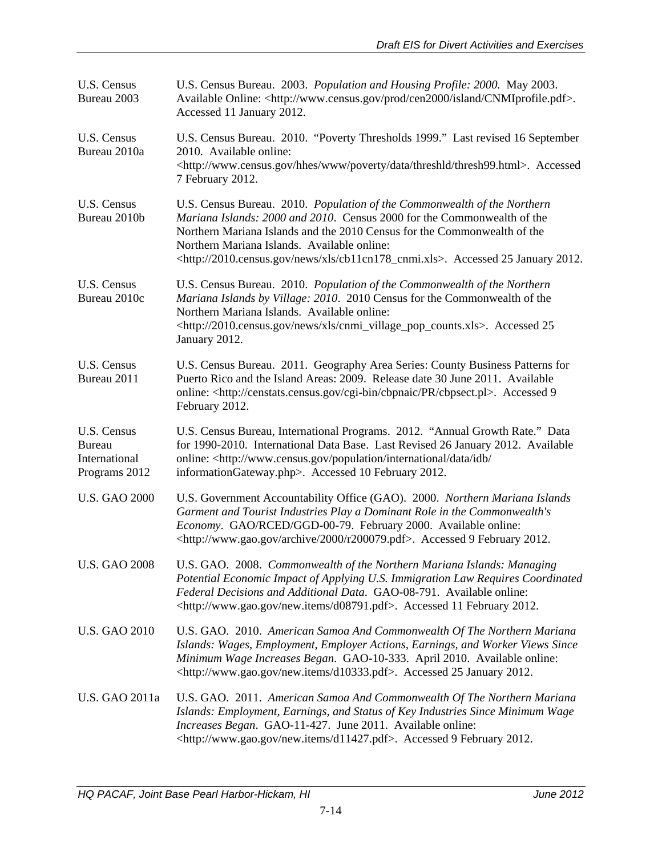| U.S. Census<br>Bureau 2003                                     | U.S. Census Bureau. 2003. Population and Housing Profile: 2000. May 2003.<br>Available Online: <http: cen2000="" cnmiprofile.pdf="" island="" prod="" www.census.gov="">.<br/>Accessed 11 January 2012.</http:>                                                                                                                                                                      |  |  |  |
|----------------------------------------------------------------|--------------------------------------------------------------------------------------------------------------------------------------------------------------------------------------------------------------------------------------------------------------------------------------------------------------------------------------------------------------------------------------|--|--|--|
| U.S. Census<br>Bureau 2010a                                    | U.S. Census Bureau. 2010. "Poverty Thresholds 1999." Last revised 16 September<br>2010. Available online:<br><http: data="" hhes="" poverty="" thresh99.html="" threshld="" www="" www.census.gov="">. Accessed<br/>7 February 2012.</http:>                                                                                                                                         |  |  |  |
| U.S. Census<br>Bureau 2010b                                    | U.S. Census Bureau. 2010. Population of the Commonwealth of the Northern<br>Mariana Islands: 2000 and 2010. Census 2000 for the Commonwealth of the<br>Northern Mariana Islands and the 2010 Census for the Commonwealth of the<br>Northern Mariana Islands. Available online:<br><http: 2010.census.gov="" cb11cn178_cnmi.xls="" news="" xls="">. Accessed 25 January 2012.</http:> |  |  |  |
| U.S. Census<br>Bureau 2010c                                    | U.S. Census Bureau. 2010. Population of the Commonwealth of the Northern<br>Mariana Islands by Village: 2010. 2010 Census for the Commonwealth of the<br>Northern Mariana Islands. Available online:<br><http: 2010.census.gov="" cnmi_village_pop_counts.xls="" news="" xls="">. Accessed 25<br/>January 2012.</http:>                                                              |  |  |  |
| U.S. Census<br>Bureau 2011                                     | U.S. Census Bureau. 2011. Geography Area Series: County Business Patterns for<br>Puerto Rico and the Island Areas: 2009. Release date 30 June 2011. Available<br>online: <http: cbpnaic="" cbpsect.pl="" censtats.census.gov="" cgi-bin="" pr="">. Accessed 9<br/>February 2012.</http:>                                                                                             |  |  |  |
| U.S. Census<br><b>Bureau</b><br>International<br>Programs 2012 | U.S. Census Bureau, International Programs. 2012. "Annual Growth Rate." Data<br>for 1990-2010. International Data Base. Last Revised 26 January 2012. Available<br>online: <http: <br="" data="" idb="" international="" population="" www.census.gov="">informationGateway.php&gt;. Accessed 10 February 2012.</http:>                                                              |  |  |  |
| <b>U.S. GAO 2000</b>                                           | U.S. Government Accountability Office (GAO). 2000. Northern Mariana Islands<br>Garment and Tourist Industries Play a Dominant Role in the Commonwealth's<br>Economy. GAO/RCED/GGD-00-79. February 2000. Available online:<br><http: 2000="" archive="" r200079.pdf="" www.gao.gov="">. Accessed 9 February 2012.</http:>                                                             |  |  |  |
| <b>U.S. GAO 2008</b>                                           | U.S. GAO. 2008. Commonwealth of the Northern Mariana Islands: Managing<br>Potential Economic Impact of Applying U.S. Immigration Law Requires Coordinated<br>Federal Decisions and Additional Data. GAO-08-791. Available online:<br><http: d08791.pdf="" new.items="" www.gao.gov="">. Accessed 11 February 2012.</http:>                                                           |  |  |  |
| <b>U.S. GAO 2010</b>                                           | U.S. GAO. 2010. American Samoa And Commonwealth Of The Northern Mariana<br>Islands: Wages, Employment, Employer Actions, Earnings, and Worker Views Since<br>Minimum Wage Increases Began. GAO-10-333. April 2010. Available online:<br><http: d10333.pdf="" new.items="" www.gao.gov="">. Accessed 25 January 2012.</http:>                                                         |  |  |  |
| U.S. GAO 2011a                                                 | U.S. GAO. 2011. American Samoa And Commonwealth Of The Northern Mariana<br>Islands: Employment, Earnings, and Status of Key Industries Since Minimum Wage<br>Increases Began. GAO-11-427. June 2011. Available online:<br><http: d11427.pdf="" new.items="" www.gao.gov="">. Accessed 9 February 2012.</http:>                                                                       |  |  |  |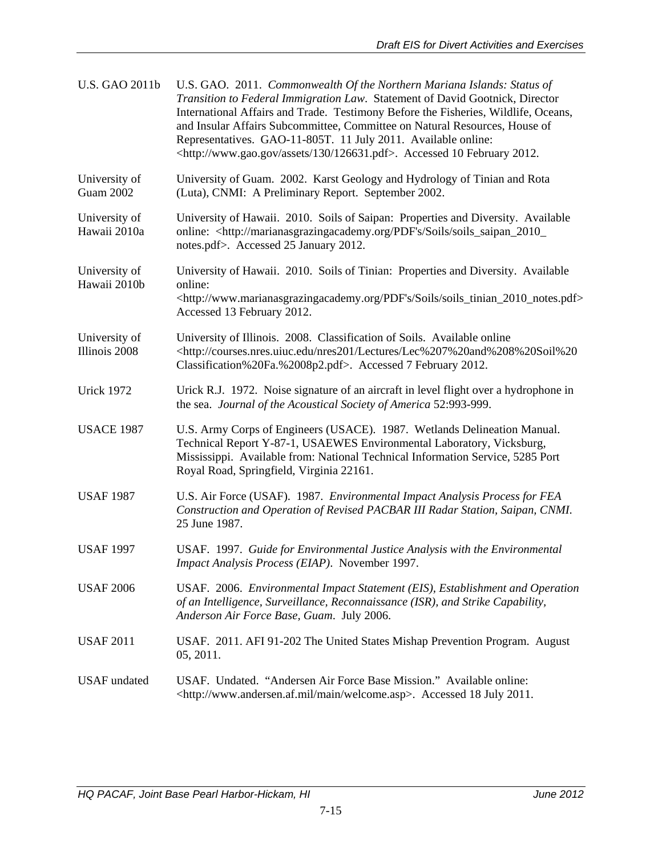| U.S. GAO 2011b                    | U.S. GAO. 2011. Commonwealth Of the Northern Mariana Islands: Status of<br>Transition to Federal Immigration Law. Statement of David Gootnick, Director<br>International Affairs and Trade. Testimony Before the Fisheries, Wildlife, Oceans,<br>and Insular Affairs Subcommittee, Committee on Natural Resources, House of<br>Representatives. GAO-11-805T. 11 July 2011. Available online:<br><http: 126631.pdf="" 130="" assets="" www.gao.gov="">. Accessed 10 February 2012.</http:> |  |  |  |
|-----------------------------------|-------------------------------------------------------------------------------------------------------------------------------------------------------------------------------------------------------------------------------------------------------------------------------------------------------------------------------------------------------------------------------------------------------------------------------------------------------------------------------------------|--|--|--|
| University of<br><b>Guam 2002</b> | University of Guam. 2002. Karst Geology and Hydrology of Tinian and Rota<br>(Luta), CNMI: A Preliminary Report. September 2002.                                                                                                                                                                                                                                                                                                                                                           |  |  |  |
| University of<br>Hawaii 2010a     | University of Hawaii. 2010. Soils of Saipan: Properties and Diversity. Available<br>online: <http: marianasgrazingacademy.org="" pdf's="" soils="" soils_saipan_2010_<br="">notes.pdf&gt;. Accessed 25 January 2012.</http:>                                                                                                                                                                                                                                                              |  |  |  |
| University of                     | University of Hawaii. 2010. Soils of Tinian: Properties and Diversity. Available                                                                                                                                                                                                                                                                                                                                                                                                          |  |  |  |
| Hawaii 2010b                      | online:<br><http: pdf's="" soils="" soils_tinian_2010_notes.pdf="" www.marianasgrazingacademy.org=""><br/>Accessed 13 February 2012.</http:>                                                                                                                                                                                                                                                                                                                                              |  |  |  |
| University of<br>Illinois 2008    | University of Illinois. 2008. Classification of Soils. Available online<br><http: courses.nres.uiuc.edu="" lec%207%20and%208%20soil%20<br="" lectures="" nres201="">Classification%20Fa.%2008p2.pdf&gt;. Accessed 7 February 2012.</http:>                                                                                                                                                                                                                                                |  |  |  |
| <b>Urick 1972</b>                 | Urick R.J. 1972. Noise signature of an aircraft in level flight over a hydrophone in<br>the sea. Journal of the Acoustical Society of America 52:993-999.                                                                                                                                                                                                                                                                                                                                 |  |  |  |
| <b>USACE 1987</b>                 | U.S. Army Corps of Engineers (USACE). 1987. Wetlands Delineation Manual.<br>Technical Report Y-87-1, USAEWES Environmental Laboratory, Vicksburg,<br>Mississippi. Available from: National Technical Information Service, 5285 Port<br>Royal Road, Springfield, Virginia 22161.                                                                                                                                                                                                           |  |  |  |
| <b>USAF 1987</b>                  | U.S. Air Force (USAF). 1987. Environmental Impact Analysis Process for FEA<br>Construction and Operation of Revised PACBAR III Radar Station, Saipan, CNMI.<br>25 June 1987.                                                                                                                                                                                                                                                                                                              |  |  |  |
| <b>USAF 1997</b>                  | USAF. 1997. Guide for Environmental Justice Analysis with the Environmental<br>Impact Analysis Process (EIAP). November 1997.                                                                                                                                                                                                                                                                                                                                                             |  |  |  |
| <b>USAF 2006</b>                  | USAF. 2006. Environmental Impact Statement (EIS), Establishment and Operation<br>of an Intelligence, Surveillance, Reconnaissance (ISR), and Strike Capability,<br>Anderson Air Force Base, Guam. July 2006.                                                                                                                                                                                                                                                                              |  |  |  |
| <b>USAF 2011</b>                  | USAF. 2011. AFI 91-202 The United States Mishap Prevention Program. August<br>05, 2011.                                                                                                                                                                                                                                                                                                                                                                                                   |  |  |  |
| <b>USAF</b> undated               | USAF. Undated. "Andersen Air Force Base Mission." Available online:<br><http: main="" welcome.asp="" www.andersen.af.mil="">. Accessed 18 July 2011.</http:>                                                                                                                                                                                                                                                                                                                              |  |  |  |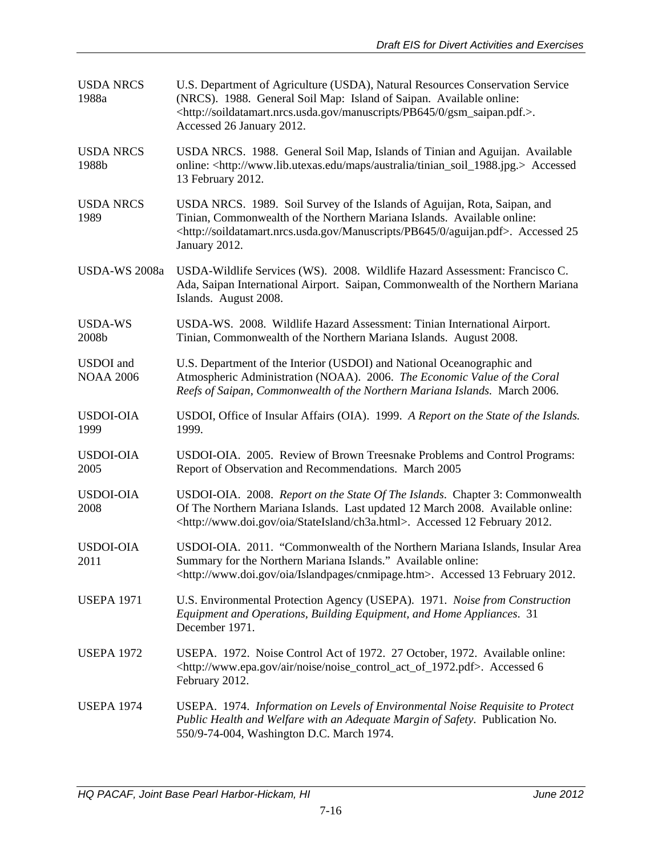| <b>USDA NRCS</b><br>1988a            | U.S. Department of Agriculture (USDA), Natural Resources Conservation Service<br>(NRCS). 1988. General Soil Map: Island of Saipan. Available online:<br><http: 0="" gsm_saipan.pdf.="" manuscripts="" pb645="" soildatamart.nrcs.usda.gov="">.<br/>Accessed 26 January 2012.</http:> |  |  |  |
|--------------------------------------|--------------------------------------------------------------------------------------------------------------------------------------------------------------------------------------------------------------------------------------------------------------------------------------|--|--|--|
| <b>USDA NRCS</b><br>1988b            | USDA NRCS. 1988. General Soil Map, Islands of Tinian and Aguijan. Available<br>online: <http: australia="" maps="" tinian_soil_1988.jpg.="" www.lib.utexas.edu=""> Accessed<br/>13 February 2012.</http:>                                                                            |  |  |  |
| <b>USDA NRCS</b><br>1989             | USDA NRCS. 1989. Soil Survey of the Islands of Aguijan, Rota, Saipan, and<br>Tinian, Commonwealth of the Northern Mariana Islands. Available online:<br><http: 0="" aguijan.pdf="" manuscripts="" pb645="" soildatamart.nrcs.usda.gov="">. Accessed 25<br/>January 2012.</http:>     |  |  |  |
| USDA-WS 2008a                        | USDA-Wildlife Services (WS). 2008. Wildlife Hazard Assessment: Francisco C.<br>Ada, Saipan International Airport. Saipan, Commonwealth of the Northern Mariana<br>Islands. August 2008.                                                                                              |  |  |  |
| USDA-WS<br>2008b                     | USDA-WS. 2008. Wildlife Hazard Assessment: Tinian International Airport.<br>Tinian, Commonwealth of the Northern Mariana Islands. August 2008.                                                                                                                                       |  |  |  |
| <b>USDOI</b> and<br><b>NOAA 2006</b> | U.S. Department of the Interior (USDOI) and National Oceanographic and<br>Atmospheric Administration (NOAA). 2006. The Economic Value of the Coral<br>Reefs of Saipan, Commonwealth of the Northern Mariana Islands. March 2006.                                                     |  |  |  |
| <b>USDOI-OIA</b><br>1999             | USDOI, Office of Insular Affairs (OIA). 1999. A Report on the State of the Islands.<br>1999.                                                                                                                                                                                         |  |  |  |
| <b>USDOI-OIA</b><br>2005             | USDOI-OIA. 2005. Review of Brown Treesnake Problems and Control Programs:<br>Report of Observation and Recommendations. March 2005                                                                                                                                                   |  |  |  |
| <b>USDOI-OIA</b><br>2008             | USDOI-OIA. 2008. Report on the State Of The Islands. Chapter 3: Commonwealth<br>Of The Northern Mariana Islands. Last updated 12 March 2008. Available online:<br><http: ch3a.html="" oia="" stateisland="" www.doi.gov="">. Accessed 12 February 2012.</http:>                      |  |  |  |
| <b>USDOI-OIA</b><br>2011             | USDOI-OIA. 2011. "Commonwealth of the Northern Mariana Islands, Insular Area<br>Summary for the Northern Mariana Islands." Available online:<br><http: cnmipage.htm="" islandpages="" oia="" www.doi.gov="">. Accessed 13 February 2012.</http:>                                     |  |  |  |
| <b>USEPA 1971</b>                    | U.S. Environmental Protection Agency (USEPA). 1971. Noise from Construction<br>Equipment and Operations, Building Equipment, and Home Appliances. 31<br>December 1971.                                                                                                               |  |  |  |
| <b>USEPA 1972</b>                    | USEPA. 1972. Noise Control Act of 1972. 27 October, 1972. Available online:<br><http: air="" noise="" noise_control_act_of_1972.pdf="" www.epa.gov="">. Accessed 6<br/>February 2012.</http:>                                                                                        |  |  |  |
| <b>USEPA 1974</b>                    | USEPA. 1974. Information on Levels of Environmental Noise Requisite to Protect<br>Public Health and Welfare with an Adequate Margin of Safety. Publication No.<br>550/9-74-004, Washington D.C. March 1974.                                                                          |  |  |  |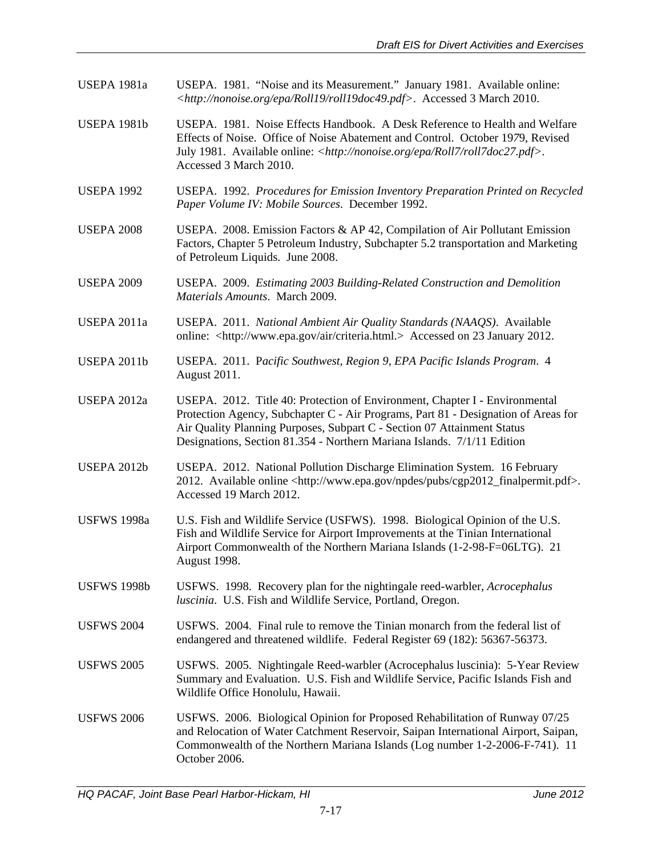USEPA 1981a USEPA. 1981. "Noise and its Measurement." January 1981. Available online: *<http://nonoise.org/epa/Roll19/roll19doc49.pdf>*. Accessed 3 March 2010. USEPA 1981b USEPA. 1981. Noise Effects Handbook. A Desk Reference to Health and Welfare Effects of Noise. Office of Noise Abatement and Control. October 19*7*9, Revised July 1981. Available online: *<http://nonoise.org/epa/Roll7/roll7doc27.pdf>*. Accessed 3 March 2010. USEPA 1992 USEPA. 1992. *Procedures for Emission Inventory Preparation Printed on Recycled Paper Volume IV: Mobile Sources*. December 1992. USEPA 2008 USEPA. 2008. Emission Factors & AP 42, Compilation of Air Pollutant Emission Factors, Chapter 5 Petroleum Industry, Subchapter 5.2 transportation and Marketing of Petroleum Liquids. June 2008. USEPA 2009 USEPA. 2009. *Estimating 2003 Building-Related Construction and Demolition Materials Amounts*. March 2009. USEPA 2011a USEPA. 2011. *National Ambient Air Quality Standards (NAAQS)*. Available online: <http://www.epa.gov/air/criteria.html.> Accessed on 23 January 2012. USEPA 2011b USEPA. 2011. P*acific Southwest, Region 9, EPA Pacific Islands Program*. 4 August 2011. USEPA 2012a USEPA. 2012. Title 40: Protection of Environment, Chapter I - Environmental Protection Agency, Subchapter C - Air Programs, Part 81 - Designation of Areas for Air Quality Planning Purposes, Subpart C - Section 07 Attainment Status Designations, Section 81.354 - Northern Mariana Islands. 7/1/11 Edition USEPA 2012b USEPA. 2012. National Pollution Discharge Elimination System. 16 February 2012. Available online <http://www.epa.gov/npdes/pubs/cgp2012\_finalpermit.pdf>. Accessed 19 March 2012. USFWS 1998a U.S. Fish and Wildlife Service (USFWS). 1998. Biological Opinion of the U.S. Fish and Wildlife Service for Airport Improvements at the Tinian International Airport Commonwealth of the Northern Mariana Islands (1-2-98-F=06LTG). 21 August 1998. USFWS 1998b USFWS. 1998. Recovery plan for the nightingale reed-warbler, *Acrocephalus luscinia*. U.S. Fish and Wildlife Service, Portland, Oregon. USFWS 2004 USFWS. 2004. Final rule to remove the Tinian monarch from the federal list of endangered and threatened wildlife. Federal Register 69 (182): 56367-56373. USFWS 2005 USFWS. 2005. Nightingale Reed-warbler (Acrocephalus luscinia): 5-Year Review Summary and Evaluation. U.S. Fish and Wildlife Service, Pacific Islands Fish and Wildlife Office Honolulu, Hawaii. USFWS 2006 USFWS. 2006. Biological Opinion for Proposed Rehabilitation of Runway 07/25 and Relocation of Water Catchment Reservoir, Saipan International Airport, Saipan, Commonwealth of the Northern Mariana Islands (Log number 1-2-2006-F-741). 11 October 2006.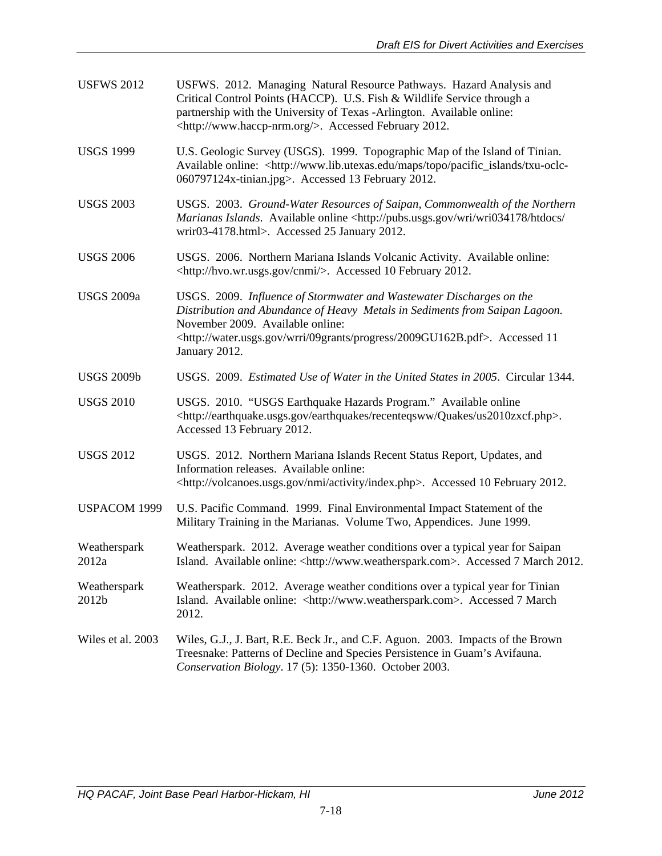| <b>USFWS 2012</b>     | USFWS. 2012. Managing Natural Resource Pathways. Hazard Analysis and<br>Critical Control Points (HACCP). U.S. Fish & Wildlife Service through a<br>partnership with the University of Texas -Arlington. Available online:<br><http: www.haccp-nrm.org=""></http:> . Accessed February 2012.                   |  |  |  |
|-----------------------|---------------------------------------------------------------------------------------------------------------------------------------------------------------------------------------------------------------------------------------------------------------------------------------------------------------|--|--|--|
| <b>USGS 1999</b>      | U.S. Geologic Survey (USGS). 1999. Topographic Map of the Island of Tinian.<br>Available online: <http: maps="" pacific_islands="" topo="" txu-oclc-<br="" www.lib.utexas.edu="">060797124x-tinian.jpg&gt;. Accessed 13 February 2012.</http:>                                                                |  |  |  |
| <b>USGS 2003</b>      | USGS. 2003. Ground-Water Resources of Saipan, Commonwealth of the Northern<br>Marianas Islands. Available online <http: <br="" htdocs="" pubs.usgs.gov="" wri="" wri034178="">wrir03-4178.html&gt;. Accessed 25 January 2012.</http:>                                                                         |  |  |  |
| <b>USGS 2006</b>      | USGS. 2006. Northern Mariana Islands Volcanic Activity. Available online:<br><http: cnmi="" hvo.wr.usgs.gov=""></http:> . Accessed 10 February 2012.                                                                                                                                                          |  |  |  |
| <b>USGS 2009a</b>     | USGS. 2009. Influence of Stormwater and Wastewater Discharges on the<br>Distribution and Abundance of Heavy Metals in Sediments from Saipan Lagoon.<br>November 2009. Available online:<br><http: 09grants="" 2009gu162b.pdf="" progress="" water.usgs.gov="" wrri="">. Accessed 11<br/>January 2012.</http:> |  |  |  |
| <b>USGS 2009b</b>     | USGS. 2009. Estimated Use of Water in the United States in 2005. Circular 1344.                                                                                                                                                                                                                               |  |  |  |
| <b>USGS 2010</b>      | USGS. 2010. "USGS Earthquake Hazards Program." Available online<br><http: earthquake.usgs.gov="" earthquakes="" quakes="" recenteqsww="" us2010zxcf.php="">.<br/>Accessed 13 February 2012.</http:>                                                                                                           |  |  |  |
| <b>USGS 2012</b>      | USGS. 2012. Northern Mariana Islands Recent Status Report, Updates, and<br>Information releases. Available online:<br><http: activity="" index.php="" nmi="" volcanoes.usgs.gov="">. Accessed 10 February 2012.</http:>                                                                                       |  |  |  |
| <b>USPACOM 1999</b>   | U.S. Pacific Command. 1999. Final Environmental Impact Statement of the<br>Military Training in the Marianas. Volume Two, Appendices. June 1999.                                                                                                                                                              |  |  |  |
| Weatherspark<br>2012a | Weatherspark. 2012. Average weather conditions over a typical year for Saipan<br>Island. Available online: <http: www.weatherspark.com="">. Accessed 7 March 2012.</http:>                                                                                                                                    |  |  |  |
| Weatherspark<br>2012b | Weatherspark. 2012. Average weather conditions over a typical year for Tinian<br>Island. Available online: <http: www.weatherspark.com="">. Accessed 7 March<br/>2012.</http:>                                                                                                                                |  |  |  |
| Wiles et al. 2003     | Wiles, G.J., J. Bart, R.E. Beck Jr., and C.F. Aguon. 2003. Impacts of the Brown<br>Treesnake: Patterns of Decline and Species Persistence in Guam's Avifauna.<br>Conservation Biology. 17 (5): 1350-1360. October 2003.                                                                                       |  |  |  |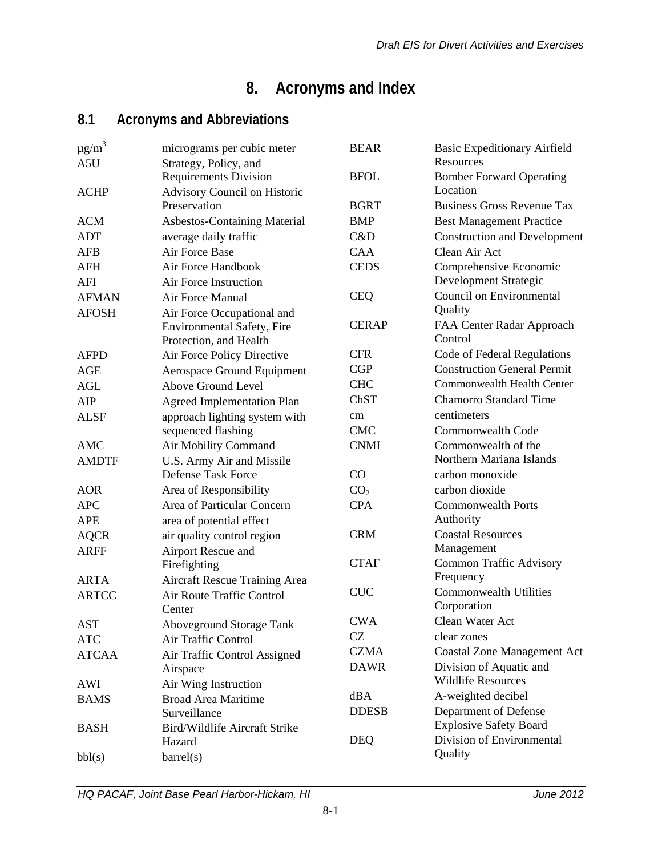# **8. Acronyms and Index**

# **8.1 Acronyms and Abbreviations**

| $\mu g/m^3$  | micrograms per cubic meter        | <b>BEAR</b>     | <b>Basic Expeditionary Airfield</b> |
|--------------|-----------------------------------|-----------------|-------------------------------------|
| A5U          | Strategy, Policy, and             |                 | Resources                           |
|              | <b>Requirements Division</b>      | <b>BFOL</b>     | <b>Bomber Forward Operating</b>     |
| <b>ACHP</b>  | Advisory Council on Historic      |                 | Location                            |
|              | Preservation                      | <b>BGRT</b>     | <b>Business Gross Revenue Tax</b>   |
| ACM          | Asbestos-Containing Material      | <b>BMP</b>      | <b>Best Management Practice</b>     |
| <b>ADT</b>   | average daily traffic             | C&D             | <b>Construction and Development</b> |
| <b>AFB</b>   | Air Force Base                    | CAA             | Clean Air Act                       |
| <b>AFH</b>   | Air Force Handbook                | <b>CEDS</b>     | Comprehensive Economic              |
| AFI          | Air Force Instruction             |                 | Development Strategic               |
| <b>AFMAN</b> | Air Force Manual                  | <b>CEO</b>      | Council on Environmental            |
| <b>AFOSH</b> | Air Force Occupational and        |                 | Quality                             |
|              | <b>Environmental Safety, Fire</b> | <b>CERAP</b>    | FAA Center Radar Approach           |
|              | Protection, and Health            |                 | Control                             |
| <b>AFPD</b>  | Air Force Policy Directive        | <b>CFR</b>      | Code of Federal Regulations         |
| <b>AGE</b>   | Aerospace Ground Equipment        | CGP             | <b>Construction General Permit</b>  |
| <b>AGL</b>   | <b>Above Ground Level</b>         | <b>CHC</b>      | Commonwealth Health Center          |
| AIP          | <b>Agreed Implementation Plan</b> | ChST            | <b>Chamorro Standard Time</b>       |
| <b>ALSF</b>  | approach lighting system with     | cm              | centimeters                         |
|              | sequenced flashing                | <b>CMC</b>      | <b>Commonwealth Code</b>            |
| <b>AMC</b>   | Air Mobility Command              | <b>CNMI</b>     | Commonwealth of the                 |
| <b>AMDTF</b> | U.S. Army Air and Missile         |                 | Northern Mariana Islands            |
|              | <b>Defense Task Force</b>         | CO              | carbon monoxide                     |
| <b>AOR</b>   | Area of Responsibility            | CO <sub>2</sub> | carbon dioxide                      |
| <b>APC</b>   | Area of Particular Concern        | <b>CPA</b>      | <b>Commonwealth Ports</b>           |
| <b>APE</b>   | area of potential effect          |                 | Authority                           |
| <b>AQCR</b>  | air quality control region        | <b>CRM</b>      | <b>Coastal Resources</b>            |
| <b>ARFF</b>  | Airport Rescue and                |                 | Management                          |
|              | Firefighting                      | <b>CTAF</b>     | <b>Common Traffic Advisory</b>      |
| <b>ARTA</b>  | Aircraft Rescue Training Area     |                 | Frequency                           |
| <b>ARTCC</b> | Air Route Traffic Control         | <b>CUC</b>      | <b>Commonwealth Utilities</b>       |
|              | Center                            |                 | Corporation                         |
| <b>AST</b>   | <b>Aboveground Storage Tank</b>   | <b>CWA</b>      | Clean Water Act                     |
| <b>ATC</b>   | Air Traffic Control               | <b>CZ</b>       | clear zones                         |
| <b>ATCAA</b> | Air Traffic Control Assigned      | <b>CZMA</b>     | <b>Coastal Zone Management Act</b>  |
|              | Airspace                          | <b>DAWR</b>     | Division of Aquatic and             |
| AWI          | Air Wing Instruction              |                 | <b>Wildlife Resources</b>           |
| <b>BAMS</b>  | <b>Broad Area Maritime</b>        | dBA             | A-weighted decibel                  |
|              | Surveillance                      | <b>DDESB</b>    | Department of Defense               |
| <b>BASH</b>  | Bird/Wildlife Aircraft Strike     |                 | <b>Explosive Safety Board</b>       |
|              | Hazard                            | <b>DEQ</b>      | Division of Environmental           |
| bbl(s)       | barrel(s)                         |                 | Quality                             |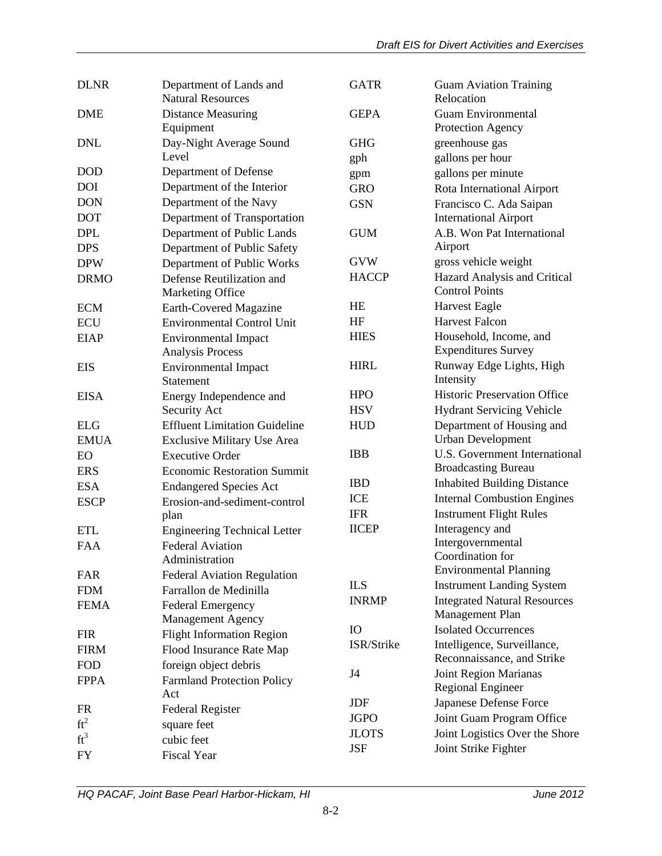| <b>DLNR</b> | Department of Lands and<br><b>Natural Resources</b>  | <b>GATR</b>  | <b>Guam Aviation Training</b><br>Relocation           |
|-------------|------------------------------------------------------|--------------|-------------------------------------------------------|
| <b>DME</b>  | <b>Distance Measuring</b><br>Equipment               | <b>GEPA</b>  | <b>Guam Environmental</b><br>Protection Agency        |
| <b>DNL</b>  | Day-Night Average Sound                              | <b>GHG</b>   | greenhouse gas                                        |
|             | Level                                                | gph          | gallons per hour                                      |
| <b>DOD</b>  | Department of Defense                                | gpm          | gallons per minute                                    |
| <b>DOI</b>  | Department of the Interior                           | <b>GRO</b>   | Rota International Airport                            |
| <b>DON</b>  | Department of the Navy                               | <b>GSN</b>   | Francisco C. Ada Saipan                               |
| <b>DOT</b>  | Department of Transportation                         |              | <b>International Airport</b>                          |
| <b>DPL</b>  | Department of Public Lands                           | <b>GUM</b>   | A.B. Won Pat International                            |
| <b>DPS</b>  | Department of Public Safety                          |              | Airport                                               |
| <b>DPW</b>  | Department of Public Works                           | <b>GVW</b>   | gross vehicle weight                                  |
| <b>DRMO</b> | Defense Reutilization and<br><b>Marketing Office</b> | <b>HACCP</b> | Hazard Analysis and Critical<br><b>Control Points</b> |
| <b>ECM</b>  | Earth-Covered Magazine                               | HE           | <b>Harvest Eagle</b>                                  |
| <b>ECU</b>  | <b>Environmental Control Unit</b>                    | HF           | <b>Harvest Falcon</b>                                 |
| <b>EIAP</b> | <b>Environmental Impact</b><br>Analysis Process      | <b>HIES</b>  | Household, Income, and<br><b>Expenditures Survey</b>  |
| <b>EIS</b>  | <b>Environmental Impact</b>                          | <b>HIRL</b>  | Runway Edge Lights, High                              |
|             | Statement                                            |              | Intensity                                             |
| <b>EISA</b> | Energy Independence and                              | <b>HPO</b>   | <b>Historic Preservation Office</b>                   |
|             | Security Act                                         | <b>HSV</b>   | <b>Hydrant Servicing Vehicle</b>                      |
| <b>ELG</b>  | <b>Effluent Limitation Guideline</b>                 | <b>HUD</b>   | Department of Housing and                             |
| <b>EMUA</b> | <b>Exclusive Military Use Area</b>                   |              | <b>Urban Development</b>                              |
| EO          | <b>Executive Order</b>                               | <b>IBB</b>   | U.S. Government International                         |
| <b>ERS</b>  | <b>Economic Restoration Summit</b>                   |              | <b>Broadcasting Bureau</b>                            |
| <b>ESA</b>  | <b>Endangered Species Act</b>                        | <b>IBD</b>   | <b>Inhabited Building Distance</b>                    |
| <b>ESCP</b> | Erosion-and-sediment-control                         | <b>ICE</b>   | <b>Internal Combustion Engines</b>                    |
|             | plan                                                 | <b>IFR</b>   | <b>Instrument Flight Rules</b>                        |
| <b>ETL</b>  | <b>Engineering Technical Letter</b>                  | <b>IICEP</b> | Interagency and                                       |
| <b>FAA</b>  | <b>Federal Aviation</b>                              |              | Intergovernmental                                     |
|             | Administration                                       |              | Coordination for                                      |
| FAR         | <b>Federal Aviation Regulation</b>                   |              | <b>Environmental Planning</b>                         |
| <b>FDM</b>  | Farrallon de Medinilla                               | <b>ILS</b>   | <b>Instrument Landing System</b>                      |
| <b>FEMA</b> | <b>Federal Emergency</b>                             | <b>INRMP</b> | <b>Integrated Natural Resources</b>                   |
|             | <b>Management Agency</b>                             |              | Management Plan                                       |
| <b>FIR</b>  | <b>Flight Information Region</b>                     | <b>IO</b>    | <b>Isolated Occurrences</b>                           |
| <b>FIRM</b> | Flood Insurance Rate Map                             | ISR/Strike   | Intelligence, Surveillance,                           |
| <b>FOD</b>  | foreign object debris                                |              | Reconnaissance, and Strike                            |
| <b>FPPA</b> | <b>Farmland Protection Policy</b>                    | J4           | Joint Region Marianas                                 |
|             | Act                                                  |              | <b>Regional Engineer</b>                              |
| <b>FR</b>   | <b>Federal Register</b>                              | JDF          | Japanese Defense Force                                |
| $ft^2$      | square feet                                          | <b>JGPO</b>  | Joint Guam Program Office                             |
| $ft^3$      | cubic feet                                           | <b>JLOTS</b> | Joint Logistics Over the Shore                        |
| ${\rm FY}$  | <b>Fiscal Year</b>                                   | <b>JSF</b>   | Joint Strike Fighter                                  |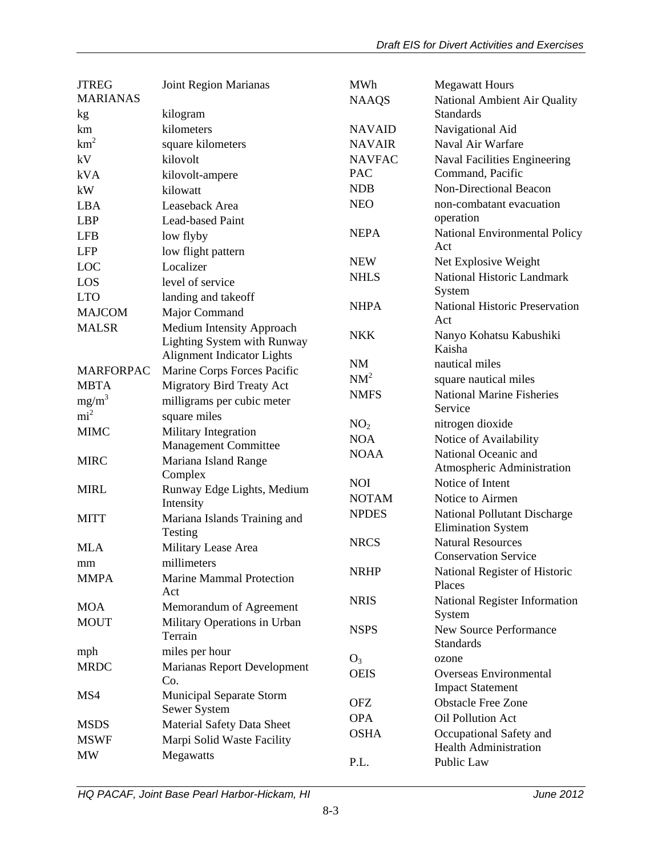| <b>JTREG</b>     | Joint Region Marianas                   | <b>MWh</b>      | <b>Megawatt Hours</b>                                     |
|------------------|-----------------------------------------|-----------------|-----------------------------------------------------------|
| <b>MARIANAS</b>  |                                         | <b>NAAQS</b>    | National Ambient Air Quality                              |
| kg               | kilogram                                |                 | <b>Standards</b>                                          |
| km               | kilometers                              | <b>NAVAID</b>   | Navigational Aid                                          |
| $\mbox{km}^2$    | square kilometers                       | <b>NAVAIR</b>   | Naval Air Warfare                                         |
| kV               | kilovolt                                | <b>NAVFAC</b>   | Naval Facilities Engineering                              |
| kVA              | kilovolt-ampere                         | PAC             | Command, Pacific                                          |
| kW               | kilowatt                                | <b>NDB</b>      | Non-Directional Beacon                                    |
| LBA              | Leaseback Area                          | <b>NEO</b>      | non-combatant evacuation                                  |
| <b>LBP</b>       | Lead-based Paint                        |                 | operation                                                 |
| <b>LFB</b>       | low flyby                               | <b>NEPA</b>     | National Environmental Policy                             |
| <b>LFP</b>       | low flight pattern                      |                 | Act                                                       |
| <b>LOC</b>       | Localizer                               | <b>NEW</b>      | Net Explosive Weight                                      |
| LOS              | level of service                        | <b>NHLS</b>     | National Historic Landmark                                |
| <b>LTO</b>       | landing and takeoff                     |                 | System                                                    |
| <b>MAJCOM</b>    | Major Command                           | <b>NHPA</b>     | National Historic Preservation                            |
| <b>MALSR</b>     | Medium Intensity Approach               |                 | Act                                                       |
|                  | Lighting System with Runway             | <b>NKK</b>      | Nanyo Kohatsu Kabushiki<br>Kaisha                         |
|                  | <b>Alignment Indicator Lights</b>       | <b>NM</b>       | nautical miles                                            |
| <b>MARFORPAC</b> | Marine Corps Forces Pacific             | $NM^2$          |                                                           |
| <b>MBTA</b>      | Migratory Bird Treaty Act               |                 | square nautical miles<br><b>National Marine Fisheries</b> |
| $mg/m^3$         | milligrams per cubic meter              | <b>NMFS</b>     | Service                                                   |
| mi <sup>2</sup>  | square miles                            | NO <sub>2</sub> | nitrogen dioxide                                          |
| <b>MIMC</b>      | Military Integration                    | <b>NOA</b>      | Notice of Availability                                    |
|                  | <b>Management Committee</b>             | <b>NOAA</b>     | National Oceanic and                                      |
| <b>MIRC</b>      | Mariana Island Range                    |                 | Atmospheric Administration                                |
|                  | Complex                                 | <b>NOI</b>      | Notice of Intent                                          |
| <b>MIRL</b>      | Runway Edge Lights, Medium              | <b>NOTAM</b>    | Notice to Airmen                                          |
|                  | Intensity                               | <b>NPDES</b>    | National Pollutant Discharge                              |
| <b>MITT</b>      | Mariana Islands Training and<br>Testing |                 | <b>Elimination System</b>                                 |
| <b>MLA</b>       | Military Lease Area                     | <b>NRCS</b>     | <b>Natural Resources</b>                                  |
| mm               | millimeters                             |                 | <b>Conservation Service</b>                               |
| <b>MMPA</b>      | <b>Marine Mammal Protection</b>         | <b>NRHP</b>     | National Register of Historic                             |
|                  | Act                                     |                 | Places                                                    |
| <b>MOA</b>       | Memorandum of Agreement                 | <b>NRIS</b>     | National Register Information                             |
| <b>MOUT</b>      | Military Operations in Urban            |                 | System                                                    |
|                  | Terrain                                 | <b>NSPS</b>     | <b>New Source Performance</b>                             |
| mph              | miles per hour                          |                 | <b>Standards</b>                                          |
| <b>MRDC</b>      | Marianas Report Development             | $O_3$           | ozone                                                     |
|                  | Co.                                     | <b>OEIS</b>     | Overseas Environmental                                    |
| MS4              | <b>Municipal Separate Storm</b>         |                 | <b>Impact Statement</b>                                   |
|                  | Sewer System                            | <b>OFZ</b>      | <b>Obstacle Free Zone</b>                                 |
| <b>MSDS</b>      | Material Safety Data Sheet              | <b>OPA</b>      | Oil Pollution Act                                         |
| <b>MSWF</b>      | Marpi Solid Waste Facility              | <b>OSHA</b>     | Occupational Safety and                                   |
| MW               | Megawatts                               |                 | <b>Health Administration</b>                              |
|                  |                                         | P.L.            | Public Law                                                |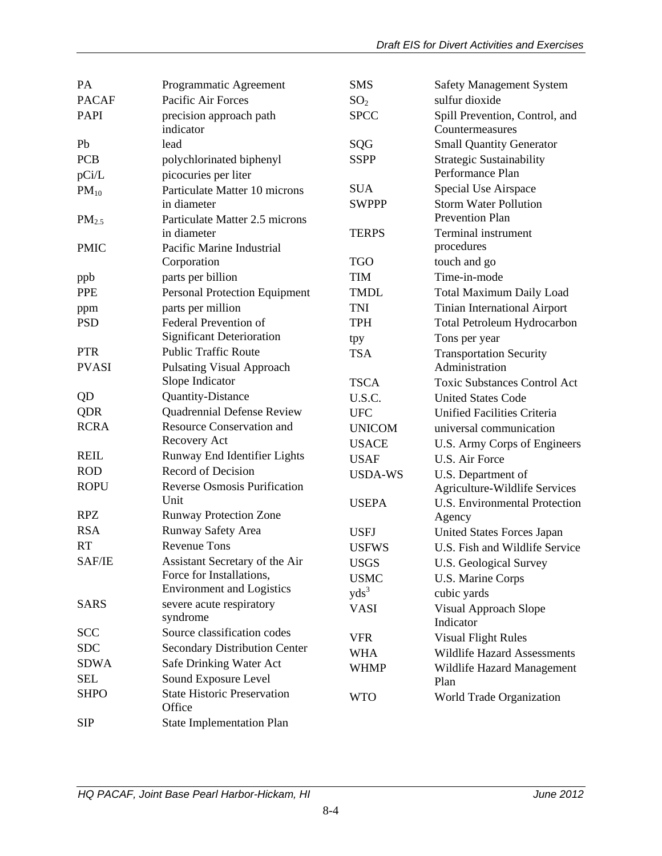| PA           | Programmatic Agreement                       | <b>SMS</b>      | <b>Safety Management System</b>                   |
|--------------|----------------------------------------------|-----------------|---------------------------------------------------|
| <b>PACAF</b> | Pacific Air Forces                           | SO <sub>2</sub> | sulfur dioxide                                    |
| <b>PAPI</b>  | precision approach path<br>indicator         | <b>SPCC</b>     | Spill Prevention, Control, and<br>Countermeasures |
| Pb           | lead                                         | SQG             | <b>Small Quantity Generator</b>                   |
| <b>PCB</b>   | polychlorinated biphenyl                     | <b>SSPP</b>     | Strategic Sustainability                          |
| pCi/L        | picocuries per liter                         |                 | Performance Plan                                  |
| $PM_{10}$    | Particulate Matter 10 microns                | <b>SUA</b>      | Special Use Airspace                              |
|              | in diameter                                  | <b>SWPPP</b>    | <b>Storm Water Pollution</b>                      |
| $PM_{2.5}$   | Particulate Matter 2.5 microns               |                 | Prevention Plan                                   |
|              | in diameter                                  | <b>TERPS</b>    | Terminal instrument                               |
| <b>PMIC</b>  | Pacific Marine Industrial                    |                 | procedures                                        |
|              | Corporation                                  | <b>TGO</b>      | touch and go                                      |
| ppb          | parts per billion                            | <b>TIM</b>      | Time-in-mode                                      |
| <b>PPE</b>   | <b>Personal Protection Equipment</b>         | <b>TMDL</b>     | <b>Total Maximum Daily Load</b>                   |
| ppm          | parts per million                            | TNI             | <b>Tinian International Airport</b>               |
| <b>PSD</b>   | <b>Federal Prevention of</b>                 | <b>TPH</b>      | Total Petroleum Hydrocarbon                       |
|              | <b>Significant Deterioration</b>             | tpy             | Tons per year                                     |
| <b>PTR</b>   | <b>Public Traffic Route</b>                  | <b>TSA</b>      | <b>Transportation Security</b>                    |
| <b>PVASI</b> | <b>Pulsating Visual Approach</b>             |                 | Administration                                    |
|              | Slope Indicator                              | <b>TSCA</b>     | <b>Toxic Substances Control Act</b>               |
| QD           | Quantity-Distance                            | U.S.C.          | <b>United States Code</b>                         |
| <b>QDR</b>   | Quadrennial Defense Review                   | <b>UFC</b>      | Unified Facilities Criteria                       |
| <b>RCRA</b>  | <b>Resource Conservation and</b>             | <b>UNICOM</b>   | universal communication                           |
|              | Recovery Act                                 | <b>USACE</b>    | U.S. Army Corps of Engineers                      |
| <b>REIL</b>  | Runway End Identifier Lights                 | <b>USAF</b>     | U.S. Air Force                                    |
| <b>ROD</b>   | Record of Decision                           | <b>USDA-WS</b>  | U.S. Department of                                |
| <b>ROPU</b>  | <b>Reverse Osmosis Purification</b>          |                 | Agriculture-Wildlife Services                     |
|              | Unit                                         | <b>USEPA</b>    | <b>U.S. Environmental Protection</b>              |
| <b>RPZ</b>   | <b>Runway Protection Zone</b>                |                 | Agency                                            |
| <b>RSA</b>   | Runway Safety Area                           | <b>USFJ</b>     | United States Forces Japan                        |
| <b>RT</b>    | <b>Revenue Tons</b>                          | <b>USFWS</b>    | U.S. Fish and Wildlife Service                    |
| SAF/IE       | Assistant Secretary of the Air               | <b>USGS</b>     | U.S. Geological Survey                            |
|              | Force for Installations,                     | <b>USMC</b>     | U.S. Marine Corps                                 |
|              | <b>Environment and Logistics</b>             | $yds^3$         | cubic yards                                       |
| <b>SARS</b>  | severe acute respiratory<br>syndrome         | <b>VASI</b>     | Visual Approach Slope<br>Indicator                |
| <b>SCC</b>   | Source classification codes                  | <b>VFR</b>      | <b>Visual Flight Rules</b>                        |
| <b>SDC</b>   | <b>Secondary Distribution Center</b>         | <b>WHA</b>      | <b>Wildlife Hazard Assessments</b>                |
| <b>SDWA</b>  | Safe Drinking Water Act                      | <b>WHMP</b>     | Wildlife Hazard Management                        |
| <b>SEL</b>   | Sound Exposure Level                         |                 | Plan                                              |
| <b>SHPO</b>  | <b>State Historic Preservation</b><br>Office | <b>WTO</b>      | World Trade Organization                          |
| <b>SIP</b>   | <b>State Implementation Plan</b>             |                 |                                                   |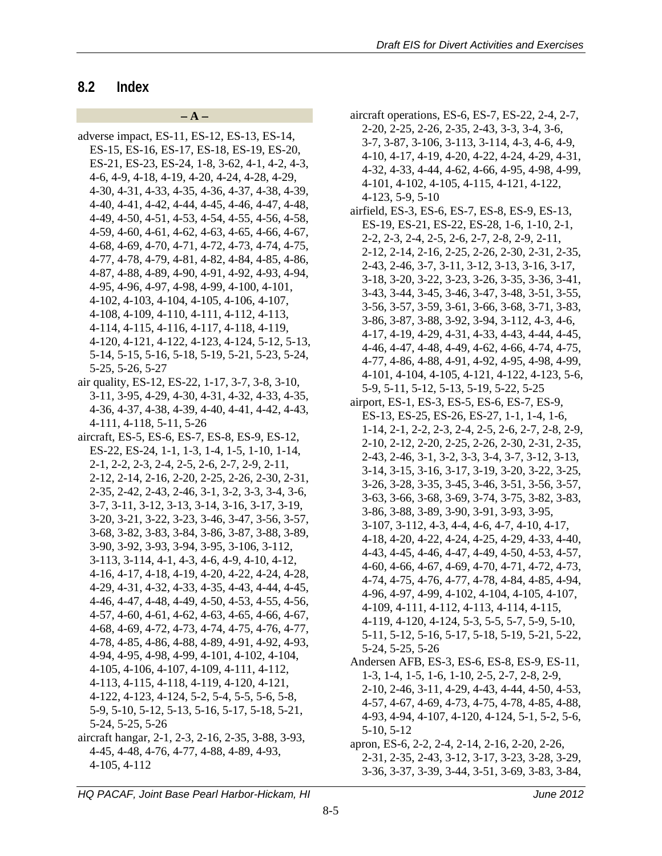### **8.2 Index**

− **A** −

- adverse impact, ES-11, ES-12, ES-13, ES-14, ES-15, ES-16, ES-17, ES-18, ES-19, ES-20, ES-21, ES-23, ES-24, 1-8, 3-62, 4-1, 4-2, 4-3, 4-6, 4-9, 4-18, 4-19, 4-20, 4-24, 4-28, 4-29, 4-30, 4-31, 4-33, 4-35, 4-36, 4-37, 4-38, 4-39, 4-40, 4-41, 4-42, 4-44, 4-45, 4-46, 4-47, 4-48, 4-49, 4-50, 4-51, 4-53, 4-54, 4-55, 4-56, 4-58, 4-59, 4-60, 4-61, 4-62, 4-63, 4-65, 4-66, 4-67, 4-68, 4-69, 4-70, 4-71, 4-72, 4-73, 4-74, 4-75, 4-77, 4-78, 4-79, 4-81, 4-82, 4-84, 4-85, 4-86, 4-87, 4-88, 4-89, 4-90, 4-91, 4-92, 4-93, 4-94, 4-95, 4-96, 4-97, 4-98, 4-99, 4-100, 4-101, 4-102, 4-103, 4-104, 4-105, 4-106, 4-107, 4-108, 4-109, 4-110, 4-111, 4-112, 4-113, 4-114, 4-115, 4-116, 4-117, 4-118, 4-119, 4-120, 4-121, 4-122, 4-123, 4-124, 5-12, 5-13, 5-14, 5-15, 5-16, 5-18, 5-19, 5-21, 5-23, 5-24, 5-25, 5-26, 5-27 air quality, ES-12, ES-22, 1-17, 3-7, 3-8, 3-10, 3-11, 3-95, 4-29, 4-30, 4-31, 4-32, 4-33, 4-35, 4-36, 4-37, 4-38, 4-39, 4-40, 4-41, 4-42, 4-43, 4-111, 4-118, 5-11, 5-26 aircraft, ES-5, ES-6, ES-7, ES-8, ES-9, ES-12, ES-22, ES-24, 1-1, 1-3, 1-4, 1-5, 1-10, 1-14, 2-1, 2-2, 2-3, 2-4, 2-5, 2-6, 2-7, 2-9, 2-11, 2-12, 2-14, 2-16, 2-20, 2-25, 2-26, 2-30, 2-31, 2-35, 2-42, 2-43, 2-46, 3-1, 3-2, 3-3, 3-4, 3-6, 3-7, 3-11, 3-12, 3-13, 3-14, 3-16, 3-17, 3-19, 3-20, 3-21, 3-22, 3-23, 3-46, 3-47, 3-56, 3-57, 3-68, 3-82, 3-83, 3-84, 3-86, 3-87, 3-88, 3-89, 3-90, 3-92, 3-93, 3-94, 3-95, 3-106, 3-112, 3-113, 3-114, 4-1, 4-3, 4-6, 4-9, 4-10, 4-12, 4-16, 4-17, 4-18, 4-19, 4-20, 4-22, 4-24, 4-28, 4-29, 4-31, 4-32, 4-33, 4-35, 4-43, 4-44, 4-45, 4-46, 4-47, 4-48, 4-49, 4-50, 4-53, 4-55, 4-56, 4-57, 4-60, 4-61, 4-62, 4-63, 4-65, 4-66, 4-67, 4-68, 4-69, 4-72, 4-73, 4-74, 4-75, 4-76, 4-77, 4-78, 4-85, 4-86, 4-88, 4-89, 4-91, 4-92, 4-93, 4-94, 4-95, 4-98, 4-99, 4-101, 4-102, 4-104, 4-105, 4-106, 4-107, 4-109, 4-111, 4-112, 4-113, 4-115, 4-118, 4-119, 4-120, 4-121, 4-122, 4-123, 4-124, 5-2, 5-4, 5-5, 5-6, 5-8, 5-9, 5-10, 5-12, 5-13, 5-16, 5-17, 5-18, 5-21, 5-24, 5-25, 5-26 aircraft hangar, 2-1, 2-3, 2-16, 2-35, 3-88, 3-93, 4-45, 4-48, 4-76, 4-77, 4-88, 4-89, 4-93, 4-105, 4-112
- aircraft operations, ES-6, ES-7, ES-22, 2-4, 2-7, 2-20, 2-25, 2-26, 2-35, 2-43, 3-3, 3-4, 3-6, 3-7, 3-87, 3-106, 3-113, 3-114, 4-3, 4-6, 4-9, 4-10, 4-17, 4-19, 4-20, 4-22, 4-24, 4-29, 4-31, 4-32, 4-33, 4-44, 4-62, 4-66, 4-95, 4-98, 4-99, 4-101, 4-102, 4-105, 4-115, 4-121, 4-122, 4-123, 5-9, 5-10
- airfield, ES-3, ES-6, ES-7, ES-8, ES-9, ES-13, ES-19, ES-21, ES-22, ES-28, 1-6, 1-10, 2-1, 2-2, 2-3, 2-4, 2-5, 2-6, 2-7, 2-8, 2-9, 2-11, 2-12, 2-14, 2-16, 2-25, 2-26, 2-30, 2-31, 2-35, 2-43, 2-46, 3-7, 3-11, 3-12, 3-13, 3-16, 3-17, 3-18, 3-20, 3-22, 3-23, 3-26, 3-35, 3-36, 3-41, 3-43, 3-44, 3-45, 3-46, 3-47, 3-48, 3-51, 3-55, 3-56, 3-57, 3-59, 3-61, 3-66, 3-68, 3-71, 3-83, 3-86, 3-87, 3-88, 3-92, 3-94, 3-112, 4-3, 4-6, 4-17, 4-19, 4-29, 4-31, 4-33, 4-43, 4-44, 4-45, 4-46, 4-47, 4-48, 4-49, 4-62, 4-66, 4-74, 4-75, 4-77, 4-86, 4-88, 4-91, 4-92, 4-95, 4-98, 4-99, 4-101, 4-104, 4-105, 4-121, 4-122, 4-123, 5-6, 5-9, 5-11, 5-12, 5-13, 5-19, 5-22, 5-25
- airport, ES-1, ES-3, ES-5, ES-6, ES-7, ES-9, ES-13, ES-25, ES-26, ES-27, 1-1, 1-4, 1-6, 1-14, 2-1, 2-2, 2-3, 2-4, 2-5, 2-6, 2-7, 2-8, 2-9, 2-10, 2-12, 2-20, 2-25, 2-26, 2-30, 2-31, 2-35, 2-43, 2-46, 3-1, 3-2, 3-3, 3-4, 3-7, 3-12, 3-13, 3-14, 3-15, 3-16, 3-17, 3-19, 3-20, 3-22, 3-25, 3-26, 3-28, 3-35, 3-45, 3-46, 3-51, 3-56, 3-57, 3-63, 3-66, 3-68, 3-69, 3-74, 3-75, 3-82, 3-83, 3-86, 3-88, 3-89, 3-90, 3-91, 3-93, 3-95, 3-107, 3-112, 4-3, 4-4, 4-6, 4-7, 4-10, 4-17, 4-18, 4-20, 4-22, 4-24, 4-25, 4-29, 4-33, 4-40, 4-43, 4-45, 4-46, 4-47, 4-49, 4-50, 4-53, 4-57, 4-60, 4-66, 4-67, 4-69, 4-70, 4-71, 4-72, 4-73, 4-74, 4-75, 4-76, 4-77, 4-78, 4-84, 4-85, 4-94, 4-96, 4-97, 4-99, 4-102, 4-104, 4-105, 4-107, 4-109, 4-111, 4-112, 4-113, 4-114, 4-115, 4-119, 4-120, 4-124, 5-3, 5-5, 5-7, 5-9, 5-10, 5-11, 5-12, 5-16, 5-17, 5-18, 5-19, 5-21, 5-22, 5-24, 5-25, 5-26
- Andersen AFB, ES-3, ES-6, ES-8, ES-9, ES-11, 1-3, 1-4, 1-5, 1-6, 1-10, 2-5, 2-7, 2-8, 2-9, 2-10, 2-46, 3-11, 4-29, 4-43, 4-44, 4-50, 4-53, 4-57, 4-67, 4-69, 4-73, 4-75, 4-78, 4-85, 4-88, 4-93, 4-94, 4-107, 4-120, 4-124, 5-1, 5-2, 5-6, 5-10, 5-12
- apron, ES-6, 2-2, 2-4, 2-14, 2-16, 2-20, 2-26, 2-31, 2-35, 2-43, 3-12, 3-17, 3-23, 3-28, 3-29, 3-36, 3-37, 3-39, 3-44, 3-51, 3-69, 3-83, 3-84,

*HQ PACAF, Joint Base Pearl Harbor-Hickam, HI June 2012*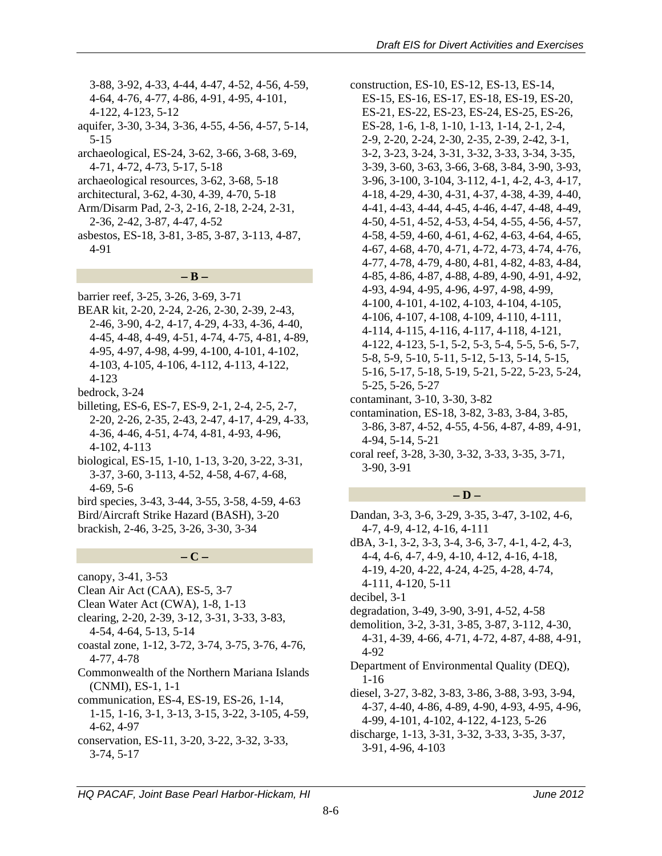3-88, 3-92, 4-33, 4-44, 4-47, 4-52, 4-56, 4-59, 4-64, 4-76, 4-77, 4-86, 4-91, 4-95, 4-101, 4-122, 4-123, 5-12 aquifer, 3-30, 3-34, 3-36, 4-55, 4-56, 4-57, 5-14, 5-15 archaeological, ES-24, 3-62, 3-66, 3-68, 3-69, 4-71, 4-72, 4-73, 5-17, 5-18 archaeological resources, 3-62, 3-68, 5-18 architectural, 3-62, 4-30, 4-39, 4-70, 5-18 Arm/Disarm Pad, 2-3, 2-16, 2-18, 2-24, 2-31, 2-36, 2-42, 3-87, 4-47, 4-52 asbestos, ES-18, 3-81, 3-85, 3-87, 3-113, 4-87, 4-91

#### − **B** −

barrier reef, 3-25, 3-26, 3-69, 3-71 BEAR kit, 2-20, 2-24, 2-26, 2-30, 2-39, 2-43, 2-46, 3-90, 4-2, 4-17, 4-29, 4-33, 4-36, 4-40, 4-45, 4-48, 4-49, 4-51, 4-74, 4-75, 4-81, 4-89, 4-95, 4-97, 4-98, 4-99, 4-100, 4-101, 4-102, 4-103, 4-105, 4-106, 4-112, 4-113, 4-122, 4-123 bedrock, 3-24 billeting, ES-6, ES-7, ES-9, 2-1, 2-4, 2-5, 2-7, 2-20, 2-26, 2-35, 2-43, 2-47, 4-17, 4-29, 4-33, 4-36, 4-46, 4-51, 4-74, 4-81, 4-93, 4-96, 4-102, 4-113 biological, ES-15, 1-10, 1-13, 3-20, 3-22, 3-31, 3-37, 3-60, 3-113, 4-52, 4-58, 4-67, 4-68, 4-69, 5-6 bird species, 3-43, 3-44, 3-55, 3-58, 4-59, 4-63 Bird/Aircraft Strike Hazard (BASH), 3-20

brackish, 2-46, 3-25, 3-26, 3-30, 3-34

#### − **C** −

- canopy, 3-41, 3-53 Clean Air Act (CAA), ES-5, 3-7 Clean Water Act (CWA), 1-8, 1-13 clearing, 2-20, 2-39, 3-12, 3-31, 3-33, 3-83, 4-54, 4-64, 5-13, 5-14 coastal zone, 1-12, 3-72, 3-74, 3-75, 3-76, 4-76, 4-77, 4-78 Commonwealth of the Northern Mariana Islands (CNMI), ES-1, 1-1 communication, ES-4, ES-19, ES-26, 1-14, 1-15, 1-16, 3-1, 3-13, 3-15, 3-22, 3-105, 4-59, 4-62, 4-97
- conservation, ES-11, 3-20, 3-22, 3-32, 3-33, 3-74, 5-17

construction, ES-10, ES-12, ES-13, ES-14, ES-15, ES-16, ES-17, ES-18, ES-19, ES-20, ES-21, ES-22, ES-23, ES-24, ES-25, ES-26, ES-28, 1-6, 1-8, 1-10, 1-13, 1-14, 2-1, 2-4, 2-9, 2-20, 2-24, 2-30, 2-35, 2-39, 2-42, 3-1, 3-2, 3-23, 3-24, 3-31, 3-32, 3-33, 3-34, 3-35, 3-39, 3-60, 3-63, 3-66, 3-68, 3-84, 3-90, 3-93, 3-96, 3-100, 3-104, 3-112, 4-1, 4-2, 4-3, 4-17, 4-18, 4-29, 4-30, 4-31, 4-37, 4-38, 4-39, 4-40, 4-41, 4-43, 4-44, 4-45, 4-46, 4-47, 4-48, 4-49, 4-50, 4-51, 4-52, 4-53, 4-54, 4-55, 4-56, 4-57, 4-58, 4-59, 4-60, 4-61, 4-62, 4-63, 4-64, 4-65, 4-67, 4-68, 4-70, 4-71, 4-72, 4-73, 4-74, 4-76, 4-77, 4-78, 4-79, 4-80, 4-81, 4-82, 4-83, 4-84, 4-85, 4-86, 4-87, 4-88, 4-89, 4-90, 4-91, 4-92, 4-93, 4-94, 4-95, 4-96, 4-97, 4-98, 4-99, 4-100, 4-101, 4-102, 4-103, 4-104, 4-105, 4-106, 4-107, 4-108, 4-109, 4-110, 4-111, 4-114, 4-115, 4-116, 4-117, 4-118, 4-121, 4-122, 4-123, 5-1, 5-2, 5-3, 5-4, 5-5, 5-6, 5-7, 5-8, 5-9, 5-10, 5-11, 5-12, 5-13, 5-14, 5-15, 5-16, 5-17, 5-18, 5-19, 5-21, 5-22, 5-23, 5-24, 5-25, 5-26, 5-27 contaminant, 3-10, 3-30, 3-82

- contamination, ES-18, 3-82, 3-83, 3-84, 3-85, 3-86, 3-87, 4-52, 4-55, 4-56, 4-87, 4-89, 4-91, 4-94, 5-14, 5-21
- coral reef, 3-28, 3-30, 3-32, 3-33, 3-35, 3-71, 3-90, 3-91

#### − **D** −

Dandan, 3-3, 3-6, 3-29, 3-35, 3-47, 3-102, 4-6, 4-7, 4-9, 4-12, 4-16, 4-111 dBA, 3-1, 3-2, 3-3, 3-4, 3-6, 3-7, 4-1, 4-2, 4-3, 4-4, 4-6, 4-7, 4-9, 4-10, 4-12, 4-16, 4-18, 4-19, 4-20, 4-22, 4-24, 4-25, 4-28, 4-74, 4-111, 4-120, 5-11 decibel, 3-1 degradation, 3-49, 3-90, 3-91, 4-52, 4-58 demolition, 3-2, 3-31, 3-85, 3-87, 3-112, 4-30, 4-31, 4-39, 4-66, 4-71, 4-72, 4-87, 4-88, 4-91, 4-92 Department of Environmental Quality (DEQ), 1-16 diesel, 3-27, 3-82, 3-83, 3-86, 3-88, 3-93, 3-94, 4-37, 4-40, 4-86, 4-89, 4-90, 4-93, 4-95, 4-96, 4-99, 4-101, 4-102, 4-122, 4-123, 5-26 discharge, 1-13, 3-31, 3-32, 3-33, 3-35, 3-37, 3-91, 4-96, 4-103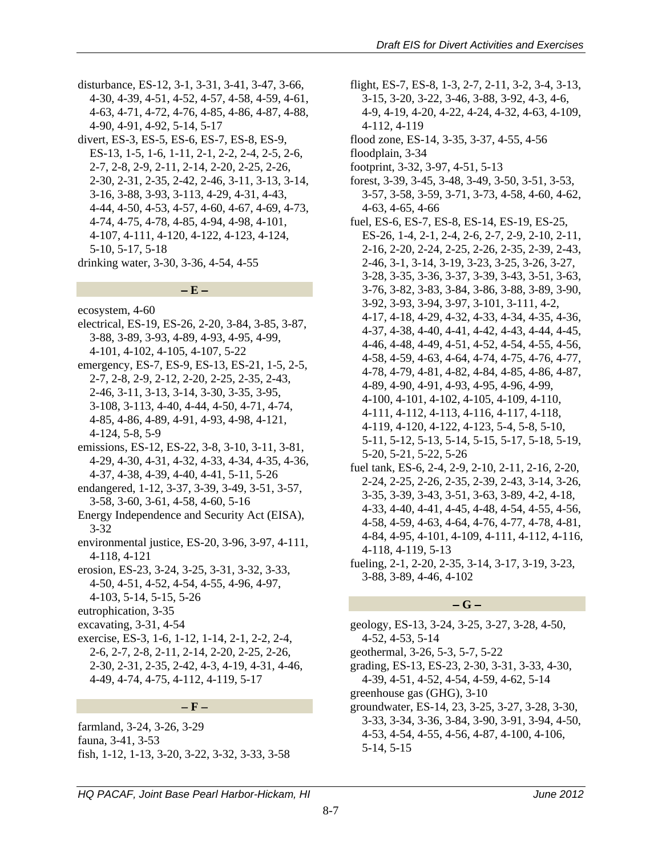- disturbance, ES-12, 3-1, 3-31, 3-41, 3-47, 3-66, 4-30, 4-39, 4-51, 4-52, 4-57, 4-58, 4-59, 4-61, 4-63, 4-71, 4-72, 4-76, 4-85, 4-86, 4-87, 4-88, 4-90, 4-91, 4-92, 5-14, 5-17
- divert, ES-3, ES-5, ES-6, ES-7, ES-8, ES-9, ES-13, 1-5, 1-6, 1-11, 2-1, 2-2, 2-4, 2-5, 2-6, 2-7, 2-8, 2-9, 2-11, 2-14, 2-20, 2-25, 2-26, 2-30, 2-31, 2-35, 2-42, 2-46, 3-11, 3-13, 3-14, 3-16, 3-88, 3-93, 3-113, 4-29, 4-31, 4-43, 4-44, 4-50, 4-53, 4-57, 4-60, 4-67, 4-69, 4-73, 4-74, 4-75, 4-78, 4-85, 4-94, 4-98, 4-101, 4-107, 4-111, 4-120, 4-122, 4-123, 4-124, 5-10, 5-17, 5-18

drinking water, 3-30, 3-36, 4-54, 4-55

ecosystem, 4-60

electrical, ES-19, ES-26, 2-20, 3-84, 3-85, 3-87, 3-88, 3-89, 3-93, 4-89, 4-93, 4-95, 4-99, 4-101, 4-102, 4-105, 4-107, 5-22

− **E** −

- emergency, ES-7, ES-9, ES-13, ES-21, 1-5, 2-5, 2-7, 2-8, 2-9, 2-12, 2-20, 2-25, 2-35, 2-43, 2-46, 3-11, 3-13, 3-14, 3-30, 3-35, 3-95, 3-108, 3-113, 4-40, 4-44, 4-50, 4-71, 4-74, 4-85, 4-86, 4-89, 4-91, 4-93, 4-98, 4-121, 4-124, 5-8, 5-9
- emissions, ES-12, ES-22, 3-8, 3-10, 3-11, 3-81, 4-29, 4-30, 4-31, 4-32, 4-33, 4-34, 4-35, 4-36, 4-37, 4-38, 4-39, 4-40, 4-41, 5-11, 5-26
- endangered, 1-12, 3-37, 3-39, 3-49, 3-51, 3-57, 3-58, 3-60, 3-61, 4-58, 4-60, 5-16
- Energy Independence and Security Act (EISA), 3-32
- environmental justice, ES-20, 3-96, 3-97, 4-111, 4-118, 4-121
- erosion, ES-23, 3-24, 3-25, 3-31, 3-32, 3-33, 4-50, 4-51, 4-52, 4-54, 4-55, 4-96, 4-97, 4-103, 5-14, 5-15, 5-26
- eutrophication, 3-35
- excavating, 3-31, 4-54
- exercise, ES-3, 1-6, 1-12, 1-14, 2-1, 2-2, 2-4, 2-6, 2-7, 2-8, 2-11, 2-14, 2-20, 2-25, 2-26, 2-30, 2-31, 2-35, 2-42, 4-3, 4-19, 4-31, 4-46, 4-49, 4-74, 4-75, 4-112, 4-119, 5-17

#### − **F** −

farmland, 3-24, 3-26, 3-29 fauna, 3-41, 3-53 fish, 1-12, 1-13, 3-20, 3-22, 3-32, 3-33, 3-58

- flight, ES-7, ES-8, 1-3, 2-7, 2-11, 3-2, 3-4, 3-13, 3-15, 3-20, 3-22, 3-46, 3-88, 3-92, 4-3, 4-6, 4-9, 4-19, 4-20, 4-22, 4-24, 4-32, 4-63, 4-109, 4-112, 4-119
- flood zone, ES-14, 3-35, 3-37, 4-55, 4-56
- floodplain, 3-34
- footprint, 3-32, 3-97, 4-51, 5-13
- forest, 3-39, 3-45, 3-48, 3-49, 3-50, 3-51, 3-53, 3-57, 3-58, 3-59, 3-71, 3-73, 4-58, 4-60, 4-62, 4-63, 4-65, 4-66
- fuel, ES-6, ES-7, ES-8, ES-14, ES-19, ES-25, ES-26, 1-4, 2-1, 2-4, 2-6, 2-7, 2-9, 2-10, 2-11, 2-16, 2-20, 2-24, 2-25, 2-26, 2-35, 2-39, 2-43, 2-46, 3-1, 3-14, 3-19, 3-23, 3-25, 3-26, 3-27, 3-28, 3-35, 3-36, 3-37, 3-39, 3-43, 3-51, 3-63, 3-76, 3-82, 3-83, 3-84, 3-86, 3-88, 3-89, 3-90, 3-92, 3-93, 3-94, 3-97, 3-101, 3-111, 4-2, 4-17, 4-18, 4-29, 4-32, 4-33, 4-34, 4-35, 4-36, 4-37, 4-38, 4-40, 4-41, 4-42, 4-43, 4-44, 4-45, 4-46, 4-48, 4-49, 4-51, 4-52, 4-54, 4-55, 4-56, 4-58, 4-59, 4-63, 4-64, 4-74, 4-75, 4-76, 4-77, 4-78, 4-79, 4-81, 4-82, 4-84, 4-85, 4-86, 4-87, 4-89, 4-90, 4-91, 4-93, 4-95, 4-96, 4-99, 4-100, 4-101, 4-102, 4-105, 4-109, 4-110, 4-111, 4-112, 4-113, 4-116, 4-117, 4-118, 4-119, 4-120, 4-122, 4-123, 5-4, 5-8, 5-10, 5-11, 5-12, 5-13, 5-14, 5-15, 5-17, 5-18, 5-19, 5-20, 5-21, 5-22, 5-26
- fuel tank, ES-6, 2-4, 2-9, 2-10, 2-11, 2-16, 2-20, 2-24, 2-25, 2-26, 2-35, 2-39, 2-43, 3-14, 3-26, 3-35, 3-39, 3-43, 3-51, 3-63, 3-89, 4-2, 4-18, 4-33, 4-40, 4-41, 4-45, 4-48, 4-54, 4-55, 4-56, 4-58, 4-59, 4-63, 4-64, 4-76, 4-77, 4-78, 4-81, 4-84, 4-95, 4-101, 4-109, 4-111, 4-112, 4-116, 4-118, 4-119, 5-13
- fueling, 2-1, 2-20, 2-35, 3-14, 3-17, 3-19, 3-23, 3-88, 3-89, 4-46, 4-102

− **G** −

- geology, ES-13, 3-24, 3-25, 3-27, 3-28, 4-50, 4-52, 4-53, 5-14 geothermal, 3-26, 5-3, 5-7, 5-22 grading, ES-13, ES-23, 2-30, 3-31, 3-33, 4-30,
	- 4-39, 4-51, 4-52, 4-54, 4-59, 4-62, 5-14
- greenhouse gas (GHG), 3-10
- groundwater, ES-14, 23, 3-25, 3-27, 3-28, 3-30, 3-33, 3-34, 3-36, 3-84, 3-90, 3-91, 3-94, 4-50, 4-53, 4-54, 4-55, 4-56, 4-87, 4-100, 4-106, 5-14, 5-15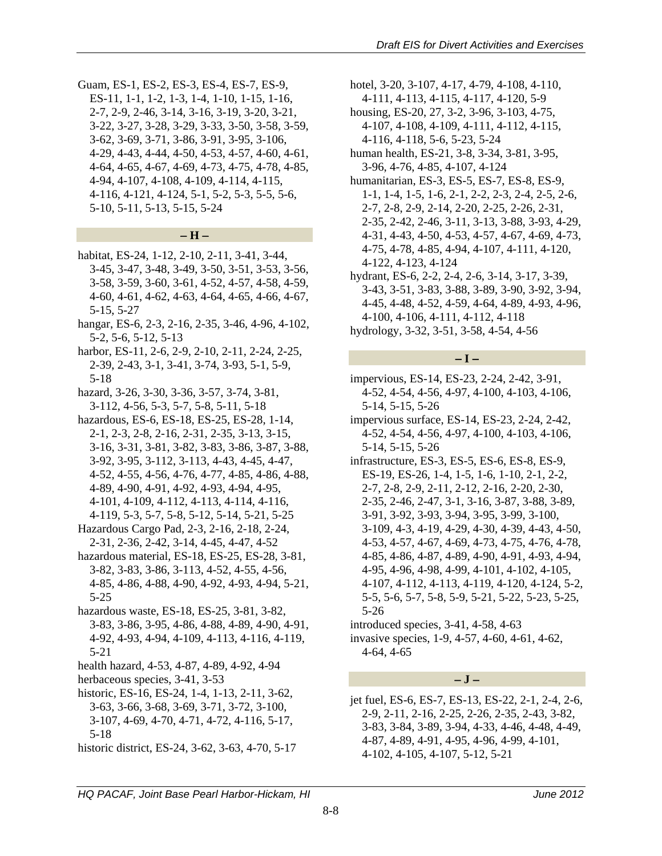Guam, ES-1, ES-2, ES-3, ES-4, ES-7, ES-9, ES-11, 1-1, 1-2, 1-3, 1-4, 1-10, 1-15, 1-16, 2-7, 2-9, 2-46, 3-14, 3-16, 3-19, 3-20, 3-21, 3-22, 3-27, 3-28, 3-29, 3-33, 3-50, 3-58, 3-59, 3-62, 3-69, 3-71, 3-86, 3-91, 3-95, 3-106, 4-29, 4-43, 4-44, 4-50, 4-53, 4-57, 4-60, 4-61, 4-64, 4-65, 4-67, 4-69, 4-73, 4-75, 4-78, 4-85, 4-94, 4-107, 4-108, 4-109, 4-114, 4-115, 4-116, 4-121, 4-124, 5-1, 5-2, 5-3, 5-5, 5-6, 5-10, 5-11, 5-13, 5-15, 5-24

#### − **H** −

- habitat, ES-24, 1-12, 2-10, 2-11, 3-41, 3-44, 3-45, 3-47, 3-48, 3-49, 3-50, 3-51, 3-53, 3-56, 3-58, 3-59, 3-60, 3-61, 4-52, 4-57, 4-58, 4-59, 4-60, 4-61, 4-62, 4-63, 4-64, 4-65, 4-66, 4-67, 5-15, 5-27
- hangar, ES-6, 2-3, 2-16, 2-35, 3-46, 4-96, 4-102, 5-2, 5-6, 5-12, 5-13
- harbor, ES-11, 2-6, 2-9, 2-10, 2-11, 2-24, 2-25, 2-39, 2-43, 3-1, 3-41, 3-74, 3-93, 5-1, 5-9, 5-18
- hazard, 3-26, 3-30, 3-36, 3-57, 3-74, 3-81, 3-112, 4-56, 5-3, 5-7, 5-8, 5-11, 5-18
- hazardous, ES-6, ES-18, ES-25, ES-28, 1-14, 2-1, 2-3, 2-8, 2-16, 2-31, 2-35, 3-13, 3-15, 3-16, 3-31, 3-81, 3-82, 3-83, 3-86, 3-87, 3-88, 3-92, 3-95, 3-112, 3-113, 4-43, 4-45, 4-47, 4-52, 4-55, 4-56, 4-76, 4-77, 4-85, 4-86, 4-88, 4-89, 4-90, 4-91, 4-92, 4-93, 4-94, 4-95, 4-101, 4-109, 4-112, 4-113, 4-114, 4-116, 4-119, 5-3, 5-7, 5-8, 5-12, 5-14, 5-21, 5-25
- Hazardous Cargo Pad, 2-3, 2-16, 2-18, 2-24, 2-31, 2-36, 2-42, 3-14, 4-45, 4-47, 4-52
- hazardous material, ES-18, ES-25, ES-28, 3-81, 3-82, 3-83, 3-86, 3-113, 4-52, 4-55, 4-56, 4-85, 4-86, 4-88, 4-90, 4-92, 4-93, 4-94, 5-21, 5-25
- hazardous waste, ES-18, ES-25, 3-81, 3-82, 3-83, 3-86, 3-95, 4-86, 4-88, 4-89, 4-90, 4-91, 4-92, 4-93, 4-94, 4-109, 4-113, 4-116, 4-119, 5-21
- health hazard, 4-53, 4-87, 4-89, 4-92, 4-94
- herbaceous species, 3-41, 3-53
- historic, ES-16, ES-24, 1-4, 1-13, 2-11, 3-62, 3-63, 3-66, 3-68, 3-69, 3-71, 3-72, 3-100, 3-107, 4-69, 4-70, 4-71, 4-72, 4-116, 5-17, 5-18
- historic district, ES-24, 3-62, 3-63, 4-70, 5-17

hotel, 3-20, 3-107, 4-17, 4-79, 4-108, 4-110, 4-111, 4-113, 4-115, 4-117, 4-120, 5-9

housing, ES-20, 27, 3-2, 3-96, 3-103, 4-75, 4-107, 4-108, 4-109, 4-111, 4-112, 4-115, 4-116, 4-118, 5-6, 5-23, 5-24

- human health, ES-21, 3-8, 3-34, 3-81, 3-95, 3-96, 4-76, 4-85, 4-107, 4-124
- humanitarian, ES-3, ES-5, ES-7, ES-8, ES-9, 1-1, 1-4, 1-5, 1-6, 2-1, 2-2, 2-3, 2-4, 2-5, 2-6, 2-7, 2-8, 2-9, 2-14, 2-20, 2-25, 2-26, 2-31, 2-35, 2-42, 2-46, 3-11, 3-13, 3-88, 3-93, 4-29, 4-31, 4-43, 4-50, 4-53, 4-57, 4-67, 4-69, 4-73, 4-75, 4-78, 4-85, 4-94, 4-107, 4-111, 4-120, 4-122, 4-123, 4-124
- hydrant, ES-6, 2-2, 2-4, 2-6, 3-14, 3-17, 3-39, 3-43, 3-51, 3-83, 3-88, 3-89, 3-90, 3-92, 3-94, 4-45, 4-48, 4-52, 4-59, 4-64, 4-89, 4-93, 4-96, 4-100, 4-106, 4-111, 4-112, 4-118 hydrology, 3-32, 3-51, 3-58, 4-54, 4-56

− **I** −

- impervious, ES-14, ES-23, 2-24, 2-42, 3-91, 4-52, 4-54, 4-56, 4-97, 4-100, 4-103, 4-106, 5-14, 5-15, 5-26
- impervious surface, ES-14, ES-23, 2-24, 2-42, 4-52, 4-54, 4-56, 4-97, 4-100, 4-103, 4-106, 5-14, 5-15, 5-26
- infrastructure, ES-3, ES-5, ES-6, ES-8, ES-9, ES-19, ES-26, 1-4, 1-5, 1-6, 1-10, 2-1, 2-2, 2-7, 2-8, 2-9, 2-11, 2-12, 2-16, 2-20, 2-30, 2-35, 2-46, 2-47, 3-1, 3-16, 3-87, 3-88, 3-89, 3-91, 3-92, 3-93, 3-94, 3-95, 3-99, 3-100, 3-109, 4-3, 4-19, 4-29, 4-30, 4-39, 4-43, 4-50, 4-53, 4-57, 4-67, 4-69, 4-73, 4-75, 4-76, 4-78, 4-85, 4-86, 4-87, 4-89, 4-90, 4-91, 4-93, 4-94, 4-95, 4-96, 4-98, 4-99, 4-101, 4-102, 4-105, 4-107, 4-112, 4-113, 4-119, 4-120, 4-124, 5-2, 5-5, 5-6, 5-7, 5-8, 5-9, 5-21, 5-22, 5-23, 5-25, 5-26
- introduced species, 3-41, 4-58, 4-63 invasive species, 1-9, 4-57, 4-60, 4-61, 4-62, 4-64, 4-65

#### − **J** −

jet fuel, ES-6, ES-7, ES-13, ES-22, 2-1, 2-4, 2-6, 2-9, 2-11, 2-16, 2-25, 2-26, 2-35, 2-43, 3-82, 3-83, 3-84, 3-89, 3-94, 4-33, 4-46, 4-48, 4-49, 4-87, 4-89, 4-91, 4-95, 4-96, 4-99, 4-101, 4-102, 4-105, 4-107, 5-12, 5-21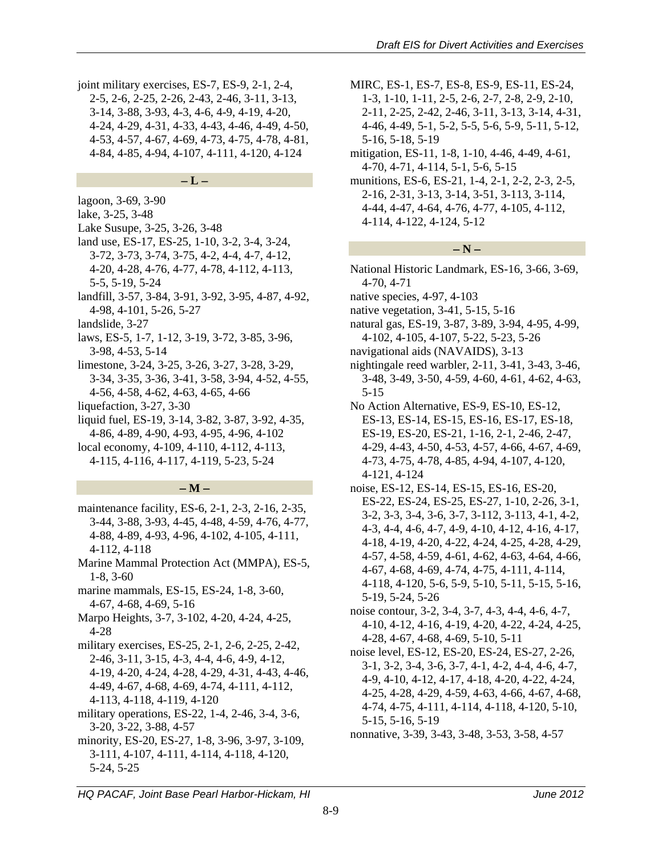joint military exercises, ES-7, ES-9, 2-1, 2-4, 2-5, 2-6, 2-25, 2-26, 2-43, 2-46, 3-11, 3-13, 3-14, 3-88, 3-93, 4-3, 4-6, 4-9, 4-19, 4-20, 4-24, 4-29, 4-31, 4-33, 4-43, 4-46, 4-49, 4-50, 4-53, 4-57, 4-67, 4-69, 4-73, 4-75, 4-78, 4-81, 4-84, 4-85, 4-94, 4-107, 4-111, 4-120, 4-124

#### − **L** −

- lagoon, 3-69, 3-90
- lake, 3-25, 3-48
- Lake Susupe, 3-25, 3-26, 3-48
- land use, ES-17, ES-25, 1-10, 3-2, 3-4, 3-24, 3-72, 3-73, 3-74, 3-75, 4-2, 4-4, 4-7, 4-12, 4-20, 4-28, 4-76, 4-77, 4-78, 4-112, 4-113, 5-5, 5-19, 5-24
- landfill, 3-57, 3-84, 3-91, 3-92, 3-95, 4-87, 4-92, 4-98, 4-101, 5-26, 5-27
- landslide, 3-27
- laws, ES-5, 1-7, 1-12, 3-19, 3-72, 3-85, 3-96, 3-98, 4-53, 5-14
- limestone, 3-24, 3-25, 3-26, 3-27, 3-28, 3-29, 3-34, 3-35, 3-36, 3-41, 3-58, 3-94, 4-52, 4-55, 4-56, 4-58, 4-62, 4-63, 4-65, 4-66
- liquefaction, 3-27, 3-30
- liquid fuel, ES-19, 3-14, 3-82, 3-87, 3-92, 4-35, 4-86, 4-89, 4-90, 4-93, 4-95, 4-96, 4-102

local economy, 4-109, 4-110, 4-112, 4-113, 4-115, 4-116, 4-117, 4-119, 5-23, 5-24

− **M** −

- maintenance facility, ES-6, 2-1, 2-3, 2-16, 2-35, 3-44, 3-88, 3-93, 4-45, 4-48, 4-59, 4-76, 4-77, 4-88, 4-89, 4-93, 4-96, 4-102, 4-105, 4-111, 4-112, 4-118
- Marine Mammal Protection Act (MMPA), ES-5, 1-8, 3-60
- marine mammals, ES-15, ES-24, 1-8, 3-60, 4-67, 4-68, 4-69, 5-16
- Marpo Heights, 3-7, 3-102, 4-20, 4-24, 4-25, 4-28
- military exercises, ES-25, 2-1, 2-6, 2-25, 2-42, 2-46, 3-11, 3-15, 4-3, 4-4, 4-6, 4-9, 4-12, 4-19, 4-20, 4-24, 4-28, 4-29, 4-31, 4-43, 4-46, 4-49, 4-67, 4-68, 4-69, 4-74, 4-111, 4-112, 4-113, 4-118, 4-119, 4-120
- military operations, ES-22, 1-4, 2-46, 3-4, 3-6, 3-20, 3-22, 3-88, 4-57
- minority, ES-20, ES-27, 1-8, 3-96, 3-97, 3-109, 3-111, 4-107, 4-111, 4-114, 4-118, 4-120, 5-24, 5-25
- MIRC, ES-1, ES-7, ES-8, ES-9, ES-11, ES-24, 1-3, 1-10, 1-11, 2-5, 2-6, 2-7, 2-8, 2-9, 2-10, 2-11, 2-25, 2-42, 2-46, 3-11, 3-13, 3-14, 4-31, 4-46, 4-49, 5-1, 5-2, 5-5, 5-6, 5-9, 5-11, 5-12, 5-16, 5-18, 5-19
- mitigation, ES-11, 1-8, 1-10, 4-46, 4-49, 4-61, 4-70, 4-71, 4-114, 5-1, 5-6, 5-15

munitions, ES-6, ES-21, 1-4, 2-1, 2-2, 2-3, 2-5, 2-16, 2-31, 3-13, 3-14, 3-51, 3-113, 3-114, 4-44, 4-47, 4-64, 4-76, 4-77, 4-105, 4-112, 4-114, 4-122, 4-124, 5-12

#### − **N** −

- National Historic Landmark, ES-16, 3-66, 3-69, 4-70, 4-71
- native species, 4-97, 4-103
- native vegetation, 3-41, 5-15, 5-16
- natural gas, ES-19, 3-87, 3-89, 3-94, 4-95, 4-99, 4-102, 4-105, 4-107, 5-22, 5-23, 5-26
- navigational aids (NAVAIDS), 3-13
- nightingale reed warbler, 2-11, 3-41, 3-43, 3-46, 3-48, 3-49, 3-50, 4-59, 4-60, 4-61, 4-62, 4-63, 5-15
- No Action Alternative, ES-9, ES-10, ES-12, ES-13, ES-14, ES-15, ES-16, ES-17, ES-18, ES-19, ES-20, ES-21, 1-16, 2-1, 2-46, 2-47, 4-29, 4-43, 4-50, 4-53, 4-57, 4-66, 4-67, 4-69, 4-73, 4-75, 4-78, 4-85, 4-94, 4-107, 4-120, 4-121, 4-124
- noise, ES-12, ES-14, ES-15, ES-16, ES-20, ES-22, ES-24, ES-25, ES-27, 1-10, 2-26, 3-1, 3-2, 3-3, 3-4, 3-6, 3-7, 3-112, 3-113, 4-1, 4-2, 4-3, 4-4, 4-6, 4-7, 4-9, 4-10, 4-12, 4-16, 4-17, 4-18, 4-19, 4-20, 4-22, 4-24, 4-25, 4-28, 4-29, 4-57, 4-58, 4-59, 4-61, 4-62, 4-63, 4-64, 4-66, 4-67, 4-68, 4-69, 4-74, 4-75, 4-111, 4-114, 4-118, 4-120, 5-6, 5-9, 5-10, 5-11, 5-15, 5-16, 5-19, 5-24, 5-26
- noise contour, 3-2, 3-4, 3-7, 4-3, 4-4, 4-6, 4-7, 4-10, 4-12, 4-16, 4-19, 4-20, 4-22, 4-24, 4-25, 4-28, 4-67, 4-68, 4-69, 5-10, 5-11
- noise level, ES-12, ES-20, ES-24, ES-27, 2-26, 3-1, 3-2, 3-4, 3-6, 3-7, 4-1, 4-2, 4-4, 4-6, 4-7, 4-9, 4-10, 4-12, 4-17, 4-18, 4-20, 4-22, 4-24, 4-25, 4-28, 4-29, 4-59, 4-63, 4-66, 4-67, 4-68, 4-74, 4-75, 4-111, 4-114, 4-118, 4-120, 5-10, 5-15, 5-16, 5-19
- nonnative, 3-39, 3-43, 3-48, 3-53, 3-58, 4-57

*HQ PACAF, Joint Base Pearl Harbor-Hickam, HI June 2012*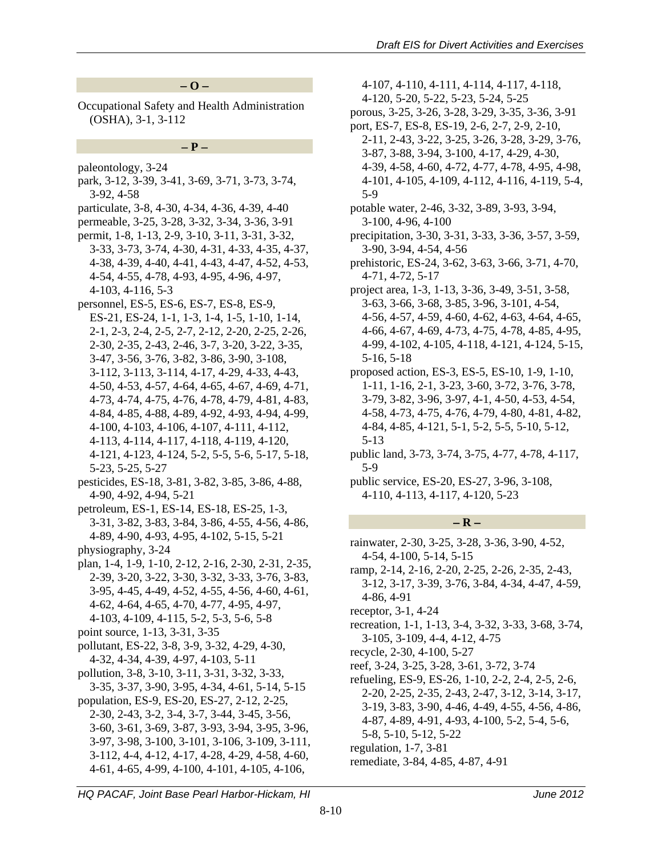4-107, 4-110, 4-111, 4-114, 4-117, 4-118,

#### − **O** −

Occupational Safety and Health Administration (OSHA), 3-1, 3-112

#### − **P** −

paleontology, 3-24 park, 3-12, 3-39, 3-41, 3-69, 3-71, 3-73, 3-74, 3-92, 4-58 particulate, 3-8, 4-30, 4-34, 4-36, 4-39, 4-40 permeable, 3-25, 3-28, 3-32, 3-34, 3-36, 3-91 permit, 1-8, 1-13, 2-9, 3-10, 3-11, 3-31, 3-32, 3-33, 3-73, 3-74, 4-30, 4-31, 4-33, 4-35, 4-37, 4-38, 4-39, 4-40, 4-41, 4-43, 4-47, 4-52, 4-53, 4-54, 4-55, 4-78, 4-93, 4-95, 4-96, 4-97, 4-103, 4-116, 5-3 personnel, ES-5, ES-6, ES-7, ES-8, ES-9, ES-21, ES-24, 1-1, 1-3, 1-4, 1-5, 1-10, 1-14, 2-1, 2-3, 2-4, 2-5, 2-7, 2-12, 2-20, 2-25, 2-26, 2-30, 2-35, 2-43, 2-46, 3-7, 3-20, 3-22, 3-35, 3-47, 3-56, 3-76, 3-82, 3-86, 3-90, 3-108, 3-112, 3-113, 3-114, 4-17, 4-29, 4-33, 4-43, 4-50, 4-53, 4-57, 4-64, 4-65, 4-67, 4-69, 4-71, 4-73, 4-74, 4-75, 4-76, 4-78, 4-79, 4-81, 4-83, 4-84, 4-85, 4-88, 4-89, 4-92, 4-93, 4-94, 4-99, 4-100, 4-103, 4-106, 4-107, 4-111, 4-112, 4-113, 4-114, 4-117, 4-118, 4-119, 4-120, 4-121, 4-123, 4-124, 5-2, 5-5, 5-6, 5-17, 5-18, 5-23, 5-25, 5-27 pesticides, ES-18, 3-81, 3-82, 3-85, 3-86, 4-88, 4-90, 4-92, 4-94, 5-21 petroleum, ES-1, ES-14, ES-18, ES-25, 1-3, 3-31, 3-82, 3-83, 3-84, 3-86, 4-55, 4-56, 4-86, 4-89, 4-90, 4-93, 4-95, 4-102, 5-15, 5-21 physiography, 3-24 plan, 1-4, 1-9, 1-10, 2-12, 2-16, 2-30, 2-31, 2-35, 2-39, 3-20, 3-22, 3-30, 3-32, 3-33, 3-76, 3-83, 3-95, 4-45, 4-49, 4-52, 4-55, 4-56, 4-60, 4-61, 4-62, 4-64, 4-65, 4-70, 4-77, 4-95, 4-97, 4-103, 4-109, 4-115, 5-2, 5-3, 5-6, 5-8 point source, 1-13, 3-31, 3-35 pollutant, ES-22, 3-8, 3-9, 3-32, 4-29, 4-30, 4-32, 4-34, 4-39, 4-97, 4-103, 5-11 pollution, 3-8, 3-10, 3-11, 3-31, 3-32, 3-33, 3-35, 3-37, 3-90, 3-95, 4-34, 4-61, 5-14, 5-15 population, ES-9, ES-20, ES-27, 2-12, 2-25, 2-30, 2-43, 3-2, 3-4, 3-7, 3-44, 3-45, 3-56, 3-60, 3-61, 3-69, 3-87, 3-93, 3-94, 3-95, 3-96, 3-97, 3-98, 3-100, 3-101, 3-106, 3-109, 3-111, 3-112, 4-4, 4-12, 4-17, 4-28, 4-29, 4-58, 4-60,

4-120, 5-20, 5-22, 5-23, 5-24, 5-25 porous, 3-25, 3-26, 3-28, 3-29, 3-35, 3-36, 3-91 port, ES-7, ES-8, ES-19, 2-6, 2-7, 2-9, 2-10, 2-11, 2-43, 3-22, 3-25, 3-26, 3-28, 3-29, 3-76, 3-87, 3-88, 3-94, 3-100, 4-17, 4-29, 4-30, 4-39, 4-58, 4-60, 4-72, 4-77, 4-78, 4-95, 4-98, 4-101, 4-105, 4-109, 4-112, 4-116, 4-119, 5-4, 5-9 potable water, 2-46, 3-32, 3-89, 3-93, 3-94, 3-100, 4-96, 4-100 precipitation, 3-30, 3-31, 3-33, 3-36, 3-57, 3-59, 3-90, 3-94, 4-54, 4-56 prehistoric, ES-24, 3-62, 3-63, 3-66, 3-71, 4-70, 4-71, 4-72, 5-17 project area, 1-3, 1-13, 3-36, 3-49, 3-51, 3-58, 3-63, 3-66, 3-68, 3-85, 3-96, 3-101, 4-54, 4-56, 4-57, 4-59, 4-60, 4-62, 4-63, 4-64, 4-65, 4-66, 4-67, 4-69, 4-73, 4-75, 4-78, 4-85, 4-95, 4-99, 4-102, 4-105, 4-118, 4-121, 4-124, 5-15, 5-16, 5-18 proposed action, ES-3, ES-5, ES-10, 1-9, 1-10, 1-11, 1-16, 2-1, 3-23, 3-60, 3-72, 3-76, 3-78, 3-79, 3-82, 3-96, 3-97, 4-1, 4-50, 4-53, 4-54, 4-58, 4-73, 4-75, 4-76, 4-79, 4-80, 4-81, 4-82, 4-84, 4-85, 4-121, 5-1, 5-2, 5-5, 5-10, 5-12, 5-13 public land, 3-73, 3-74, 3-75, 4-77, 4-78, 4-117, 5-9

public service, ES-20, ES-27, 3-96, 3-108, 4-110, 4-113, 4-117, 4-120, 5-23

#### − **R** −

rainwater, 2-30, 3-25, 3-28, 3-36, 3-90, 4-52, 4-54, 4-100, 5-14, 5-15 ramp, 2-14, 2-16, 2-20, 2-25, 2-26, 2-35, 2-43, 3-12, 3-17, 3-39, 3-76, 3-84, 4-34, 4-47, 4-59, 4-86, 4-91 receptor, 3-1, 4-24 recreation, 1-1, 1-13, 3-4, 3-32, 3-33, 3-68, 3-74, 3-105, 3-109, 4-4, 4-12, 4-75 recycle, 2-30, 4-100, 5-27 reef, 3-24, 3-25, 3-28, 3-61, 3-72, 3-74 refueling, ES-9, ES-26, 1-10, 2-2, 2-4, 2-5, 2-6, 2-20, 2-25, 2-35, 2-43, 2-47, 3-12, 3-14, 3-17, 3-19, 3-83, 3-90, 4-46, 4-49, 4-55, 4-56, 4-86, 4-87, 4-89, 4-91, 4-93, 4-100, 5-2, 5-4, 5-6, 5-8, 5-10, 5-12, 5-22 regulation, 1-7, 3-81 remediate, 3-84, 4-85, 4-87, 4-91

4-61, 4-65, 4-99, 4-100, 4-101, 4-105, 4-106,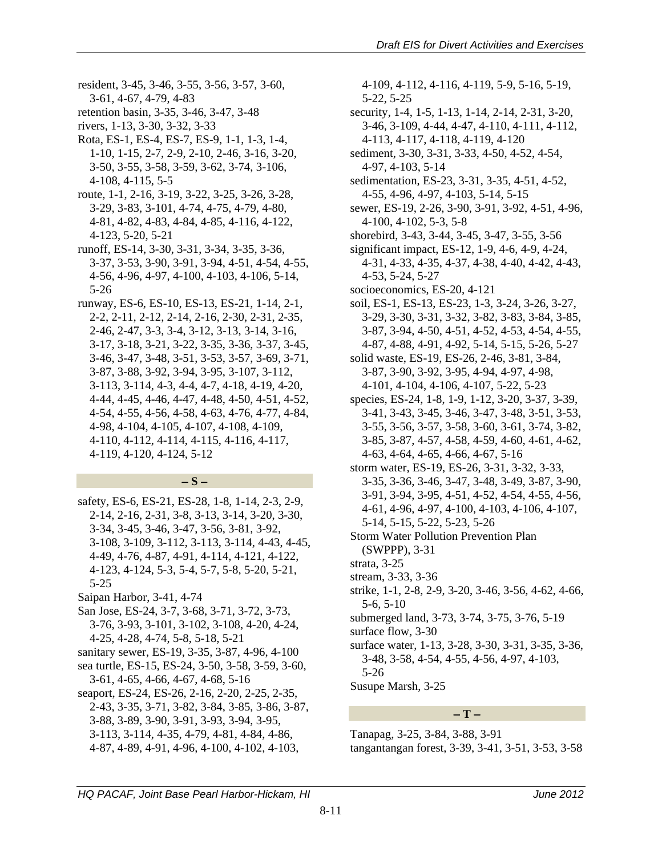resident, 3-45, 3-46, 3-55, 3-56, 3-57, 3-60, 3-61, 4-67, 4-79, 4-83 retention basin, 3-35, 3-46, 3-47, 3-48 rivers, 1-13, 3-30, 3-32, 3-33 Rota, ES-1, ES-4, ES-7, ES-9, 1-1, 1-3, 1-4, 1-10, 1-15, 2-7, 2-9, 2-10, 2-46, 3-16, 3-20, 3-50, 3-55, 3-58, 3-59, 3-62, 3-74, 3-106, 4-108, 4-115, 5-5

- route, 1-1, 2-16, 3-19, 3-22, 3-25, 3-26, 3-28, 3-29, 3-83, 3-101, 4-74, 4-75, 4-79, 4-80, 4-81, 4-82, 4-83, 4-84, 4-85, 4-116, 4-122, 4-123, 5-20, 5-21
- runoff, ES-14, 3-30, 3-31, 3-34, 3-35, 3-36, 3-37, 3-53, 3-90, 3-91, 3-94, 4-51, 4-54, 4-55, 4-56, 4-96, 4-97, 4-100, 4-103, 4-106, 5-14, 5-26
- runway, ES-6, ES-10, ES-13, ES-21, 1-14, 2-1, 2-2, 2-11, 2-12, 2-14, 2-16, 2-30, 2-31, 2-35, 2-46, 2-47, 3-3, 3-4, 3-12, 3-13, 3-14, 3-16, 3-17, 3-18, 3-21, 3-22, 3-35, 3-36, 3-37, 3-45, 3-46, 3-47, 3-48, 3-51, 3-53, 3-57, 3-69, 3-71, 3-87, 3-88, 3-92, 3-94, 3-95, 3-107, 3-112, 3-113, 3-114, 4-3, 4-4, 4-7, 4-18, 4-19, 4-20, 4-44, 4-45, 4-46, 4-47, 4-48, 4-50, 4-51, 4-52, 4-54, 4-55, 4-56, 4-58, 4-63, 4-76, 4-77, 4-84, 4-98, 4-104, 4-105, 4-107, 4-108, 4-109, 4-110, 4-112, 4-114, 4-115, 4-116, 4-117, 4-119, 4-120, 4-124, 5-12

safety, ES-6, ES-21, ES-28, 1-8, 1-14, 2-3, 2-9, 2-14, 2-16, 2-31, 3-8, 3-13, 3-14, 3-20, 3-30, 3-34, 3-45, 3-46, 3-47, 3-56, 3-81, 3-92, 3-108, 3-109, 3-112, 3-113, 3-114, 4-43, 4-45, 4-49, 4-76, 4-87, 4-91, 4-114, 4-121, 4-122, 4-123, 4-124, 5-3, 5-4, 5-7, 5-8, 5-20, 5-21, 5-25

− **S** −

Saipan Harbor, 3-41, 4-74

- San Jose, ES-24, 3-7, 3-68, 3-71, 3-72, 3-73, 3-76, 3-93, 3-101, 3-102, 3-108, 4-20, 4-24, 4-25, 4-28, 4-74, 5-8, 5-18, 5-21
- sanitary sewer, ES-19, 3-35, 3-87, 4-96, 4-100
- sea turtle, ES-15, ES-24, 3-50, 3-58, 3-59, 3-60, 3-61, 4-65, 4-66, 4-67, 4-68, 5-16
- seaport, ES-24, ES-26, 2-16, 2-20, 2-25, 2-35, 2-43, 3-35, 3-71, 3-82, 3-84, 3-85, 3-86, 3-87, 3-88, 3-89, 3-90, 3-91, 3-93, 3-94, 3-95, 3-113, 3-114, 4-35, 4-79, 4-81, 4-84, 4-86, 4-87, 4-89, 4-91, 4-96, 4-100, 4-102, 4-103,

4-109, 4-112, 4-116, 4-119, 5-9, 5-16, 5-19, 5-22, 5-25

- security, 1-4, 1-5, 1-13, 1-14, 2-14, 2-31, 3-20, 3-46, 3-109, 4-44, 4-47, 4-110, 4-111, 4-112, 4-113, 4-117, 4-118, 4-119, 4-120
- sediment, 3-30, 3-31, 3-33, 4-50, 4-52, 4-54, 4-97, 4-103, 5-14
- sedimentation, ES-23, 3-31, 3-35, 4-51, 4-52, 4-55, 4-96, 4-97, 4-103, 5-14, 5-15
- sewer, ES-19, 2-26, 3-90, 3-91, 3-92, 4-51, 4-96, 4-100, 4-102, 5-3, 5-8
- shorebird, 3-43, 3-44, 3-45, 3-47, 3-55, 3-56
- significant impact, ES-12, 1-9, 4-6, 4-9, 4-24, 4-31, 4-33, 4-35, 4-37, 4-38, 4-40, 4-42, 4-43, 4-53, 5-24, 5-27
- socioeconomics, ES-20, 4-121
- soil, ES-1, ES-13, ES-23, 1-3, 3-24, 3-26, 3-27, 3-29, 3-30, 3-31, 3-32, 3-82, 3-83, 3-84, 3-85, 3-87, 3-94, 4-50, 4-51, 4-52, 4-53, 4-54, 4-55, 4-87, 4-88, 4-91, 4-92, 5-14, 5-15, 5-26, 5-27
- solid waste, ES-19, ES-26, 2-46, 3-81, 3-84, 3-87, 3-90, 3-92, 3-95, 4-94, 4-97, 4-98, 4-101, 4-104, 4-106, 4-107, 5-22, 5-23
- species, ES-24, 1-8, 1-9, 1-12, 3-20, 3-37, 3-39, 3-41, 3-43, 3-45, 3-46, 3-47, 3-48, 3-51, 3-53, 3-55, 3-56, 3-57, 3-58, 3-60, 3-61, 3-74, 3-82, 3-85, 3-87, 4-57, 4-58, 4-59, 4-60, 4-61, 4-62, 4-63, 4-64, 4-65, 4-66, 4-67, 5-16
- storm water, ES-19, ES-26, 3-31, 3-32, 3-33, 3-35, 3-36, 3-46, 3-47, 3-48, 3-49, 3-87, 3-90, 3-91, 3-94, 3-95, 4-51, 4-52, 4-54, 4-55, 4-56, 4-61, 4-96, 4-97, 4-100, 4-103, 4-106, 4-107, 5-14, 5-15, 5-22, 5-23, 5-26
- Storm Water Pollution Prevention Plan (SWPPP), 3-31
- strata, 3-25
- stream, 3-33, 3-36
- strike, 1-1, 2-8, 2-9, 3-20, 3-46, 3-56, 4-62, 4-66, 5-6, 5-10
- submerged land, 3-73, 3-74, 3-75, 3-76, 5-19

surface flow, 3-30

- surface water, 1-13, 3-28, 3-30, 3-31, 3-35, 3-36, 3-48, 3-58, 4-54, 4-55, 4-56, 4-97, 4-103, 5-26
- Susupe Marsh, 3-25

− **T** −

Tanapag, 3-25, 3-84, 3-88, 3-91 tangantangan forest, 3-39, 3-41, 3-51, 3-53, 3-58